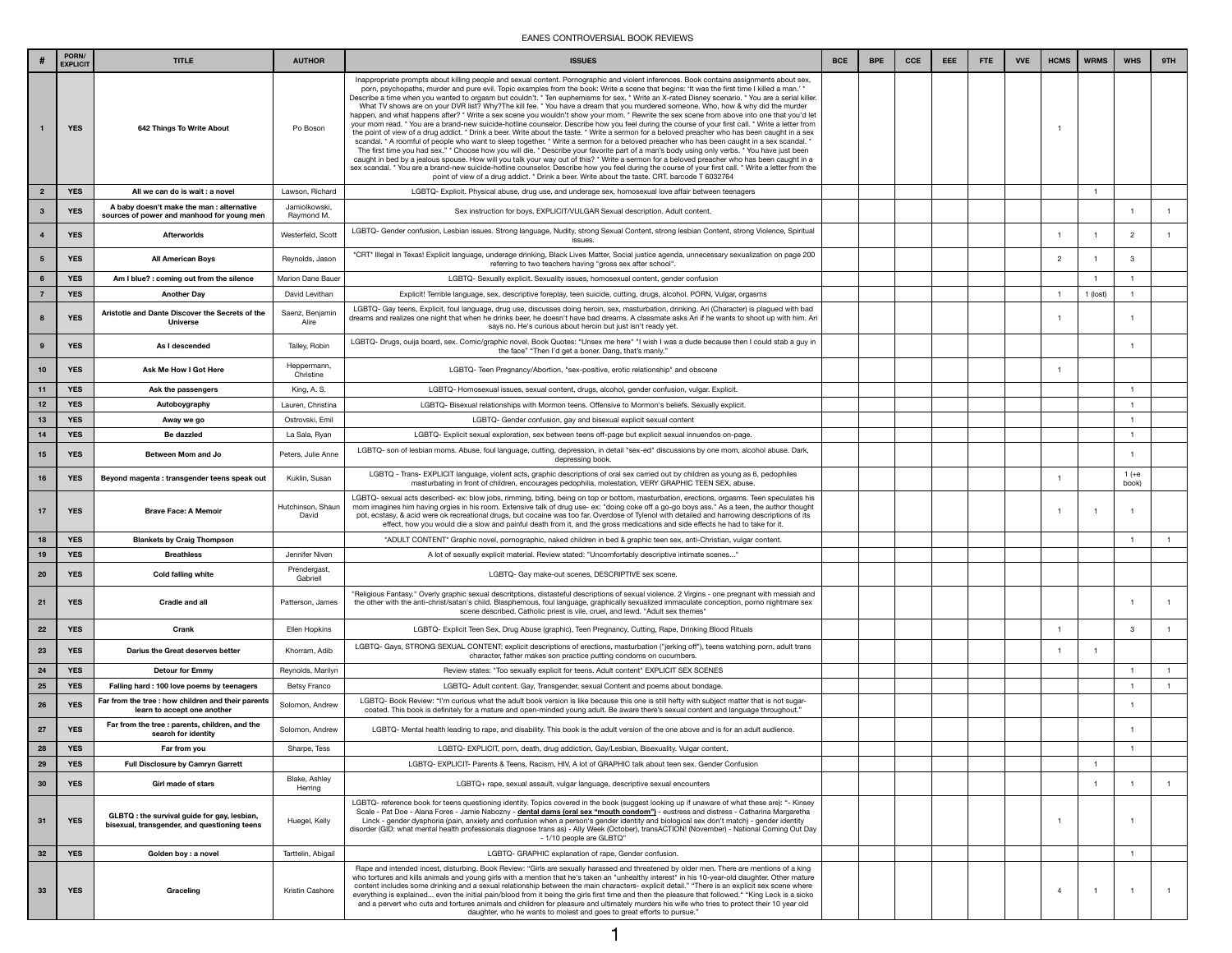## EANES CONTROVERSIAL BOOK REVIEWS

|    | PORN/<br><b>EXPLICIT</b> | <b>TITLE</b>                                                                                 | <b>AUTHOR</b>               | <b>ISSUES</b>                                                                                                                                                                                                                                                                                                                                                                                                                                                                                                                                                                                                                                                                                                                                                                                                                                                                                                                                                                                                                                                                                                                                                                                                                                                                                                                                                                                                                                                                                                                                                                                                                                                                                                                               | <b>BCE</b> | <b>BPE</b> | <b>CCE</b> | <b>EEE</b> | <b>FTE</b> | <b>VVE</b> | <b>HCMS</b> | <b>WRMS</b> | <b>WHS</b>       | 9TH |
|----|--------------------------|----------------------------------------------------------------------------------------------|-----------------------------|---------------------------------------------------------------------------------------------------------------------------------------------------------------------------------------------------------------------------------------------------------------------------------------------------------------------------------------------------------------------------------------------------------------------------------------------------------------------------------------------------------------------------------------------------------------------------------------------------------------------------------------------------------------------------------------------------------------------------------------------------------------------------------------------------------------------------------------------------------------------------------------------------------------------------------------------------------------------------------------------------------------------------------------------------------------------------------------------------------------------------------------------------------------------------------------------------------------------------------------------------------------------------------------------------------------------------------------------------------------------------------------------------------------------------------------------------------------------------------------------------------------------------------------------------------------------------------------------------------------------------------------------------------------------------------------------------------------------------------------------|------------|------------|------------|------------|------------|------------|-------------|-------------|------------------|-----|
|    | <b>YES</b>               | 642 Things To Write About                                                                    | Po Boson                    | Inappropriate prompts about killing people and sexual content. Pornographic and violent inferences. Book contains assignments about sex,<br>porn, psychopaths, murder and pure evil. Topic examples from the book: Write a scene that begins: 'It was the first time I killed a man.' *<br>Describe a time when you wanted to orgasm but couldn't. * Ten euphemisms for sex. * Write an X-rated Disney scenario. * You are a serial killer.<br>What TV shows are on your DVR list? Why?The kill fee. * You have a dream that you murdered someone. Who, how & why did the murder<br>happen, and what happens after? * Write a sex scene you wouldn't show your mom. * Rewrite the sex scene from above into one that you'd let<br>your mom read. * You are a brand-new suicide-hotline counselor. Describe how you feel during the course of your first call. * Write a letter from<br>the point of view of a drug addict. * Drink a beer. Write about the taste. * Write a sermon for a beloved preacher who has been caught in a sex<br>scandal. * A roomful of people who want to sleep together. * Write a sermon for a beloved preacher who has been caught in a sex scandal. *<br>The first time you had sex." * Choose how you will die. * Describe your favorite part of a man's body using only verbs. * You have just been<br>caught in bed by a jealous spouse. How will you talk your way out of this? * Write a sermon for a beloved preacher who has been caught in a<br>sex scandal. * You are a brand-new suicide-hotline counselor. Describe how you feel during the course of your first call. * Write a letter from the<br>point of view of a drug addict. * Drink a beer. Write about the taste. CRT. barcode T 6032764 |            |            |            |            |            |            |             |             |                  |     |
|    | <b>YES</b>               | All we can do is wait : a novel                                                              | Lawson, Richard             | LGBTQ- Explicit. Physical abuse, drug use, and underage sex, homosexual love affair between teenagers                                                                                                                                                                                                                                                                                                                                                                                                                                                                                                                                                                                                                                                                                                                                                                                                                                                                                                                                                                                                                                                                                                                                                                                                                                                                                                                                                                                                                                                                                                                                                                                                                                       |            |            |            |            |            |            |             |             |                  |     |
|    | <b>YES</b>               | A baby doesn't make the man : alternative<br>sources of power and manhood for young men      | Jamiolkowski,<br>Raymond M. | Sex instruction for boys. EXPLICIT/VULGAR Sexual description. Adult content.                                                                                                                                                                                                                                                                                                                                                                                                                                                                                                                                                                                                                                                                                                                                                                                                                                                                                                                                                                                                                                                                                                                                                                                                                                                                                                                                                                                                                                                                                                                                                                                                                                                                |            |            |            |            |            |            |             |             |                  |     |
|    | <b>YES</b>               | <b>Afterworlds</b>                                                                           | Westerfeld, Scott           | LGBTQ- Gender confusion, Lesbian issues. Strong language, Nudity, strong Sexual Content, strong lesbian Content, strong Violence, Spiritual<br>issues.                                                                                                                                                                                                                                                                                                                                                                                                                                                                                                                                                                                                                                                                                                                                                                                                                                                                                                                                                                                                                                                                                                                                                                                                                                                                                                                                                                                                                                                                                                                                                                                      |            |            |            |            |            |            |             |             | 2                |     |
|    | <b>YES</b>               | <b>All American Boys</b>                                                                     | Reynolds, Jason             | *CRT* Illegal in Texas! Explicit language, underage drinking, Black Lives Matter, Social justice agenda, unnecessary sexualization on page 200<br>referring to two teachers having "gross sex after school".                                                                                                                                                                                                                                                                                                                                                                                                                                                                                                                                                                                                                                                                                                                                                                                                                                                                                                                                                                                                                                                                                                                                                                                                                                                                                                                                                                                                                                                                                                                                |            |            |            |            |            |            |             |             | $\mathbf{3}$     |     |
|    | <b>YES</b>               | Am I blue? : coming out from the silence                                                     | <b>Marion Dane Bauer</b>    | LGBTQ- Sexually explicit. Sexuality issues, homosexual content, gender confusion                                                                                                                                                                                                                                                                                                                                                                                                                                                                                                                                                                                                                                                                                                                                                                                                                                                                                                                                                                                                                                                                                                                                                                                                                                                                                                                                                                                                                                                                                                                                                                                                                                                            |            |            |            |            |            |            |             |             |                  |     |
|    | <b>YES</b>               | <b>Another Day</b>                                                                           | David Levithan              | Explicit! Terrible language, sex, descriptive foreplay, teen suicide, cutting, drugs, alcohol. PORN, Vulgar, orgasms                                                                                                                                                                                                                                                                                                                                                                                                                                                                                                                                                                                                                                                                                                                                                                                                                                                                                                                                                                                                                                                                                                                                                                                                                                                                                                                                                                                                                                                                                                                                                                                                                        |            |            |            |            |            |            |             | 1 (lost)    |                  |     |
|    | <b>YES</b>               | Aristotle and Dante Discover the Secrets of the<br><b>Universe</b>                           | Saenz, Benjamin<br>Alire    | LGBTQ- Gay teens, Explicit, foul language, drug use, discusses doing heroin, sex, masturbation, drinking. Ari (Character) is plagued with bad<br>dreams and realizes one night that when he drinks beer, he doesn't have bad dreams. A classmate asks Ari if he wants to shoot up with him. Ari<br>says no. He's curious about heroin but just isn't ready yet.                                                                                                                                                                                                                                                                                                                                                                                                                                                                                                                                                                                                                                                                                                                                                                                                                                                                                                                                                                                                                                                                                                                                                                                                                                                                                                                                                                             |            |            |            |            |            |            |             |             |                  |     |
|    | <b>YES</b>               | As I descended                                                                               | Talley, Robin               | LGBTQ- Drugs, ouija board, sex. Comic/graphic novel. Book Quotes: "Unsex me here" "I wish I was a dude because then I could stab a guy in<br>the face" "Then I'd get a boner. Dang, that's manly."                                                                                                                                                                                                                                                                                                                                                                                                                                                                                                                                                                                                                                                                                                                                                                                                                                                                                                                                                                                                                                                                                                                                                                                                                                                                                                                                                                                                                                                                                                                                          |            |            |            |            |            |            |             |             |                  |     |
| 10 | <b>YES</b>               | <b>Ask Me How I Got Here</b>                                                                 | Heppermann<br>Christine     | LGBTQ- Teen Pregnancy/Abortion, "sex-positive, erotic relationship" and obscene                                                                                                                                                                                                                                                                                                                                                                                                                                                                                                                                                                                                                                                                                                                                                                                                                                                                                                                                                                                                                                                                                                                                                                                                                                                                                                                                                                                                                                                                                                                                                                                                                                                             |            |            |            |            |            |            |             |             |                  |     |
| 11 | <b>YES</b>               | Ask the passengers                                                                           | King, A. S.                 | LGBTQ- Homosexual issues, sexual content, drugs, alcohol, gender confusion, vulgar. Explicit.                                                                                                                                                                                                                                                                                                                                                                                                                                                                                                                                                                                                                                                                                                                                                                                                                                                                                                                                                                                                                                                                                                                                                                                                                                                                                                                                                                                                                                                                                                                                                                                                                                               |            |            |            |            |            |            |             |             |                  |     |
| 12 | <b>YES</b>               | Autoboygraphy                                                                                | Lauren, Christina           | LGBTQ- Bisexual relationships with Mormon teens. Offensive to Mormon's beliefs. Sexually explicit.                                                                                                                                                                                                                                                                                                                                                                                                                                                                                                                                                                                                                                                                                                                                                                                                                                                                                                                                                                                                                                                                                                                                                                                                                                                                                                                                                                                                                                                                                                                                                                                                                                          |            |            |            |            |            |            |             |             |                  |     |
| 13 | <b>YES</b>               | Away we go                                                                                   | Ostrovski, Emil             | LGBTQ- Gender confusion, gay and bisexual explicit sexual content                                                                                                                                                                                                                                                                                                                                                                                                                                                                                                                                                                                                                                                                                                                                                                                                                                                                                                                                                                                                                                                                                                                                                                                                                                                                                                                                                                                                                                                                                                                                                                                                                                                                           |            |            |            |            |            |            |             |             |                  |     |
| 14 | <b>YES</b>               | <b>Be dazzled</b>                                                                            | La Sala, Ryan               | LGBTQ- Explicit sexual exploration, sex between teens off-page but explicit sexual innuendos on-page.                                                                                                                                                                                                                                                                                                                                                                                                                                                                                                                                                                                                                                                                                                                                                                                                                                                                                                                                                                                                                                                                                                                                                                                                                                                                                                                                                                                                                                                                                                                                                                                                                                       |            |            |            |            |            |            |             |             |                  |     |
| 15 | <b>YES</b>               | <b>Between Mom and Jo</b>                                                                    | Peters, Julie Anne          | LGBTQ- son of lesbian moms. Abuse, foul language, cutting, depression, in detail "sex-ed" discussions by one mom, alcohol abuse. Dark,<br>depressing book.                                                                                                                                                                                                                                                                                                                                                                                                                                                                                                                                                                                                                                                                                                                                                                                                                                                                                                                                                                                                                                                                                                                                                                                                                                                                                                                                                                                                                                                                                                                                                                                  |            |            |            |            |            |            |             |             |                  |     |
| 16 | <b>YES</b>               | Beyond magenta: transgender teens speak out                                                  | Kuklin, Susan               | LGBTQ - Trans- EXPLICIT language, violent acts, graphic descriptions of oral sex carried out by children as young as 6, pedophiles<br>masturbating in front of children, encourages pedophilia, molestation, VERY GRAPHIC TEEN SEX, abuse.                                                                                                                                                                                                                                                                                                                                                                                                                                                                                                                                                                                                                                                                                                                                                                                                                                                                                                                                                                                                                                                                                                                                                                                                                                                                                                                                                                                                                                                                                                  |            |            |            |            |            |            |             |             | 1 $(+e$<br>book) |     |
| 17 | <b>YES</b>               | <b>Brave Face: A Memoir</b>                                                                  | Hutchinson, Shaun<br>David  | LGBTQ- sexual acts described- ex: blow jobs, rimming, biting, being on top or bottom, masturbation, erections, orgasms. Teen speculates his<br>mom imagines him having orgies in his room. Extensive talk of drug use- ex: "doing coke off a go-go boys ass." As a teen, the author thought<br>pot, ecstasy, & acid were ok recreational drugs, but cocaine was too far. Overdose of Tylenol with detailed and harrowing descriptions of its<br>effect, how you would die a slow and painful death from it, and the gross medications and side effects he had to take for it.                                                                                                                                                                                                                                                                                                                                                                                                                                                                                                                                                                                                                                                                                                                                                                                                                                                                                                                                                                                                                                                                                                                                                               |            |            |            |            |            |            |             |             |                  |     |
| 18 | <b>YES</b>               | <b>Blankets by Craig Thompson</b>                                                            |                             | *ADULT CONTENT* Graphic novel, pornographic, naked children in bed & graphic teen sex, anti-Christian, vulgar content.                                                                                                                                                                                                                                                                                                                                                                                                                                                                                                                                                                                                                                                                                                                                                                                                                                                                                                                                                                                                                                                                                                                                                                                                                                                                                                                                                                                                                                                                                                                                                                                                                      |            |            |            |            |            |            |             |             |                  |     |
| 19 | <b>YES</b>               | <b>Breathless</b>                                                                            | Jennifer Niven              | A lot of sexually explicit material. Review stated: "Uncomfortably descriptive intimate scenes"                                                                                                                                                                                                                                                                                                                                                                                                                                                                                                                                                                                                                                                                                                                                                                                                                                                                                                                                                                                                                                                                                                                                                                                                                                                                                                                                                                                                                                                                                                                                                                                                                                             |            |            |            |            |            |            |             |             |                  |     |
| 20 | <b>YES</b>               | <b>Cold falling white</b>                                                                    | Prendergast,<br>Gabriell    | LGBTQ- Gay make-out scenes, DESCRIPTIVE sex scene.                                                                                                                                                                                                                                                                                                                                                                                                                                                                                                                                                                                                                                                                                                                                                                                                                                                                                                                                                                                                                                                                                                                                                                                                                                                                                                                                                                                                                                                                                                                                                                                                                                                                                          |            |            |            |            |            |            |             |             |                  |     |
| 21 | <b>YES</b>               | <b>Cradle and all</b>                                                                        | Patterson, James            | "Religious Fantasy." Overly graphic sexual descritptions, distasteful descriptions of sexual violence. 2 Virgins - one pregnant with messiah and<br>the other with the anti-christ/satan's child. Blasphemous, foul language, graphically sexualized immaculate conception, porno nightmare sex<br>scene described. Catholic priest is vile, cruel, and lewd. "Adult sex themes"                                                                                                                                                                                                                                                                                                                                                                                                                                                                                                                                                                                                                                                                                                                                                                                                                                                                                                                                                                                                                                                                                                                                                                                                                                                                                                                                                            |            |            |            |            |            |            |             |             |                  |     |
| 22 | <b>YES</b>               | <b>Crank</b>                                                                                 | Ellen Hopkins               | LGBTQ- Explicit Teen Sex, Drug Abuse (graphic), Teen Pregnancy, Cutting, Rape, Drinking Blood Rituals                                                                                                                                                                                                                                                                                                                                                                                                                                                                                                                                                                                                                                                                                                                                                                                                                                                                                                                                                                                                                                                                                                                                                                                                                                                                                                                                                                                                                                                                                                                                                                                                                                       |            |            |            |            |            |            |             |             | $\mathbf{3}$     |     |
| 23 | <b>YES</b>               | Darius the Great deserves better                                                             | Khorram, Adib               | LGBTQ- Gays, STRONG SEXUAL CONTENT: explicit descriptions of erections, masturbation ("jerking off"), teens watching porn, adult trans<br>character, father makes son practice putting condoms on cucumbers.                                                                                                                                                                                                                                                                                                                                                                                                                                                                                                                                                                                                                                                                                                                                                                                                                                                                                                                                                                                                                                                                                                                                                                                                                                                                                                                                                                                                                                                                                                                                |            |            |            |            |            |            |             |             |                  |     |
| 24 | <b>YES</b>               | <b>Detour for Emmy</b>                                                                       | Reynolds, Marilyn           | Review states: "Too sexually explicit for teens. Adult content" EXPLICIT SEX SCENES                                                                                                                                                                                                                                                                                                                                                                                                                                                                                                                                                                                                                                                                                                                                                                                                                                                                                                                                                                                                                                                                                                                                                                                                                                                                                                                                                                                                                                                                                                                                                                                                                                                         |            |            |            |            |            |            |             |             |                  |     |
| 25 | <b>YES</b>               | Falling hard: 100 love poems by teenagers                                                    | <b>Betsy Franco</b>         | LGBTQ- Adult content. Gay, Transgender, sexual Content and poems about bondage.                                                                                                                                                                                                                                                                                                                                                                                                                                                                                                                                                                                                                                                                                                                                                                                                                                                                                                                                                                                                                                                                                                                                                                                                                                                                                                                                                                                                                                                                                                                                                                                                                                                             |            |            |            |            |            |            |             |             |                  |     |
| 26 | <b>YES</b>               | Far from the tree: how children and their parents<br>learn to accept one another             | Solomon, Andrew             | LGBTQ- Book Review: "I'm curious what the adult book version is like because this one is still hefty with subject matter that is not sugar-<br>coated. This book is definitely for a mature and open-minded young adult. Be aware there's sexual content and language throughout."                                                                                                                                                                                                                                                                                                                                                                                                                                                                                                                                                                                                                                                                                                                                                                                                                                                                                                                                                                                                                                                                                                                                                                                                                                                                                                                                                                                                                                                          |            |            |            |            |            |            |             |             |                  |     |
| 27 | <b>YES</b>               | Far from the tree : parents, children, and the<br>search for identity                        | Solomon, Andrew             | LGBTQ- Mental health leading to rape, and disability. This book is the adult version of the one above and is for an adult audience.                                                                                                                                                                                                                                                                                                                                                                                                                                                                                                                                                                                                                                                                                                                                                                                                                                                                                                                                                                                                                                                                                                                                                                                                                                                                                                                                                                                                                                                                                                                                                                                                         |            |            |            |            |            |            |             |             |                  |     |
| 28 | <b>YES</b>               | Far from you                                                                                 | Sharpe, Tess                | LGBTQ- EXPLICIT, porn, death, drug addiction, Gay/Lesbian, Bisexuality. Vulgar content.                                                                                                                                                                                                                                                                                                                                                                                                                                                                                                                                                                                                                                                                                                                                                                                                                                                                                                                                                                                                                                                                                                                                                                                                                                                                                                                                                                                                                                                                                                                                                                                                                                                     |            |            |            |            |            |            |             |             |                  |     |
| 29 | <b>YES</b>               | <b>Full Disclosure by Camryn Garrett</b>                                                     |                             | LGBTQ- EXPLICIT- Parents & Teens, Racism, HIV, A lot of GRAPHIC talk about teen sex. Gender Confusion                                                                                                                                                                                                                                                                                                                                                                                                                                                                                                                                                                                                                                                                                                                                                                                                                                                                                                                                                                                                                                                                                                                                                                                                                                                                                                                                                                                                                                                                                                                                                                                                                                       |            |            |            |            |            |            |             |             |                  |     |
| 30 | <b>YES</b>               | <b>Girl made of stars</b>                                                                    | Blake, Ashley<br>Herring    | LGBTQ+ rape, sexual assault, vulgar language, descriptive sexual encounters                                                                                                                                                                                                                                                                                                                                                                                                                                                                                                                                                                                                                                                                                                                                                                                                                                                                                                                                                                                                                                                                                                                                                                                                                                                                                                                                                                                                                                                                                                                                                                                                                                                                 |            |            |            |            |            |            |             |             |                  |     |
| 31 | <b>YES</b>               | GLBTQ : the survival guide for gay, lesbian,<br>bisexual, transgender, and questioning teens | Huegel, Kelly               | LGBTQ- reference book for teens questioning identity. Topics covered in the book (suggest looking up if unaware of what these are): "- Kinsey<br>Scale - Pat Doe - Alana Fores - Jamie Nabozny - dental dams (oral sex "mouth condom") - eustress and distress - Catharina Margaretha<br>Linck - gender dysphoria (pain, anxiety and confusion when a person's gender identity and biological sex don't match) - gender identity<br>disorder (GID: what mental health professionals diagnose trans as) - Ally Week (October), transACTION! (November) - National Coming Out Day<br>- 1/10 people are GLBTQ"                                                                                                                                                                                                                                                                                                                                                                                                                                                                                                                                                                                                                                                                                                                                                                                                                                                                                                                                                                                                                                                                                                                                 |            |            |            |            |            |            |             |             |                  |     |
| 32 | <b>YES</b>               | Golden boy: a novel                                                                          | Tarttelin, Abigail          | LGBTQ- GRAPHIC explanation of rape, Gender confusion.                                                                                                                                                                                                                                                                                                                                                                                                                                                                                                                                                                                                                                                                                                                                                                                                                                                                                                                                                                                                                                                                                                                                                                                                                                                                                                                                                                                                                                                                                                                                                                                                                                                                                       |            |            |            |            |            |            |             |             |                  |     |
| 33 | <b>YES</b>               | Graceling                                                                                    | Kristin Cashore             | Rape and intended incest, disturbing. Book Review: "Girls are sexually harassed and threatened by older men. There are mentions of a king<br>who tortures and kills animals and young girls with a mention that he's taken an "unhealthy interest" in his 10-year-old daughter. Other mature<br>content includes some drinking and a sexual relationship between the main characters-explicit detail." "There is an explicit sex scene where<br>everything is explained even the initial pain/blood from it being the girls first time and then the pleasure that followed." "King Leck is a sicko<br>and a pervert who cuts and tortures animals and children for pleasure and ultimately murders his wife who tries to protect their 10 year old<br>daughter, who he wants to molest and goes to great efforts to pursue."                                                                                                                                                                                                                                                                                                                                                                                                                                                                                                                                                                                                                                                                                                                                                                                                                                                                                                                |            |            |            |            |            |            |             |             |                  |     |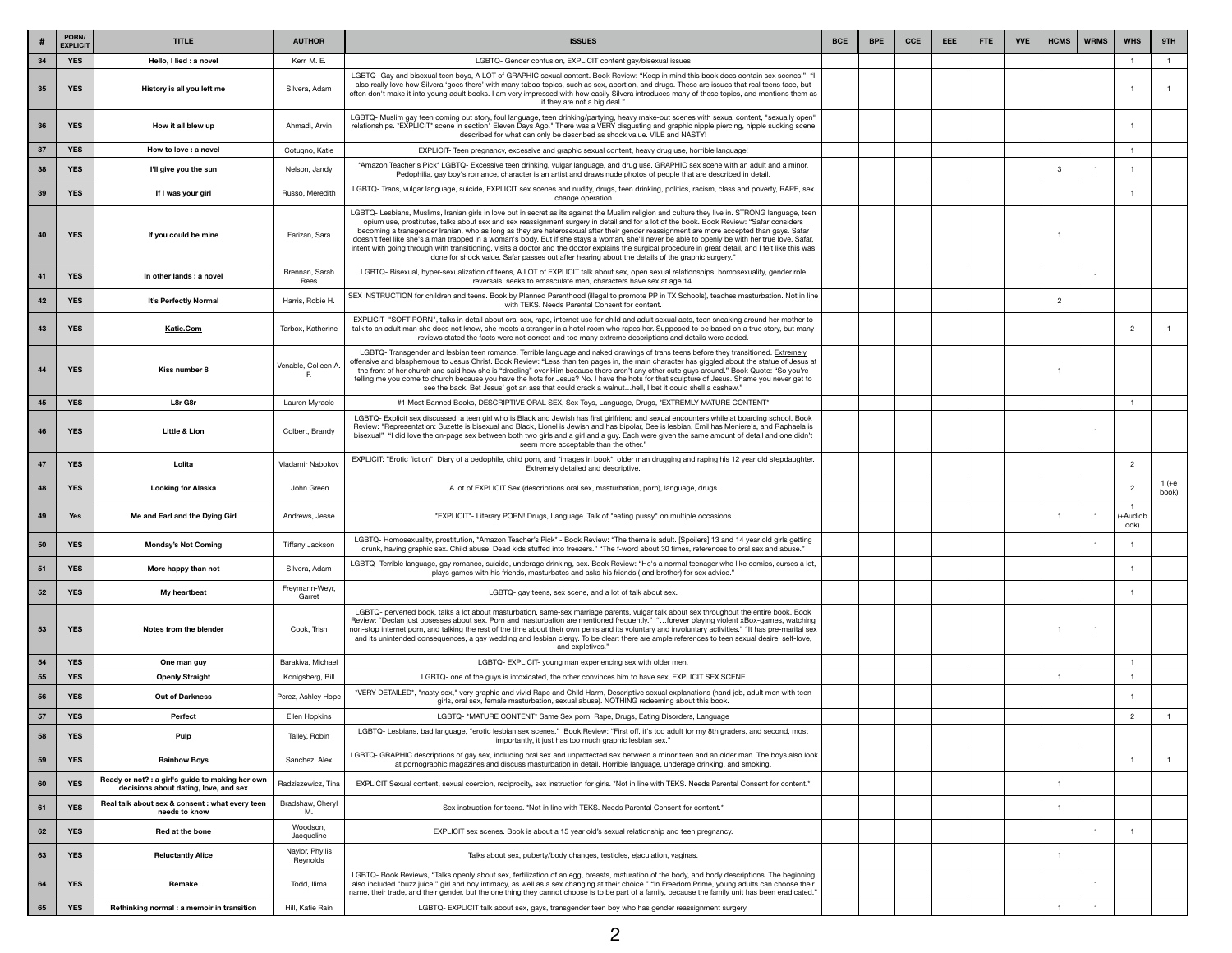|                 | PORN/<br><b>EXPLICIT</b> | <b>TITLE</b>                                                                              | <b>AUTHOR</b>               | <b>ISSUES</b>                                                                                                                                                                                                                                                                                                                                                                                                                                                                                                                                                                                                                                                                                                                                                                                                                                          | <b>BCE</b> | <b>BPE</b> | <b>CCE</b> | EEE | <b>FTE</b> | <b>VVE</b> | <b>HCMS</b> | <b>WRMS</b> | <b>WHS</b>       | 9TH            |
|-----------------|--------------------------|-------------------------------------------------------------------------------------------|-----------------------------|--------------------------------------------------------------------------------------------------------------------------------------------------------------------------------------------------------------------------------------------------------------------------------------------------------------------------------------------------------------------------------------------------------------------------------------------------------------------------------------------------------------------------------------------------------------------------------------------------------------------------------------------------------------------------------------------------------------------------------------------------------------------------------------------------------------------------------------------------------|------------|------------|------------|-----|------------|------------|-------------|-------------|------------------|----------------|
| 34              | <b>YES</b>               | Hello, I lied : a novel                                                                   | Kerr, M. E.                 | LGBTQ- Gender confusion, EXPLICIT content gay/bisexual issues                                                                                                                                                                                                                                                                                                                                                                                                                                                                                                                                                                                                                                                                                                                                                                                          |            |            |            |     |            |            |             |             |                  |                |
| 35 <sub>5</sub> | <b>YES</b>               | History is all you left me                                                                | Silvera, Adam               | LGBTQ- Gay and bisexual teen boys, A LOT of GRAPHIC sexual content. Book Review: "Keep in mind this book does contain sex scenes!" "<br>also really love how Silvera 'goes there' with many taboo topics, such as sex, abortion, and drugs. These are issues that real teens face, but<br>often don't make it into young adult books. I am very impressed with how easily Silvera introduces many of these topics, and mentions them as<br>if they are not a big deal."                                                                                                                                                                                                                                                                                                                                                                                |            |            |            |     |            |            |             |             |                  |                |
| 36              | <b>YES</b>               | How it all blew up                                                                        | Ahmadi, Arvin               | LGBTQ- Muslim gay teen coming out story, foul language, teen drinking/partying, heavy make-out scenes with sexual content, "sexually open"<br>relationships. *EXPLICIT* scene in section" Eleven Days Ago." There was a VERY disgusting and graphic nipple piercing, nipple sucking scene<br>described for what can only be described as shock value. VILE and NASTY!                                                                                                                                                                                                                                                                                                                                                                                                                                                                                  |            |            |            |     |            |            |             |             |                  |                |
| 37              | <b>YES</b>               | How to love : a novel                                                                     | Cotugno, Katie              | EXPLICIT- Teen pregnancy, excessive and graphic sexual content, heavy drug use, horrible language!                                                                                                                                                                                                                                                                                                                                                                                                                                                                                                                                                                                                                                                                                                                                                     |            |            |            |     |            |            |             |             |                  |                |
| 38              | <b>YES</b>               | I'll give you the sun                                                                     | Nelson, Jandy               | *Amazon Teacher's Pick* LGBTQ- Excessive teen drinking, vulgar language, and drug use. GRAPHIC sex scene with an adult and a minor.<br>Pedophilia, gay boy's romance, character is an artist and draws nude photos of people that are described in detail.                                                                                                                                                                                                                                                                                                                                                                                                                                                                                                                                                                                             |            |            |            |     |            |            |             |             |                  |                |
| 39              | <b>YES</b>               | If I was your girl                                                                        | Russo, Meredith             | LGBTQ- Trans, vulgar language, suicide, EXPLICIT sex scenes and nudity, drugs, teen drinking, politics, racism, class and poverty, RAPE, sex<br>change operation                                                                                                                                                                                                                                                                                                                                                                                                                                                                                                                                                                                                                                                                                       |            |            |            |     |            |            |             |             |                  |                |
| 40              | <b>YES</b>               | If you could be mine                                                                      | Farizan, Sara               | LGBTQ- Lesbians, Muslims, Iranian girls in love but in secret as its against the Muslim religion and culture they live in. STRONG language, teen<br>opium use, prostitutes, talks about sex and sex reassignment surgery in detail and for a lot of the book. Book Review: "Safar considers<br>becoming a transgender Iranian, who as long as they are heterosexual after their gender reassignment are more accepted than gays. Safar<br>doesn't feel like she's a man trapped in a woman's body. But if she stays a woman, she'll never be able to openly be with her true love. Safar,<br>intent with going through with transitioning, visits a doctor and the doctor explains the surgical procedure in great detail, and I felt like this was<br>done for shock value. Safar passes out after hearing about the details of the graphic surgery." |            |            |            |     |            |            |             |             |                  |                |
| 41              | <b>YES</b>               | In other lands: a novel                                                                   | Brennan, Sarah<br>Rees      | LGBTQ- Bisexual, hyper-sexualization of teens, A LOT of EXPLICIT talk about sex, open sexual relationships, homosexuality, gender role<br>reversals, seeks to emasculate men, characters have sex at age 14.                                                                                                                                                                                                                                                                                                                                                                                                                                                                                                                                                                                                                                           |            |            |            |     |            |            |             |             |                  |                |
| 42              | <b>YES</b>               | <b>It's Perfectly Normal</b>                                                              | Harris, Robie H.            | SEX INSTRUCTION for children and teens. Book by Planned Parenthood (illegal to promote PP in TX Schools), teaches masturbation. Not in line<br>with TEKS. Needs Parental Consent for content.                                                                                                                                                                                                                                                                                                                                                                                                                                                                                                                                                                                                                                                          |            |            |            |     |            |            |             |             |                  |                |
| 43              | <b>YES</b>               | <b>Katie.Com</b>                                                                          | Tarbox, Katherine           | EXPLICIT- "SOFT PORN", talks in detail about oral sex, rape, internet use for child and adult sexual acts, teen sneaking around her mother to<br>talk to an adult man she does not know, she meets a stranger in a hotel room who rapes her. Supposed to be based on a true story, but many<br>reviews stated the facts were not correct and too many extreme descriptions and details were added.                                                                                                                                                                                                                                                                                                                                                                                                                                                     |            |            |            |     |            |            |             |             | $\Omega$         |                |
| 44              | <b>YES</b>               | Kiss number 8                                                                             | Venable, Colleen A.         | LGBTQ- Transgender and lesbian teen romance. Terrible language and naked drawings of trans teens before they transitioned. Extremely<br>offensive and blasphemous to Jesus Christ. Book Review: "Less than ten pages in, the main character has giggled about the statue of Jesus at<br>the front of her church and said how she is "drooling" over Him because there aren't any other cute guys around." Book Quote: "So you're<br>telling me you come to church because you have the hots for Jesus? No. I have the hots for that sculpture of Jesus. Shame you never get to<br>see the back. Bet Jesus' got an ass that could crack a walnuthell, I bet it could shell a cashew."                                                                                                                                                                   |            |            |            |     |            |            |             |             |                  |                |
| 45              | <b>YES</b>               | L8r G8r                                                                                   | Lauren Myracle              | #1 Most Banned Books, DESCRIPTIVE ORAL SEX, Sex Toys, Language, Drugs, *EXTREMLY MATURE CONTENT*                                                                                                                                                                                                                                                                                                                                                                                                                                                                                                                                                                                                                                                                                                                                                       |            |            |            |     |            |            |             |             |                  |                |
| 46              | <b>YES</b>               | <b>Little &amp; Lion</b>                                                                  | Colbert, Brandy             | LGBTQ- Explicit sex discussed, a teen girl who is Black and Jewish has first girlfriend and sexual encounters while at boarding school. Book<br>Review: "Representation: Suzette is bisexual and Black, Lionel is Jewish and has bipolar, Dee is lesbian, Emil has Meniere's, and Raphaela is<br>bisexual" "I did love the on-page sex between both two girls and a girl and a guy. Each were given the same amount of detail and one didn't<br>seem more acceptable than the other."                                                                                                                                                                                                                                                                                                                                                                  |            |            |            |     |            |            |             |             |                  |                |
| 47              | <b>YES</b>               | Lolita                                                                                    | Vladamir Nabokov            | EXPLICIT: "Erotic fiction". Diary of a pedophile, child porn, and *images in book*, older man drugging and raping his 12 year old stepdaughter.<br>Extremely detailed and descriptive.                                                                                                                                                                                                                                                                                                                                                                                                                                                                                                                                                                                                                                                                 |            |            |            |     |            |            |             |             | $\overline{c}$   |                |
| 48              | <b>YES</b>               | <b>Looking for Alaska</b>                                                                 | John Green                  | A lot of EXPLICIT Sex (descriptions oral sex, masturbation, porn), language, drugs                                                                                                                                                                                                                                                                                                                                                                                                                                                                                                                                                                                                                                                                                                                                                                     |            |            |            |     |            |            |             |             | $\mathcal{P}$    | 1 (+e<br>book) |
| 49              | <b>Yes</b>               | Me and Earl and the Dying Girl                                                            | Andrews, Jesse              | *EXPLICIT*- Literary PORN! Drugs, Language. Talk of "eating pussy" on multiple occasions                                                                                                                                                                                                                                                                                                                                                                                                                                                                                                                                                                                                                                                                                                                                                               |            |            |            |     |            |            |             |             | (+Audiob<br>ook) |                |
| 50              | <b>YES</b>               | <b>Monday's Not Coming</b>                                                                | Tiffany Jackson             | LGBTQ- Homosexuality, prostitution, *Amazon Teacher's Pick* - Book Review: "The theme is adult. [Spoilers] 13 and 14 year old girls getting<br>drunk, having graphic sex. Child abuse. Dead kids stuffed into freezers." "The f-word about 30 times, references to oral sex and abuse."                                                                                                                                                                                                                                                                                                                                                                                                                                                                                                                                                                |            |            |            |     |            |            |             |             |                  |                |
| 51              | <b>YES</b>               | More happy than not                                                                       | Silvera, Adam               | LGBTQ- Terrible language, gay romance, suicide, underage drinking, sex. Book Review: "He's a normal teenager who like comics, curses a lot,<br>plays games with his friends, masturbates and asks his friends (and brother) for sex advice."                                                                                                                                                                                                                                                                                                                                                                                                                                                                                                                                                                                                           |            |            |            |     |            |            |             |             |                  |                |
| 52              | <b>YES</b>               | My heartbeat                                                                              | Freymann-Weyr,<br>Garret    | LGBTQ- gay teens, sex scene, and a lot of talk about sex.                                                                                                                                                                                                                                                                                                                                                                                                                                                                                                                                                                                                                                                                                                                                                                                              |            |            |            |     |            |            |             |             |                  |                |
| 53              | <b>YES</b>               | Notes from the blender                                                                    | Cook, Trish                 | LGBTQ- perverted book, talks a lot about masturbation, same-sex marriage parents, vulgar talk about sex throughout the entire book. Book<br>Review: "Declan just obsesses about sex. Porn and masturbation are mentioned frequently." "forever playing violent xBox-games, watching<br>non-stop internet porn, and talking the rest of the time about their own penis and its voluntary and involuntary activities." "It has pre-marital sex<br>and its unintended consequences, a gay wedding and lesbian clergy. To be clear: there are ample references to teen sexual desire, self-love,<br>and expletives."                                                                                                                                                                                                                                       |            |            |            |     |            |            |             |             |                  |                |
| 54              | <b>YES</b>               | One man guy                                                                               | Barakiva, Michael           | LGBTQ- EXPLICIT- young man experiencing sex with older men.                                                                                                                                                                                                                                                                                                                                                                                                                                                                                                                                                                                                                                                                                                                                                                                            |            |            |            |     |            |            |             |             |                  |                |
| 55              | <b>YES</b>               | <b>Openly Straight</b>                                                                    | Konigsberg, Bill            | LGBTQ- one of the guys is intoxicated, the other convinces him to have sex, EXPLICIT SEX SCENE                                                                                                                                                                                                                                                                                                                                                                                                                                                                                                                                                                                                                                                                                                                                                         |            |            |            |     |            |            |             |             |                  |                |
| 56              | <b>YES</b>               | <b>Out of Darkness</b>                                                                    | Perez, Ashley Hope          | *VERY DETAILED*, "nasty sex," very graphic and vivid Rape and Child Harm, Descriptive sexual explanations (hand job, adult men with teen<br>girls, oral sex, female masturbation, sexual abuse). NOTHING redeeming about this book.                                                                                                                                                                                                                                                                                                                                                                                                                                                                                                                                                                                                                    |            |            |            |     |            |            |             |             |                  |                |
| 57              | <b>YES</b>               | <b>Perfect</b>                                                                            | Ellen Hopkins               | LGBTQ- *MATURE CONTENT* Same Sex porn, Rape, Drugs, Eating Disorders, Language                                                                                                                                                                                                                                                                                                                                                                                                                                                                                                                                                                                                                                                                                                                                                                         |            |            |            |     |            |            |             |             | $\mathcal{P}$    |                |
| 58              | <b>YES</b>               | Pulp                                                                                      | Talley, Robin               | LGBTQ- Lesbians, bad language, "erotic lesbian sex scenes." Book Review: "First off, it's too adult for my 8th graders, and second, most<br>importantly, it just has too much graphic lesbian sex."                                                                                                                                                                                                                                                                                                                                                                                                                                                                                                                                                                                                                                                    |            |            |            |     |            |            |             |             |                  |                |
| 59              | <b>YES</b>               | <b>Rainbow Boys</b>                                                                       | Sanchez, Alex               | LGBTQ- GRAPHIC descriptions of gay sex, including oral sex and unprotected sex between a minor teen and an older man. The boys also look<br>at pornographic magazines and discuss masturbation in detail. Horrible language, underage drinking, and smoking,                                                                                                                                                                                                                                                                                                                                                                                                                                                                                                                                                                                           |            |            |            |     |            |            |             |             |                  |                |
| 60              | <b>YES</b>               | Ready or not? : a girl's guide to making her own<br>decisions about dating, love, and sex | Radziszewicz, Tina          | EXPLICIT Sexual content, sexual coercion, reciprocity, sex instruction for girls. *Not in line with TEKS. Needs Parental Consent for content.*                                                                                                                                                                                                                                                                                                                                                                                                                                                                                                                                                                                                                                                                                                         |            |            |            |     |            |            |             |             |                  |                |
| 61              | <b>YES</b>               | Real talk about sex & consent : what every teen<br>needs to know                          | Bradshaw, Cheryl<br>M.      | Sex instruction for teens. *Not in line with TEKS. Needs Parental Consent for content.*                                                                                                                                                                                                                                                                                                                                                                                                                                                                                                                                                                                                                                                                                                                                                                |            |            |            |     |            |            |             |             |                  |                |
| 62              | <b>YES</b>               | Red at the bone                                                                           | Woodson,<br>Jacqueline      | EXPLICIT sex scenes. Book is about a 15 year old's sexual relationship and teen pregnancy.                                                                                                                                                                                                                                                                                                                                                                                                                                                                                                                                                                                                                                                                                                                                                             |            |            |            |     |            |            |             |             |                  |                |
| 63              | <b>YES</b>               | <b>Reluctantly Alice</b>                                                                  | Naylor, Phyllis<br>Reynolds | Talks about sex, puberty/body changes, testicles, ejaculation, vaginas.                                                                                                                                                                                                                                                                                                                                                                                                                                                                                                                                                                                                                                                                                                                                                                                |            |            |            |     |            |            |             |             |                  |                |
| 64              | <b>YES</b>               | Remake                                                                                    | Todd, Ilima                 | LGBTQ- Book Reviews, "Talks openly about sex, fertilization of an egg, breasts, maturation of the body, and body descriptions. The beginning<br>also included "buzz juice," girl and boy intimacy, as well as a sex changing at their choice." "In Freedom Prime, young adults can choose their<br>name, their trade, and their gender, but the one thing they cannot choose is to be part of a family, because the family unit has been eradicated."                                                                                                                                                                                                                                                                                                                                                                                                  |            |            |            |     |            |            |             |             |                  |                |
| 65              | <b>YES</b>               | Rethinking normal : a memoir in transition                                                | Hill, Katie Rain            | LGBTQ- EXPLICIT talk about sex, gays, transgender teen boy who has gender reassignment surgery.                                                                                                                                                                                                                                                                                                                                                                                                                                                                                                                                                                                                                                                                                                                                                        |            |            |            |     |            |            |             |             |                  |                |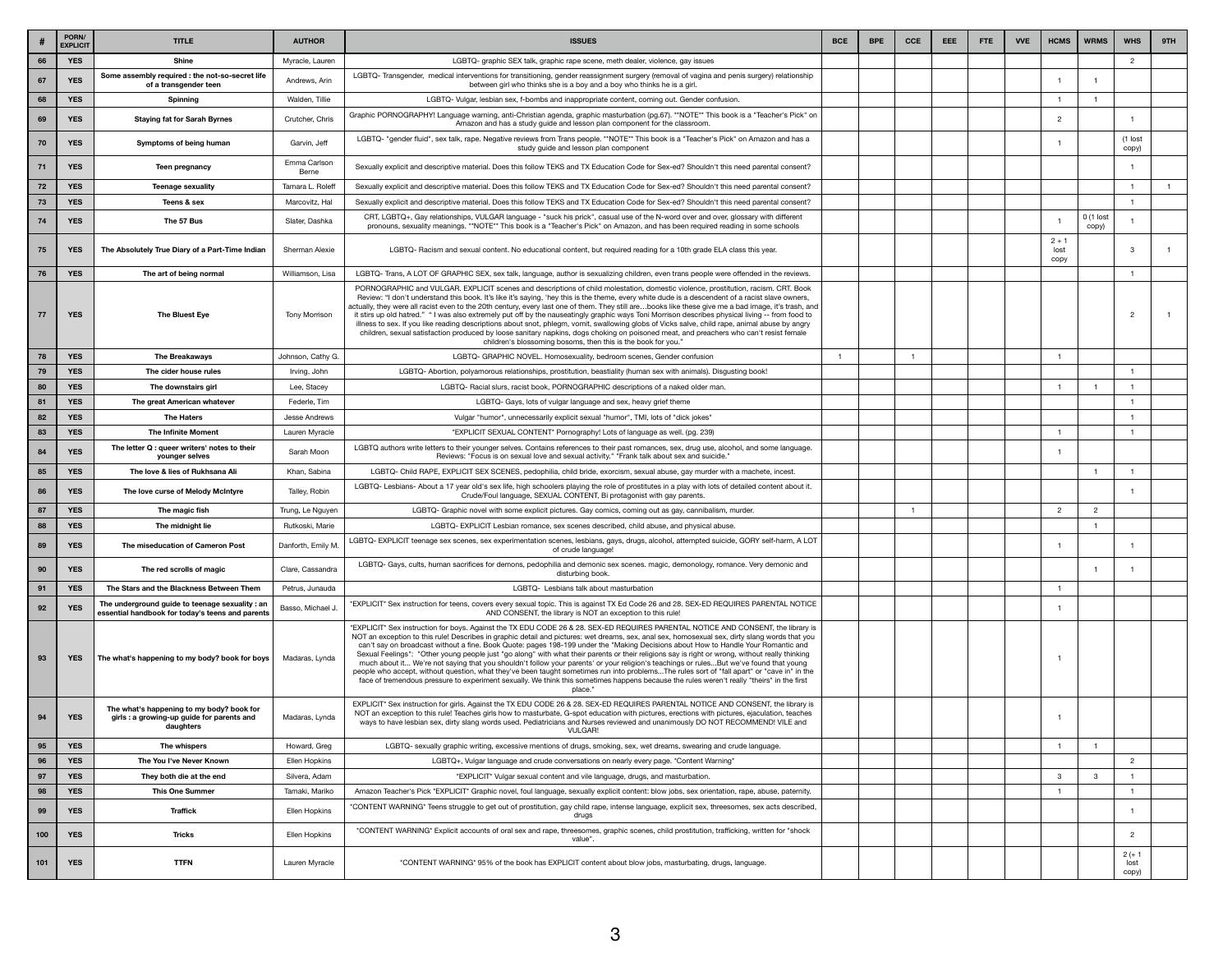|     | PORN/<br><b>EXPLICIT</b> | <b>TITLE</b>                                                                                         | <b>AUTHOR</b>         | <b>ISSUES</b>                                                                                                                                                                                                                                                                                                                                                                                                                                                                                                                                                                                                                                                                                                                                                                                                                                                                                                                                                                                                                  | <b>BCE</b> | <b>BPE</b> | <b>CCE</b> | EEE | <b>FTE</b> | <b>VVE</b> | <b>HCMS</b>             | <b>WRMS</b>         | <b>WHS</b>                 | 9TH |
|-----|--------------------------|------------------------------------------------------------------------------------------------------|-----------------------|--------------------------------------------------------------------------------------------------------------------------------------------------------------------------------------------------------------------------------------------------------------------------------------------------------------------------------------------------------------------------------------------------------------------------------------------------------------------------------------------------------------------------------------------------------------------------------------------------------------------------------------------------------------------------------------------------------------------------------------------------------------------------------------------------------------------------------------------------------------------------------------------------------------------------------------------------------------------------------------------------------------------------------|------------|------------|------------|-----|------------|------------|-------------------------|---------------------|----------------------------|-----|
| 66  | <b>YES</b>               | <b>Shine</b>                                                                                         | Myracle, Lauren       | LGBTQ- graphic SEX talk, graphic rape scene, meth dealer, violence, gay issues                                                                                                                                                                                                                                                                                                                                                                                                                                                                                                                                                                                                                                                                                                                                                                                                                                                                                                                                                 |            |            |            |     |            |            |                         |                     | $\overline{c}$             |     |
| 67  | <b>YES</b>               | Some assembly required : the not-so-secret life<br>of a transgender teen                             | Andrews, Arin         | LGBTQ- Transgender, medical interventions for transitioning, gender reassignment surgery (removal of vagina and penis surgery) relationship<br>between girl who thinks she is a boy and a boy who thinks he is a girl.                                                                                                                                                                                                                                                                                                                                                                                                                                                                                                                                                                                                                                                                                                                                                                                                         |            |            |            |     |            |            |                         |                     |                            |     |
| 68  | <b>YES</b>               | <b>Spinning</b>                                                                                      | Walden, Tillie        | LGBTQ- Vulgar, lesbian sex, f-bombs and inappropriate content, coming out. Gender confusion.                                                                                                                                                                                                                                                                                                                                                                                                                                                                                                                                                                                                                                                                                                                                                                                                                                                                                                                                   |            |            |            |     |            |            |                         |                     |                            |     |
| 69  | <b>YES</b>               | <b>Staying fat for Sarah Byrnes</b>                                                                  | Crutcher, Chris       | Graphic PORNOGRAPHY! Language warning, anti-Christian agenda, graphic masturbation (pg.67). **NOTE** This book is a "Teacher's Pick" on<br>Amazon and has a study guide and lesson plan component for the classroom.                                                                                                                                                                                                                                                                                                                                                                                                                                                                                                                                                                                                                                                                                                                                                                                                           |            |            |            |     |            |            | $\overline{2}$          |                     |                            |     |
| 70  | <b>YES</b>               | <b>Symptoms of being human</b>                                                                       | Garvin, Jeff          | LGBTQ- "gender fluid", sex talk, rape. Negative reviews from Trans people. **NOTE** This book is a "Teacher's Pick" on Amazon and has a<br>study guide and lesson plan component                                                                                                                                                                                                                                                                                                                                                                                                                                                                                                                                                                                                                                                                                                                                                                                                                                               |            |            |            |     |            |            |                         |                     | (1 lost<br>copy)           |     |
| 71  | <b>YES</b>               | Teen pregnancy                                                                                       | Emma Carlson<br>Berne | Sexually explicit and descriptive material. Does this follow TEKS and TX Education Code for Sex-ed? Shouldn't this need parental consent?                                                                                                                                                                                                                                                                                                                                                                                                                                                                                                                                                                                                                                                                                                                                                                                                                                                                                      |            |            |            |     |            |            |                         |                     |                            |     |
| 72  | <b>YES</b>               | <b>Teenage sexuality</b>                                                                             | Tamara L. Roleff      | Sexually explicit and descriptive material. Does this follow TEKS and TX Education Code for Sex-ed? Shouldn't this need parental consent?                                                                                                                                                                                                                                                                                                                                                                                                                                                                                                                                                                                                                                                                                                                                                                                                                                                                                      |            |            |            |     |            |            |                         |                     |                            |     |
| 73  | <b>YES</b>               | Teens & sex                                                                                          | Marcovitz, Hal        | Sexually explicit and descriptive material. Does this follow TEKS and TX Education Code for Sex-ed? Shouldn't this need parental consent?                                                                                                                                                                                                                                                                                                                                                                                                                                                                                                                                                                                                                                                                                                                                                                                                                                                                                      |            |            |            |     |            |            |                         |                     |                            |     |
| 74  | <b>YES</b>               | The 57 Bus                                                                                           | Slater, Dashka        | CRT, LGBTQ+, Gay relationships, VULGAR language - "suck his prick", casual use of the N-word over and over, glossary with different<br>pronouns, sexuality meanings. **NOTE** This book is a "Teacher's Pick" on Amazon, and has been required reading in some schools                                                                                                                                                                                                                                                                                                                                                                                                                                                                                                                                                                                                                                                                                                                                                         |            |            |            |     |            |            |                         | $0(1$ lost<br>copy) |                            |     |
| 75  | <b>YES</b>               | The Absolutely True Diary of a Part-Time Indian                                                      | Sherman Alexie        | LGBTQ- Racism and sexual content. No educational content, but required reading for a 10th grade ELA class this year.                                                                                                                                                                                                                                                                                                                                                                                                                                                                                                                                                                                                                                                                                                                                                                                                                                                                                                           |            |            |            |     |            |            | $2 + 1$<br>lost<br>copy |                     | -3                         |     |
| 76  | <b>YES</b>               | The art of being normal                                                                              | Williamson, Lisa      | LGBTQ- Trans, A LOT OF GRAPHIC SEX, sex talk, language, author is sexualizing children, even trans people were offended in the reviews.                                                                                                                                                                                                                                                                                                                                                                                                                                                                                                                                                                                                                                                                                                                                                                                                                                                                                        |            |            |            |     |            |            |                         |                     |                            |     |
| 77  | <b>YES</b>               | The Bluest Eye                                                                                       | <b>Tony Morrison</b>  | PORNOGRAPHIC and VULGAR. EXPLICIT scenes and descriptions of child molestation, domestic violence, prostitution, racism. CRT. Book<br>Review: "I don't understand this book. It's like it's saying, 'hey this is the theme, every white dude is a descendent of a racist slave owners,<br>actually, they were all racist even to the 20th century, every last one of them. They still arebooks like these give me a bad image, it's trash, and<br>it stirs up old hatred." "I was also extremely put off by the nauseatingly graphic ways Toni Morrison describes physical living -- from food to<br>illness to sex. If you like reading descriptions about snot, phlegm, vomit, swallowing globs of Vicks salve, child rape, animal abuse by angry<br>children, sexual satisfaction produced by loose sanitary napkins, dogs choking on poisoned meat, and preachers who can't resist female<br>children's blossoming bosoms, then this is the book for you."                                                                 |            |            |            |     |            |            |                         |                     | - 2                        |     |
|     | <b>YES</b>               | <b>The Breakaways</b>                                                                                | Johnson, Cathy G.     | LGBTQ- GRAPHIC NOVEL. Homosexuality, bedroom scenes, Gender confusion                                                                                                                                                                                                                                                                                                                                                                                                                                                                                                                                                                                                                                                                                                                                                                                                                                                                                                                                                          |            |            |            |     |            |            |                         |                     |                            |     |
| 79  | <b>YES</b>               | The cider house rules                                                                                | Irving, John          | LGBTQ- Abortion, polyamorous relationships, prostitution, beastiality (human sex with animals). Disgusting book!                                                                                                                                                                                                                                                                                                                                                                                                                                                                                                                                                                                                                                                                                                                                                                                                                                                                                                               |            |            |            |     |            |            |                         |                     |                            |     |
| 80  | <b>YES</b>               | The downstairs girl                                                                                  | Lee, Stacey           | LGBTQ- Racial slurs, racist book, PORNOGRAPHIC descriptions of a naked older man.                                                                                                                                                                                                                                                                                                                                                                                                                                                                                                                                                                                                                                                                                                                                                                                                                                                                                                                                              |            |            |            |     |            |            |                         |                     |                            |     |
| 81  | <b>YES</b>               | The great American whatever                                                                          | Federle, Tim          | LGBTQ- Gays, lots of vulgar language and sex, heavy grief theme                                                                                                                                                                                                                                                                                                                                                                                                                                                                                                                                                                                                                                                                                                                                                                                                                                                                                                                                                                |            |            |            |     |            |            |                         |                     |                            |     |
| 82  | <b>YES</b>               | <b>The Haters</b>                                                                                    | Jesse Andrews         | Vulgar "humor", unnecessarily explicit sexual "humor", TMI, lots of "dick jokes"                                                                                                                                                                                                                                                                                                                                                                                                                                                                                                                                                                                                                                                                                                                                                                                                                                                                                                                                               |            |            |            |     |            |            |                         |                     |                            |     |
| 83  | <b>YES</b>               | <b>The Infinite Moment</b>                                                                           | Lauren Myracle        | *EXPLICIT SEXUAL CONTENT* Pornography! Lots of language as well. (pg. 239)                                                                                                                                                                                                                                                                                                                                                                                                                                                                                                                                                                                                                                                                                                                                                                                                                                                                                                                                                     |            |            |            |     |            |            |                         |                     |                            |     |
| 84  | <b>YES</b>               | The letter Q : queer writers' notes to their<br>younger selves                                       | Sarah Moon            | LGBTQ authors write letters to their younger selves. Contains references to their past romances, sex, drug use, alcohol, and some language.<br>Reviews: "Focus is on sexual love and sexual activity." "Frank talk about sex and suicide."                                                                                                                                                                                                                                                                                                                                                                                                                                                                                                                                                                                                                                                                                                                                                                                     |            |            |            |     |            |            |                         |                     |                            |     |
| 85  | <b>YES</b>               | The love & lies of Rukhsana Ali                                                                      | Khan, Sabina          | LGBTQ- Child RAPE, EXPLICIT SEX SCENES, pedophilia, child bride, exorcism, sexual abuse, gay murder with a machete, incest.                                                                                                                                                                                                                                                                                                                                                                                                                                                                                                                                                                                                                                                                                                                                                                                                                                                                                                    |            |            |            |     |            |            |                         |                     |                            |     |
| 86  | <b>YES</b>               | The love curse of Melody McIntyre                                                                    | Talley, Robin         | LGBTQ- Lesbians- About a 17 year old's sex life, high schoolers playing the role of prostitutes in a play with lots of detailed content about it.<br>Crude/Foul language, SEXUAL CONTENT, Bi protagonist with gay parents.                                                                                                                                                                                                                                                                                                                                                                                                                                                                                                                                                                                                                                                                                                                                                                                                     |            |            |            |     |            |            |                         |                     |                            |     |
| 87  | <b>YES</b>               | The magic fish                                                                                       | Trung, Le Nguyen      | LGBTQ- Graphic novel with some explicit pictures. Gay comics, coming out as gay, cannibalism, murder.                                                                                                                                                                                                                                                                                                                                                                                                                                                                                                                                                                                                                                                                                                                                                                                                                                                                                                                          |            |            |            |     |            |            | $\overline{2}$          | $\Omega$            |                            |     |
| 88  | <b>YES</b>               | The midnight lie                                                                                     | Rutkoski, Marie       | LGBTQ- EXPLICIT Lesbian romance, sex scenes described, child abuse, and physical abuse.                                                                                                                                                                                                                                                                                                                                                                                                                                                                                                                                                                                                                                                                                                                                                                                                                                                                                                                                        |            |            |            |     |            |            |                         |                     |                            |     |
| 89  | <b>YES</b>               | The miseducation of Cameron Post                                                                     | Danforth, Emily M     | LGBTQ- EXPLICIT teenage sex scenes, sex experimentation scenes, lesbians, gays, drugs, alcohol, attempted suicide, GORY self-harm, A LOT<br>of crude language!                                                                                                                                                                                                                                                                                                                                                                                                                                                                                                                                                                                                                                                                                                                                                                                                                                                                 |            |            |            |     |            |            |                         |                     |                            |     |
| 90  | <b>YES</b>               | The red scrolls of magic                                                                             | Clare, Cassandra      | LGBTQ- Gays, cults, human sacrifices for demons, pedophilia and demonic sex scenes. magic, demonology, romance. Very demonic and<br>disturbing book.                                                                                                                                                                                                                                                                                                                                                                                                                                                                                                                                                                                                                                                                                                                                                                                                                                                                           |            |            |            |     |            |            |                         |                     |                            |     |
| 91  | <b>YES</b>               | The Stars and the Blackness Between Them                                                             | Petrus, Junauda       | LGBTQ- Lesbians talk about masturbation                                                                                                                                                                                                                                                                                                                                                                                                                                                                                                                                                                                                                                                                                                                                                                                                                                                                                                                                                                                        |            |            |            |     |            |            |                         |                     |                            |     |
| 92  | <b>YES</b>               | The underground guide to teenage sexuality : an<br>essential handbook for today's teens and parents  | Basso, Michael J      | *EXPLICIT* Sex instruction for teens, covers every sexual topic. This is against TX Ed Code 26 and 28. SEX-ED REQUIRES PARENTAL NOTICE<br>AND CONSENT, the library is NOT an exception to this rule!                                                                                                                                                                                                                                                                                                                                                                                                                                                                                                                                                                                                                                                                                                                                                                                                                           |            |            |            |     |            |            |                         |                     |                            |     |
| 93  | <b>YES</b>               | The what's happening to my body? book for boys                                                       | Madaras, Lynda        | *EXPLICIT* Sex instruction for boys. Against the TX EDU CODE 26 & 28. SEX-ED REQUIRES PARENTAL NOTICE AND CONSENT, the library is<br>NOT an exception to this rule! Describes in graphic detail and pictures: wet dreams, sex, anal sex, homosexual sex, dirty slang words that you<br>can't say on broadcast without a fine. Book Quote: pages 198-199 under the "Making Decisions about How to Handle Your Romantic and<br>Sexual Feelings": "Other young people just "go along" with what their parents or their religions say is right or wrong, without really thinking<br>much about it We're not saying that you shouldn't follow your parents' or your religion's teachings or rulesBut we've found that young<br>people who accept, without question, what they've been taught sometimes run into problemsThe rules sort of "fall apart" or "cave in" in the<br>face of tremendous pressure to experiment sexually. We think this sometimes happens because the rules weren't really "theirs" in the first<br>place.' |            |            |            |     |            |            |                         |                     |                            |     |
| 94  | <b>YES</b>               | The what's happening to my body? book for<br>girls : a growing-up guide for parents and<br>daughters | Madaras, Lynda        | EXPLICIT* Sex instruction for girls. Against the TX EDU CODE 26 & 28. SEX-ED REQUIRES PARENTAL NOTICE AND CONSENT, the library is<br>NOT an exception to this rule! Teaches girls how to masturbate, G-spot education with pictures, erections with pictures, ejaculation, teaches<br>ways to have lesbian sex, dirty slang words used. Pediatricians and Nurses reviewed and unanimously DO NOT RECOMMEND! VILE and<br><b>VULGAR!</b>                                                                                                                                                                                                                                                                                                                                                                                                                                                                                                                                                                                         |            |            |            |     |            |            |                         |                     |                            |     |
| 95  | <b>YES</b>               | The whispers                                                                                         | Howard, Greg          | LGBTQ- sexually graphic writing, excessive mentions of drugs, smoking, sex, wet dreams, swearing and crude language.                                                                                                                                                                                                                                                                                                                                                                                                                                                                                                                                                                                                                                                                                                                                                                                                                                                                                                           |            |            |            |     |            |            |                         |                     |                            |     |
| 96  | <b>YES</b>               | The You I've Never Known                                                                             | <b>Ellen Hopkins</b>  | LGBTQ+, Vulgar language and crude conversations on nearly every page. *Content Warning*                                                                                                                                                                                                                                                                                                                                                                                                                                                                                                                                                                                                                                                                                                                                                                                                                                                                                                                                        |            |            |            |     |            |            |                         |                     | $\overline{2}$             |     |
| 97  | <b>YES</b>               | They both die at the end                                                                             | Silvera, Adam         | *EXPLICIT* Vulgar sexual content and vile language, drugs, and masturbation                                                                                                                                                                                                                                                                                                                                                                                                                                                                                                                                                                                                                                                                                                                                                                                                                                                                                                                                                    |            |            |            |     |            |            | 3                       |                     |                            |     |
| 98  | <b>YES</b>               | <b>This One Summer</b>                                                                               | Tamaki, Mariko        | Amazon Teacher's Pick *EXPLICIT* Graphic novel, foul language, sexually explicit content: blow jobs, sex orientation, rape, abuse, paternity.                                                                                                                                                                                                                                                                                                                                                                                                                                                                                                                                                                                                                                                                                                                                                                                                                                                                                  |            |            |            |     |            |            |                         |                     |                            |     |
| 99  | <b>YES</b>               | <b>Traffick</b>                                                                                      | <b>Ellen Hopkins</b>  | *CONTENT WARNING* Teens struggle to get out of prostitution, gay child rape, intense language, explicit sex, threesomes, sex acts described,<br>drugs                                                                                                                                                                                                                                                                                                                                                                                                                                                                                                                                                                                                                                                                                                                                                                                                                                                                          |            |            |            |     |            |            |                         |                     |                            |     |
| 100 | <b>YES</b>               | <b>Tricks</b>                                                                                        | <b>Ellen Hopkins</b>  | *CONTENT WARNING* Explicit accounts of oral sex and rape, threesomes, graphic scenes, child prostitution, trafficking, written for "shock<br>value".                                                                                                                                                                                                                                                                                                                                                                                                                                                                                                                                                                                                                                                                                                                                                                                                                                                                           |            |            |            |     |            |            |                         |                     | $\mathcal{P}$              |     |
| 101 | <b>YES</b>               | <b>TTFN</b>                                                                                          | Lauren Myracle        | *CONTENT WARNING* 95% of the book has EXPLICIT content about blow jobs, masturbating, drugs, language.                                                                                                                                                                                                                                                                                                                                                                                                                                                                                                                                                                                                                                                                                                                                                                                                                                                                                                                         |            |            |            |     |            |            |                         |                     | $2 (+ 1)$<br>lost<br>copy) |     |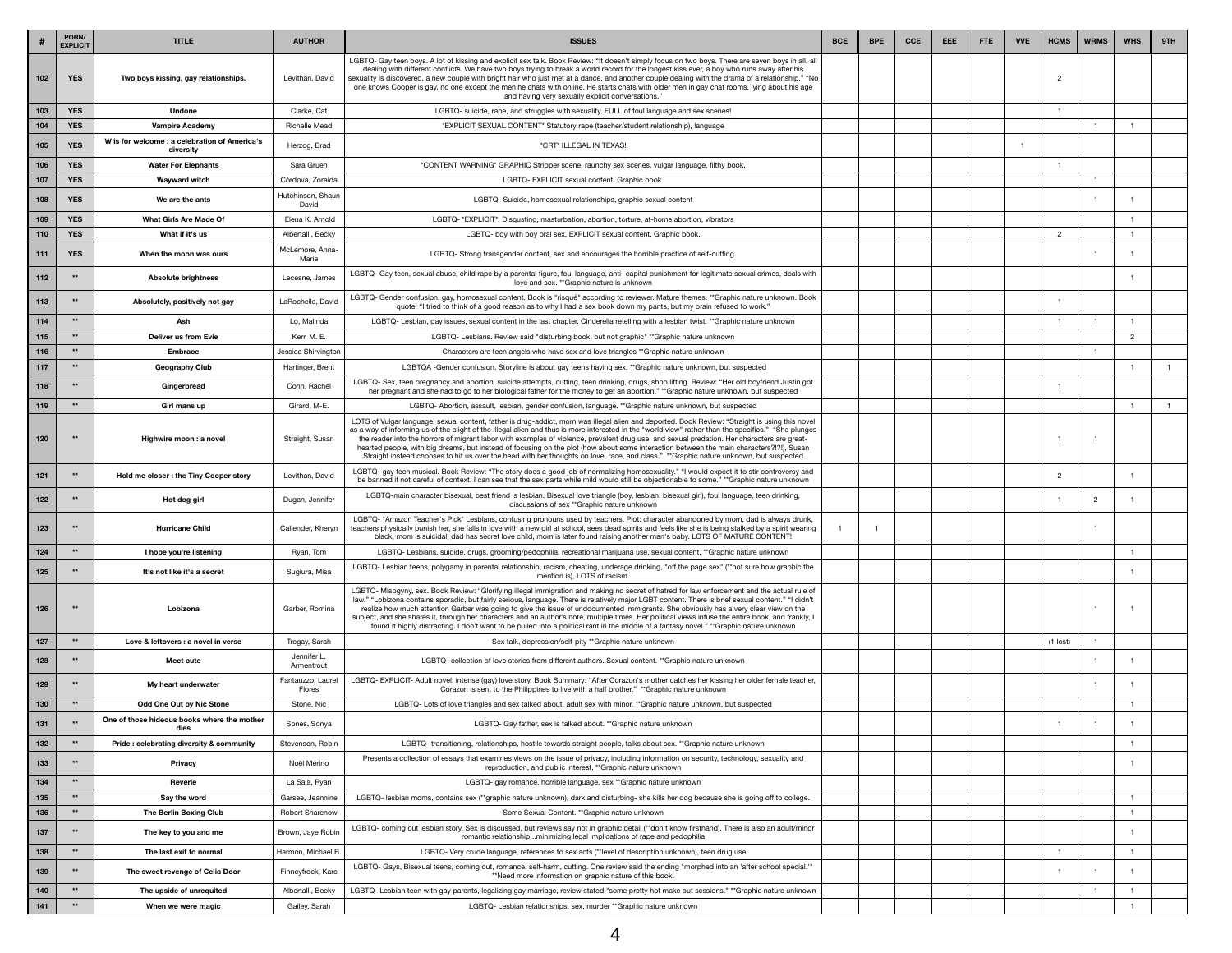|     | PORN/<br><b>EXPLICIT</b> | <b>TITLE</b>                                               | <b>AUTHOR</b>               | <b>ISSUES</b>                                                                                                                                                                                                                                                                                                                                                                                                                                                                                                                                                                                                                                                                                                                                 | <b>BCE</b> | <b>BPE</b> | <b>CCE</b> | EEE | <b>FTE</b> | <b>VVE</b> | <b>HCMS</b>    | <b>WRMS</b> | <b>WHS</b> | 9TH |
|-----|--------------------------|------------------------------------------------------------|-----------------------------|-----------------------------------------------------------------------------------------------------------------------------------------------------------------------------------------------------------------------------------------------------------------------------------------------------------------------------------------------------------------------------------------------------------------------------------------------------------------------------------------------------------------------------------------------------------------------------------------------------------------------------------------------------------------------------------------------------------------------------------------------|------------|------------|------------|-----|------------|------------|----------------|-------------|------------|-----|
| 102 | <b>YES</b>               | Two boys kissing, gay relationships.                       | Levithan, David             | LGBTQ- Gay teen boys. A lot of kissing and explicit sex talk. Book Review: "It doesn't simply focus on two boys. There are seven boys in all, all<br>dealing with different conflicts. We have two boys trying to break a world record for the longest kiss ever, a boy who runs away after his<br>sexuality is discovered, a new couple with bright hair who just met at a dance, and another couple dealing with the drama of a relationship." "No<br>one knows Cooper is gay, no one except the men he chats with online. He starts chats with older men in gay chat rooms, lying about his age<br>and having very sexually explicit conversations."                                                                                       |            |            |            |     |            |            | $\overline{2}$ |             |            |     |
| 103 | <b>YES</b>               | <b>Undone</b>                                              | Clarke, Cat                 | LGBTQ- suicide, rape, and struggles with sexuality. FULL of foul language and sex scenes!                                                                                                                                                                                                                                                                                                                                                                                                                                                                                                                                                                                                                                                     |            |            |            |     |            |            |                |             |            |     |
| 104 | <b>YES</b>               | <b>Vampire Academy</b>                                     | <b>Richelle Mead</b>        | *EXPLICIT SEXUAL CONTENT* Statutory rape (teacher/student relationship), language                                                                                                                                                                                                                                                                                                                                                                                                                                                                                                                                                                                                                                                             |            |            |            |     |            |            |                |             |            |     |
| 105 | <b>YES</b>               | W is for welcome : a celebration of America's<br>diversity | Herzog, Brad                | *CRT* ILLEGAL IN TEXAS!                                                                                                                                                                                                                                                                                                                                                                                                                                                                                                                                                                                                                                                                                                                       |            |            |            |     |            |            |                |             |            |     |
| 106 | <b>YES</b>               | <b>Water For Elephants</b>                                 | Sara Gruen                  | *CONTENT WARNING* GRAPHIC Stripper scene, raunchy sex scenes, vulgar language, filthy book.                                                                                                                                                                                                                                                                                                                                                                                                                                                                                                                                                                                                                                                   |            |            |            |     |            |            |                |             |            |     |
| 107 | <b>YES</b>               | <b>Wayward witch</b>                                       | Córdova, Zoraida            | LGBTQ- EXPLICIT sexual content. Graphic book.                                                                                                                                                                                                                                                                                                                                                                                                                                                                                                                                                                                                                                                                                                 |            |            |            |     |            |            |                |             |            |     |
| 108 | <b>YES</b>               | We are the ants                                            | Hutchinson, Shaun<br>David  | LGBTQ- Suicide, homosexual relationships, graphic sexual content                                                                                                                                                                                                                                                                                                                                                                                                                                                                                                                                                                                                                                                                              |            |            |            |     |            |            |                |             |            |     |
| 109 | <b>YES</b>               | <b>What Girls Are Made Of</b>                              | Elena K. Arnold             | LGBTQ-*EXPLICIT*, Disgusting, masturbation, abortion, torture, at-home abortion, vibrators                                                                                                                                                                                                                                                                                                                                                                                                                                                                                                                                                                                                                                                    |            |            |            |     |            |            |                |             |            |     |
| 110 | <b>YES</b>               | What if it's us                                            | Albertalli, Becky           | LGBTQ- boy with boy oral sex, EXPLICIT sexual content. Graphic book.                                                                                                                                                                                                                                                                                                                                                                                                                                                                                                                                                                                                                                                                          |            |            |            |     |            |            |                |             |            |     |
| 111 | <b>YES</b>               | When the moon was ours                                     | McLemore, Anna-<br>Marie    | LGBTQ- Strong transgender content, sex and encourages the horrible practice of self-cutting.                                                                                                                                                                                                                                                                                                                                                                                                                                                                                                                                                                                                                                                  |            |            |            |     |            |            |                |             |            |     |
| 112 | $***$                    | <b>Absolute brightness</b>                                 | Lecesne, James              | LGBTQ- Gay teen, sexual abuse, child rape by a parental figure, foul language, anti- capital punishment for legitimate sexual crimes, deals with<br>love and sex. ** Graphic nature is unknown                                                                                                                                                                                                                                                                                                                                                                                                                                                                                                                                                |            |            |            |     |            |            |                |             |            |     |
| 113 | $***$                    | Absolutely, positively not gay                             | LaRochelle, David           | LGBTQ- Gender confusion, gay, homosexual content. Book is "risqué" according to reviewer. Mature themes. **Graphic nature unknown. Book<br>quote: "I tried to think of a good reason as to why I had a sex book down my pants, but my brain refused to work."                                                                                                                                                                                                                                                                                                                                                                                                                                                                                 |            |            |            |     |            |            |                |             |            |     |
| 114 | $***$                    | Ash                                                        | Lo, Malinda                 | LGBTQ- Lesbian, gay issues, sexual content in the last chapter. Cinderella retelling with a lesbian twist. **Graphic nature unknown                                                                                                                                                                                                                                                                                                                                                                                                                                                                                                                                                                                                           |            |            |            |     |            |            |                |             |            |     |
| 115 | $***$                    | <b>Deliver us from Evie</b>                                | Kerr, M. E.                 | LGBTQ- Lesbians. Review said "disturbing book, but not graphic" **Graphic nature unknown                                                                                                                                                                                                                                                                                                                                                                                                                                                                                                                                                                                                                                                      |            |            |            |     |            |            |                |             | 2          |     |
| 116 | $***$                    | Embrace                                                    | Jessica Shirvington         | Characters are teen angels who have sex and love triangles **Graphic nature unknown                                                                                                                                                                                                                                                                                                                                                                                                                                                                                                                                                                                                                                                           |            |            |            |     |            |            |                |             |            |     |
| 117 | $***$                    | <b>Geography Club</b>                                      | Hartinger, Brent            | LGBTQA -Gender confusion. Storyline is about gay teens having sex. **Graphic nature unknown, but suspected                                                                                                                                                                                                                                                                                                                                                                                                                                                                                                                                                                                                                                    |            |            |            |     |            |            |                |             |            |     |
| 118 | $***$                    | Gingerbread                                                | Cohn, Rachel                | LGBTQ- Sex, teen pregnancy and abortion, suicide attempts, cutting, teen drinking, drugs, shop lifting. Review: "Her old boyfriend Justin got<br>her pregnant and she had to go to her biological father for the money to get an abortion." **Graphic nature unknown, but suspected                                                                                                                                                                                                                                                                                                                                                                                                                                                           |            |            |            |     |            |            |                |             |            |     |
| 119 | $***$                    | Girl mans up                                               | Girard, M-E.                | LGBTQ- Abortion, assault, lesbian, gender confusion, language. **Graphic nature unknown, but suspected                                                                                                                                                                                                                                                                                                                                                                                                                                                                                                                                                                                                                                        |            |            |            |     |            |            |                |             |            |     |
| 120 | $***$                    | Highwire moon: a novel                                     | Straight, Susan             | LOTS of Vulgar language, sexual content, father is drug-addict, mom was illegal alien and deported. Book Review: "Straight is using this novel<br>as a way of informing us of the plight of the illegal alien and thus is more interested in the "world view" rather than the specifics." "She plunges<br>the reader into the horrors of migrant labor with examples of violence, prevalent drug use, and sexual predation. Her characters are great-<br>hearted people, with big dreams, but instead of focusing on the plot (how about some interaction between the main characters?!?!), Susan<br>Straight instead chooses to hit us over the head with her thoughts on love, race, and class." **Graphic nature unknown, but suspected    |            |            |            |     |            |            |                |             |            |     |
| 121 | $***$                    | Hold me closer: the Tiny Cooper story                      | Levithan, David             | LGBTQ- gay teen musical. Book Review: "The story does a good job of normalizing homosexuality." "I would expect it to stir controversy and<br>be banned if not careful of context. I can see that the sex parts while mild would still be objectionable to some." **Graphic nature unknown                                                                                                                                                                                                                                                                                                                                                                                                                                                    |            |            |            |     |            |            |                |             |            |     |
| 122 | $***$                    | Hot dog girl                                               | Dugan, Jennifer             | LGBTQ-main character bisexual, best friend is lesbian. Bisexual love triangle (boy, lesbian, bisexual girl), foul language, teen drinking,<br>discussions of sex ** Graphic nature unknown                                                                                                                                                                                                                                                                                                                                                                                                                                                                                                                                                    |            |            |            |     |            |            |                |             |            |     |
| 123 | $**$                     | <b>Hurricane Child</b>                                     | Callender, Kheryn           | LGBTQ-*Amazon Teacher's Pick* Lesbians, confusing pronouns used by teachers. Plot: character abandoned by mom, dad is always drunk,<br>teachers physically punish her, she falls in love with a new girl at school, sees dead spirits and feels like she is being stalked by a spirit wearing<br>black, mom is suicidal, dad has secret love child, mom is later found raising another man's baby. LOTS OF MATURE CONTENT!                                                                                                                                                                                                                                                                                                                    |            |            |            |     |            |            |                |             |            |     |
| 124 | $***$                    | I hope you're listening                                    | Ryan, Tom                   | LGBTQ- Lesbians, suicide, drugs, grooming/pedophilia, recreational marijuana use, sexual content. **Graphic nature unknown                                                                                                                                                                                                                                                                                                                                                                                                                                                                                                                                                                                                                    |            |            |            |     |            |            |                |             |            |     |
| 125 | $***$                    | It's not like it's a secret                                | Sugiura, Misa               | LGBTQ- Lesbian teens, polygamy in parental relationship, racism, cheating, underage drinking, "off the page sex" (**not sure how graphic the<br>mention is), LOTS of racism.                                                                                                                                                                                                                                                                                                                                                                                                                                                                                                                                                                  |            |            |            |     |            |            |                |             |            |     |
| 126 |                          | Lobizona                                                   | Garber, Romina              | LGBTQ- Misogyny, sex. Book Review: "Glorifying illegal immigration and making no secret of hatred for law enforcement and the actual rule of<br>law." "Lobizona contains sporadic, but fairly serious, language. There is relatively major LGBT content. There is brief sexual content." "I didn't<br>realize how much attention Garber was going to give the issue of undocumented immigrants. She obviously has a very clear view on the<br>subject, and she shares it, through her characters and an author's note, multiple times. Her political views infuse the entire book, and frankly, I<br>found it highly distracting. I don't want to be pulled into a political rant in the middle of a fantasy novel." **Graphic nature unknown |            |            |            |     |            |            |                |             |            |     |
| 127 | $***$                    | Love & leftovers : a novel in verse                        | Tregay, Sarah               | Sex talk, depression/self-pity **Graphic nature unknown                                                                                                                                                                                                                                                                                                                                                                                                                                                                                                                                                                                                                                                                                       |            |            |            |     |            |            | $(1$ lost)     |             |            |     |
| 128 | $***$                    | <b>Meet cute</b>                                           | Jennifer L.<br>Armentrout   | LGBTQ- collection of love stories from different authors. Sexual content. ** Graphic nature unknown                                                                                                                                                                                                                                                                                                                                                                                                                                                                                                                                                                                                                                           |            |            |            |     |            |            |                |             |            |     |
| 129 |                          | My heart underwater                                        | Fantauzzo, Laurel<br>Flores | LGBTQ- EXPLICIT- Adult novel, intense (gay) love story, Book Summary: "After Corazon's mother catches her kissing her older female teacher,<br>Corazon is sent to the Philippines to live with a half brother." **Graphic nature unknown                                                                                                                                                                                                                                                                                                                                                                                                                                                                                                      |            |            |            |     |            |            |                |             |            |     |
| 130 | $***$                    | <b>Odd One Out by Nic Stone</b>                            | Stone, Nic                  | LGBTQ- Lots of love triangles and sex talked about, adult sex with minor. **Graphic nature unknown, but suspected                                                                                                                                                                                                                                                                                                                                                                                                                                                                                                                                                                                                                             |            |            |            |     |            |            |                |             |            |     |
| 131 | $**$                     | One of those hideous books where the mother<br>dies        | Sones, Sonya                | LGBTQ- Gay father, sex is talked about. ** Graphic nature unknown                                                                                                                                                                                                                                                                                                                                                                                                                                                                                                                                                                                                                                                                             |            |            |            |     |            |            |                |             |            |     |
| 132 | $***$                    | <b>Pride: celebrating diversity &amp; community</b>        | Stevenson, Robin            | LGBTQ- transitioning, relationships, hostile towards straight people, talks about sex. **Graphic nature unknown                                                                                                                                                                                                                                                                                                                                                                                                                                                                                                                                                                                                                               |            |            |            |     |            |            |                |             |            |     |
| 133 | $***$                    | <b>Privacy</b>                                             | Noël Merino                 | Presents a collection of essays that examines views on the issue of privacy, including information on security, technology, sexuality and<br>reproduction, and public interest. **Graphic nature unknown                                                                                                                                                                                                                                                                                                                                                                                                                                                                                                                                      |            |            |            |     |            |            |                |             |            |     |
| 134 | $***$                    | <b>Reverie</b>                                             | La Sala, Ryan               | LGBTQ- gay romance, horrible language, sex **Graphic nature unknown                                                                                                                                                                                                                                                                                                                                                                                                                                                                                                                                                                                                                                                                           |            |            |            |     |            |            |                |             |            |     |
| 135 | $***$                    | Say the word                                               | Garsee, Jeannine            | LGBTQ- lesbian moms, contains sex (**graphic nature unknown), dark and disturbing- she kills her dog because she is going off to college.                                                                                                                                                                                                                                                                                                                                                                                                                                                                                                                                                                                                     |            |            |            |     |            |            |                |             |            |     |
| 136 | $***$                    | <b>The Berlin Boxing Club</b>                              | <b>Robert Sharenow</b>      | Some Sexual Content. ** Graphic nature unknown                                                                                                                                                                                                                                                                                                                                                                                                                                                                                                                                                                                                                                                                                                |            |            |            |     |            |            |                |             |            |     |
| 137 | $***$                    | The key to you and me                                      | Brown, Jaye Robin           | LGBTQ- coming out lesbian story. Sex is discussed, but reviews say not in graphic detail (**don't know firsthand). There is also an adult/minor<br>romantic relationshipminimizing legal implications of rape and pedophilia                                                                                                                                                                                                                                                                                                                                                                                                                                                                                                                  |            |            |            |     |            |            |                |             |            |     |
| 138 | $***$                    | The last exit to normal                                    | Harmon, Michael B.          | LGBTQ- Very crude language, references to sex acts (**level of description unknown), teen drug use                                                                                                                                                                                                                                                                                                                                                                                                                                                                                                                                                                                                                                            |            |            |            |     |            |            |                |             |            |     |
| 139 | $***$                    | The sweet revenge of Celia Door                            | Finneyfrock, Kare           | LGBTQ- Gays, Bisexual teens, coming out, romance, self-harm, cutting. One review said the ending "morphed into an 'after school special."<br>**Need more information on graphic nature of this book.                                                                                                                                                                                                                                                                                                                                                                                                                                                                                                                                          |            |            |            |     |            |            |                |             |            |     |
| 140 | $***$                    | The upside of unrequited                                   | Albertalli, Becky           | LGBTQ- Lesbian teen with gay parents, legalizing gay marriage, review stated "some pretty hot make out sessions." **Graphic nature unknown                                                                                                                                                                                                                                                                                                                                                                                                                                                                                                                                                                                                    |            |            |            |     |            |            |                |             |            |     |
| 141 | $***$                    | When we were magic                                         | Gailey, Sarah               | LGBTQ- Lesbian relationships, sex, murder ** Graphic nature unknown                                                                                                                                                                                                                                                                                                                                                                                                                                                                                                                                                                                                                                                                           |            |            |            |     |            |            |                |             |            |     |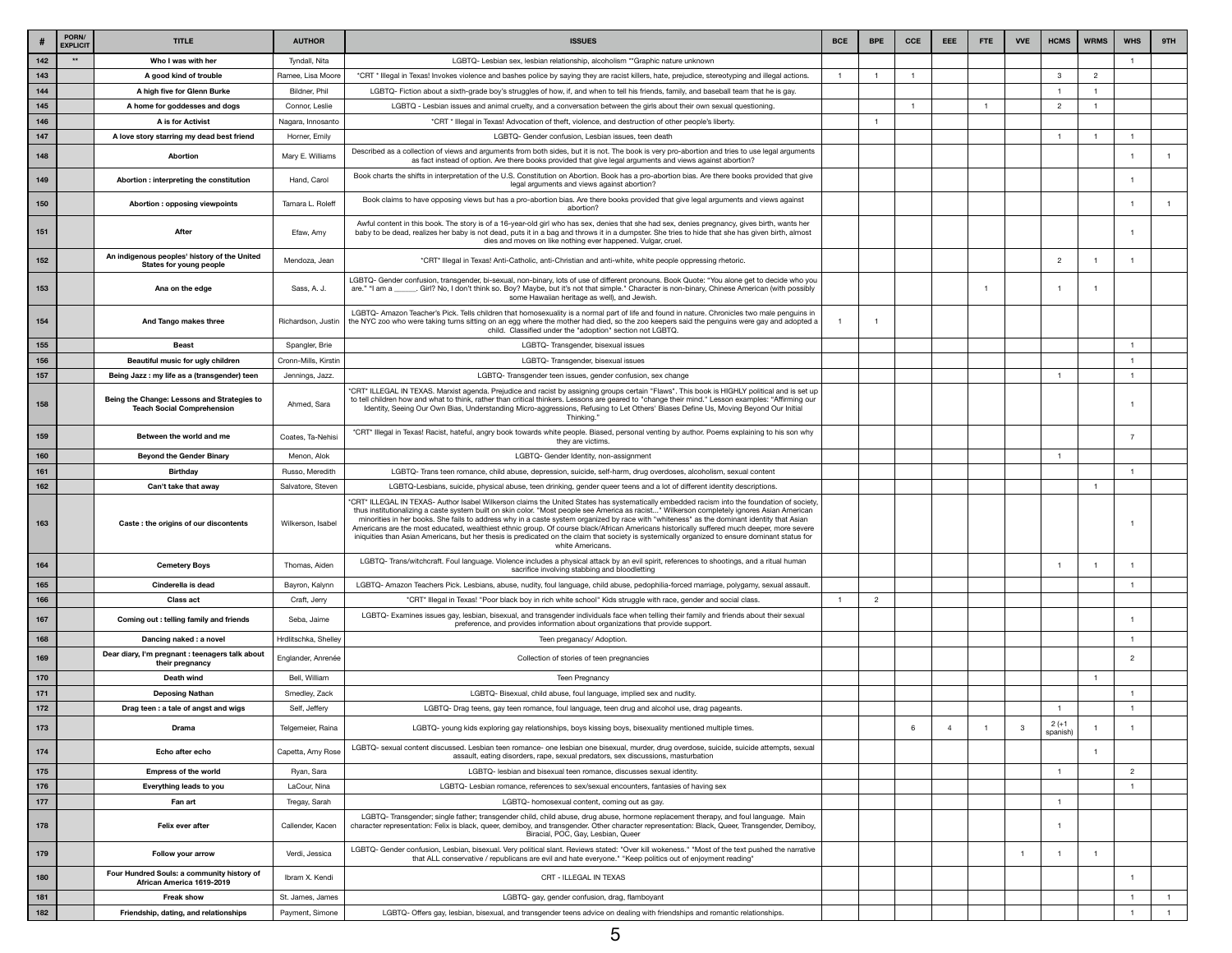|     | PORN/<br><b>EXPLICIT</b> | <b>TITLE</b>                                                                     | <b>AUTHOR</b>        | <b>ISSUES</b>                                                                                                                                                                                                                                                                                                                                                                                                                                                                                                                                                                                                                                                                                                                                                 | <b>BCE</b> | <b>BPE</b> | <b>CCE</b> | <b>EEE</b> | <b>FTE</b> | <b>VVE</b> | <b>HCMS</b>          | <b>WRMS</b> | <b>WHS</b>     | 9TH |
|-----|--------------------------|----------------------------------------------------------------------------------|----------------------|---------------------------------------------------------------------------------------------------------------------------------------------------------------------------------------------------------------------------------------------------------------------------------------------------------------------------------------------------------------------------------------------------------------------------------------------------------------------------------------------------------------------------------------------------------------------------------------------------------------------------------------------------------------------------------------------------------------------------------------------------------------|------------|------------|------------|------------|------------|------------|----------------------|-------------|----------------|-----|
| 142 |                          | Who I was with her                                                               | Tyndall, Nita        | LGBTQ- Lesbian sex, lesbian relationship, alcoholism **Graphic nature unknown                                                                                                                                                                                                                                                                                                                                                                                                                                                                                                                                                                                                                                                                                 |            |            |            |            |            |            |                      |             |                |     |
| 143 |                          | A good kind of trouble                                                           | Ramee, Lisa Moore    | *CRT * Illegal in Texas! Invokes violence and bashes police by saying they are racist killers, hate, prejudice, stereotyping and illegal actions.                                                                                                                                                                                                                                                                                                                                                                                                                                                                                                                                                                                                             |            |            |            |            |            |            | 3                    |             |                |     |
| 144 |                          | A high five for Glenn Burke                                                      | Bildner, Phil        | LGBTQ- Fiction about a sixth-grade boy's struggles of how, if, and when to tell his friends, family, and baseball team that he is gay.                                                                                                                                                                                                                                                                                                                                                                                                                                                                                                                                                                                                                        |            |            |            |            |            |            |                      |             |                |     |
| 145 |                          | A home for goddesses and dogs                                                    | Connor, Leslie       | LGBTQ - Lesbian issues and animal cruelty, and a conversation between the girls about their own sexual questioning.                                                                                                                                                                                                                                                                                                                                                                                                                                                                                                                                                                                                                                           |            |            |            |            |            |            | $\overline{2}$       |             |                |     |
| 146 |                          | A is for Activist                                                                | Nagara, Innosanto    | *CRT * Illegal in Texas! Advocation of theft, violence, and destruction of other people's liberty.                                                                                                                                                                                                                                                                                                                                                                                                                                                                                                                                                                                                                                                            |            |            |            |            |            |            |                      |             |                |     |
| 147 |                          | A love story starring my dead best friend                                        | Horner, Emily        | LGBTQ- Gender confusion, Lesbian issues, teen death                                                                                                                                                                                                                                                                                                                                                                                                                                                                                                                                                                                                                                                                                                           |            |            |            |            |            |            |                      |             |                |     |
| 148 |                          | <b>Abortion</b>                                                                  | Mary E. Williams     | Described as a collection of views and arguments from both sides, but it is not. The book is very pro-abortion and tries to use legal arguments<br>as fact instead of option. Are there books provided that give legal arguments and views against abortion?                                                                                                                                                                                                                                                                                                                                                                                                                                                                                                  |            |            |            |            |            |            |                      |             |                |     |
| 149 |                          | Abortion: interpreting the constitution                                          | Hand, Carol          | Book charts the shifts in interpretation of the U.S. Constitution on Abortion. Book has a pro-abortion bias. Are there books provided that give<br>legal arguments and views against abortion?                                                                                                                                                                                                                                                                                                                                                                                                                                                                                                                                                                |            |            |            |            |            |            |                      |             |                |     |
| 150 |                          | Abortion: opposing viewpoints                                                    | Tamara L. Roleff     | Book claims to have opposing views but has a pro-abortion bias. Are there books provided that give legal arguments and views against<br>abortion?                                                                                                                                                                                                                                                                                                                                                                                                                                                                                                                                                                                                             |            |            |            |            |            |            |                      |             |                |     |
| 151 |                          | <b>After</b>                                                                     | Efaw, Amy            | Awful content in this book. The story is of a 16-year-old girl who has sex, denies that she had sex, denies pregnancy, gives birth, wants her<br>baby to be dead, realizes her baby is not dead, puts it in a bag and throws it in a dumpster. She tries to hide that she has given birth, almost<br>dies and moves on like nothing ever happened. Vulgar, cruel.                                                                                                                                                                                                                                                                                                                                                                                             |            |            |            |            |            |            |                      |             |                |     |
| 152 |                          | An indigenous peoples' history of the United<br>States for young people          | Mendoza, Jean        | *CRT* Illegal in Texas! Anti-Catholic, anti-Christian and anti-white, white people oppressing rhetoric.                                                                                                                                                                                                                                                                                                                                                                                                                                                                                                                                                                                                                                                       |            |            |            |            |            |            |                      |             |                |     |
| 153 |                          | Ana on the edge                                                                  | Sass, A. J.          | LGBTQ- Gender confusion, transgender, bi-sexual, non-binary, lots of use of different pronouns. Book Quote: "You alone get to decide who you<br>are." "I am a ______. Girl? No, I don't think so. Boy? Maybe, but it's not that simple." Character is non-binary, Chinese American (with possibly<br>some Hawaiian heritage as well), and Jewish.                                                                                                                                                                                                                                                                                                                                                                                                             |            |            |            |            |            |            |                      |             |                |     |
| 154 |                          | And Tango makes three                                                            | Richardson, Justin   | LGBTQ- Amazon Teacher's Pick. Tells children that homosexuality is a normal part of life and found in nature. Chronicles two male penguins in<br>the NYC zoo who were taking turns sitting on an egg where the mother had died, so the zoo keepers said the penguins were gay and adopted a<br>child. Classified under the "adoption" section not LGBTQ.                                                                                                                                                                                                                                                                                                                                                                                                      |            |            |            |            |            |            |                      |             |                |     |
| 155 |                          | <b>Beast</b>                                                                     | Spangler, Brie       | LGBTQ- Transgender, bisexual issues                                                                                                                                                                                                                                                                                                                                                                                                                                                                                                                                                                                                                                                                                                                           |            |            |            |            |            |            |                      |             |                |     |
| 156 |                          | Beautiful music for ugly children                                                | Cronn-Mills, Kirstin | LGBTQ- Transgender, bisexual issues                                                                                                                                                                                                                                                                                                                                                                                                                                                                                                                                                                                                                                                                                                                           |            |            |            |            |            |            |                      |             |                |     |
| 157 |                          | Being Jazz: my life as a (transgender) teen                                      | Jennings, Jazz.      | LGBTQ- Transgender teen issues, gender confusion, sex change                                                                                                                                                                                                                                                                                                                                                                                                                                                                                                                                                                                                                                                                                                  |            |            |            |            |            |            |                      |             |                |     |
| 158 |                          | Being the Change: Lessons and Strategies to<br><b>Teach Social Comprehension</b> | Ahmed, Sara          | *CRT* ILLEGAL IN TEXAS. Marxist agenda. Prejudice and racist by assigning groups certain "Flaws". This book is HIGHLY political and is set up<br>to tell children how and what to think, rather than critical thinkers. Lessons are geared to "change their mind." Lesson examples: "Affirming our<br>Identity, Seeing Our Own Bias, Understanding Micro-aggressions, Refusing to Let Others' Biases Define Us, Moving Beyond Our Initial<br>Thinking."                                                                                                                                                                                                                                                                                                       |            |            |            |            |            |            |                      |             |                |     |
| 159 |                          | Between the world and me                                                         | Coates, Ta-Nehisi    | *CRT* Illegal in Texas! Racist, hateful, angry book towards white people. Biased, personal venting by author. Poems explaining to his son why<br>they are victims.                                                                                                                                                                                                                                                                                                                                                                                                                                                                                                                                                                                            |            |            |            |            |            |            |                      |             |                |     |
| 160 |                          | <b>Beyond the Gender Binary</b>                                                  | Menon, Alok          | LGBTQ- Gender Identity, non-assignment                                                                                                                                                                                                                                                                                                                                                                                                                                                                                                                                                                                                                                                                                                                        |            |            |            |            |            |            |                      |             |                |     |
| 161 |                          | <b>Birthday</b>                                                                  | Russo, Meredith      | LGBTQ- Trans teen romance, child abuse, depression, suicide, self-harm, drug overdoses, alcoholism, sexual content                                                                                                                                                                                                                                                                                                                                                                                                                                                                                                                                                                                                                                            |            |            |            |            |            |            |                      |             |                |     |
| 162 |                          | Can't take that away                                                             | Salvatore, Steven    | LGBTQ-Lesbians, suicide, physical abuse, teen drinking, gender queer teens and a lot of different identity descriptions.                                                                                                                                                                                                                                                                                                                                                                                                                                                                                                                                                                                                                                      |            |            |            |            |            |            |                      |             |                |     |
| 163 |                          | Caste: the origins of our discontents                                            | Wilkerson, Isabel    | *CRT* ILLEGAL IN TEXAS- Author Isabel Wilkerson claims the United States has systematically embedded racism into the foundation of society,<br>thus institutionalizing a caste system built on skin color. "Most people see America as racist" Wilkerson completely ignores Asian American<br>minorities in her books. She fails to address why in a caste system organized by race with "whiteness" as the dominant identity that Asian<br>Americans are the most educated, wealthiest ethnic group. Of course black/African Americans historically suffered much deeper, more severe<br>iniquities than Asian Americans, but her thesis is predicated on the claim that society is systemically organized to ensure dominant status for<br>white Americans. |            |            |            |            |            |            |                      |             |                |     |
| 164 |                          | <b>Cemetery Boys</b>                                                             | Thomas, Aiden        | LGBTQ- Trans/witchcraft. Foul language. Violence includes a physical attack by an evil spirit, references to shootings, and a ritual human<br>sacrifice involving stabbing and bloodletting                                                                                                                                                                                                                                                                                                                                                                                                                                                                                                                                                                   |            |            |            |            |            |            |                      |             |                |     |
| 165 |                          | Cinderella is dead                                                               | Bayron, Kalynn       | LGBTQ- Amazon Teachers Pick. Lesbians, abuse, nudity, foul language, child abuse, pedophilia-forced marriage, polygamy, sexual assault.                                                                                                                                                                                                                                                                                                                                                                                                                                                                                                                                                                                                                       |            |            |            |            |            |            |                      |             |                |     |
| 166 |                          | <b>Class act</b>                                                                 | Craft, Jerry         | *CRT* Illegal in Texas! "Poor black boy in rich white school" Kids struggle with race, gender and social class.                                                                                                                                                                                                                                                                                                                                                                                                                                                                                                                                                                                                                                               |            |            |            |            |            |            |                      |             |                |     |
| 167 |                          | Coming out: telling family and friends                                           | Seba, Jaime          | LGBTQ- Examines issues gay, lesbian, bisexual, and transgender individuals face when telling their family and friends about their sexual<br>preference, and provides information about organizations that provide support.                                                                                                                                                                                                                                                                                                                                                                                                                                                                                                                                    |            |            |            |            |            |            |                      |             |                |     |
| 168 |                          | Dancing naked: a novel                                                           | Hrdlitschka, Shelley | Teen preganacy/ Adoption.                                                                                                                                                                                                                                                                                                                                                                                                                                                                                                                                                                                                                                                                                                                                     |            |            |            |            |            |            |                      |             |                |     |
| 169 |                          | Dear diary, I'm pregnant : teenagers talk about<br>their pregnancy               | Englander, Anrenée   | Collection of stories of teen pregnancies                                                                                                                                                                                                                                                                                                                                                                                                                                                                                                                                                                                                                                                                                                                     |            |            |            |            |            |            |                      |             | 2              |     |
| 170 |                          | <b>Death wind</b>                                                                | Bell, William        | <b>Teen Pregnancy</b>                                                                                                                                                                                                                                                                                                                                                                                                                                                                                                                                                                                                                                                                                                                                         |            |            |            |            |            |            |                      |             |                |     |
| 171 |                          | <b>Deposing Nathan</b>                                                           | Smedley, Zack        | LGBTQ- Bisexual, child abuse, foul language, implied sex and nudity.                                                                                                                                                                                                                                                                                                                                                                                                                                                                                                                                                                                                                                                                                          |            |            |            |            |            |            |                      |             |                |     |
| 172 |                          | Drag teen: a tale of angst and wigs                                              | Self, Jeffery        | LGBTQ- Drag teens, gay teen romance, foul language, teen drug and alcohol use, drag pageants.                                                                                                                                                                                                                                                                                                                                                                                                                                                                                                                                                                                                                                                                 |            |            |            |            |            |            |                      |             |                |     |
| 173 |                          | <b>Drama</b>                                                                     | Telgemeier, Raina    | LGBTQ- young kids exploring gay relationships, boys kissing boys, bisexuality mentioned multiple times.                                                                                                                                                                                                                                                                                                                                                                                                                                                                                                                                                                                                                                                       |            |            |            |            |            |            | $2 (+1)$<br>spanish) |             |                |     |
| 174 |                          | Echo after echo                                                                  | Capetta, Amy Rose    | LGBTQ- sexual content discussed. Lesbian teen romance- one lesbian one bisexual, murder, drug overdose, suicide, suicide attempts, sexual<br>assault, eating disorders, rape, sexual predators, sex discussions, masturbation                                                                                                                                                                                                                                                                                                                                                                                                                                                                                                                                 |            |            |            |            |            |            |                      |             |                |     |
| 175 |                          | <b>Empress of the world</b>                                                      | Ryan, Sara           | LGBTQ- lesbian and bisexual teen romance, discusses sexual identity.                                                                                                                                                                                                                                                                                                                                                                                                                                                                                                                                                                                                                                                                                          |            |            |            |            |            |            |                      |             | $\overline{c}$ |     |
| 176 |                          | <b>Everything leads to you</b>                                                   | LaCour, Nina         | LGBTQ- Lesbian romance, references to sex/sexual encounters, fantasies of having sex                                                                                                                                                                                                                                                                                                                                                                                                                                                                                                                                                                                                                                                                          |            |            |            |            |            |            |                      |             |                |     |
| 177 |                          | Fan art                                                                          | Tregay, Sarah        | LGBTQ- homosexual content, coming out as gay.                                                                                                                                                                                                                                                                                                                                                                                                                                                                                                                                                                                                                                                                                                                 |            |            |            |            |            |            |                      |             |                |     |
| 178 |                          | Felix ever after                                                                 | Callender, Kacen     | LGBTQ- Transgender; single father; transgender child, child abuse, drug abuse, hormone replacement therapy, and foul language. Main<br>character representation: Felix is black, queer, demiboy, and transgender. Other character representation: Black, Queer, Transgender, Demiboy,<br>Biracial, POC, Gay, Lesbian, Queer                                                                                                                                                                                                                                                                                                                                                                                                                                   |            |            |            |            |            |            |                      |             |                |     |
| 179 |                          | Follow your arrow                                                                | Verdi, Jessica       | LGBTQ- Gender confusion, Lesbian, bisexual. Very political slant. Reviews stated: "Over kill wokeness." "Most of the text pushed the narrative<br>that ALL conservative / republicans are evil and hate everyone." "Keep politics out of enjoyment reading"                                                                                                                                                                                                                                                                                                                                                                                                                                                                                                   |            |            |            |            |            |            |                      |             |                |     |
| 180 |                          | Four Hundred Souls: a community history of<br>African America 1619-2019          | Ibram X. Kendi       | CRT - ILLEGAL IN TEXAS                                                                                                                                                                                                                                                                                                                                                                                                                                                                                                                                                                                                                                                                                                                                        |            |            |            |            |            |            |                      |             |                |     |
| 181 |                          | <b>Freak show</b>                                                                | St. James, James     | LGBTQ- gay, gender confusion, drag, flamboyant                                                                                                                                                                                                                                                                                                                                                                                                                                                                                                                                                                                                                                                                                                                |            |            |            |            |            |            |                      |             |                |     |
| 182 |                          | Friendship, dating, and relationships                                            | Payment, Simone      | LGBTQ- Offers gay, lesbian, bisexual, and transgender teens advice on dealing with friendships and romantic relationships.                                                                                                                                                                                                                                                                                                                                                                                                                                                                                                                                                                                                                                    |            |            |            |            |            |            |                      |             |                |     |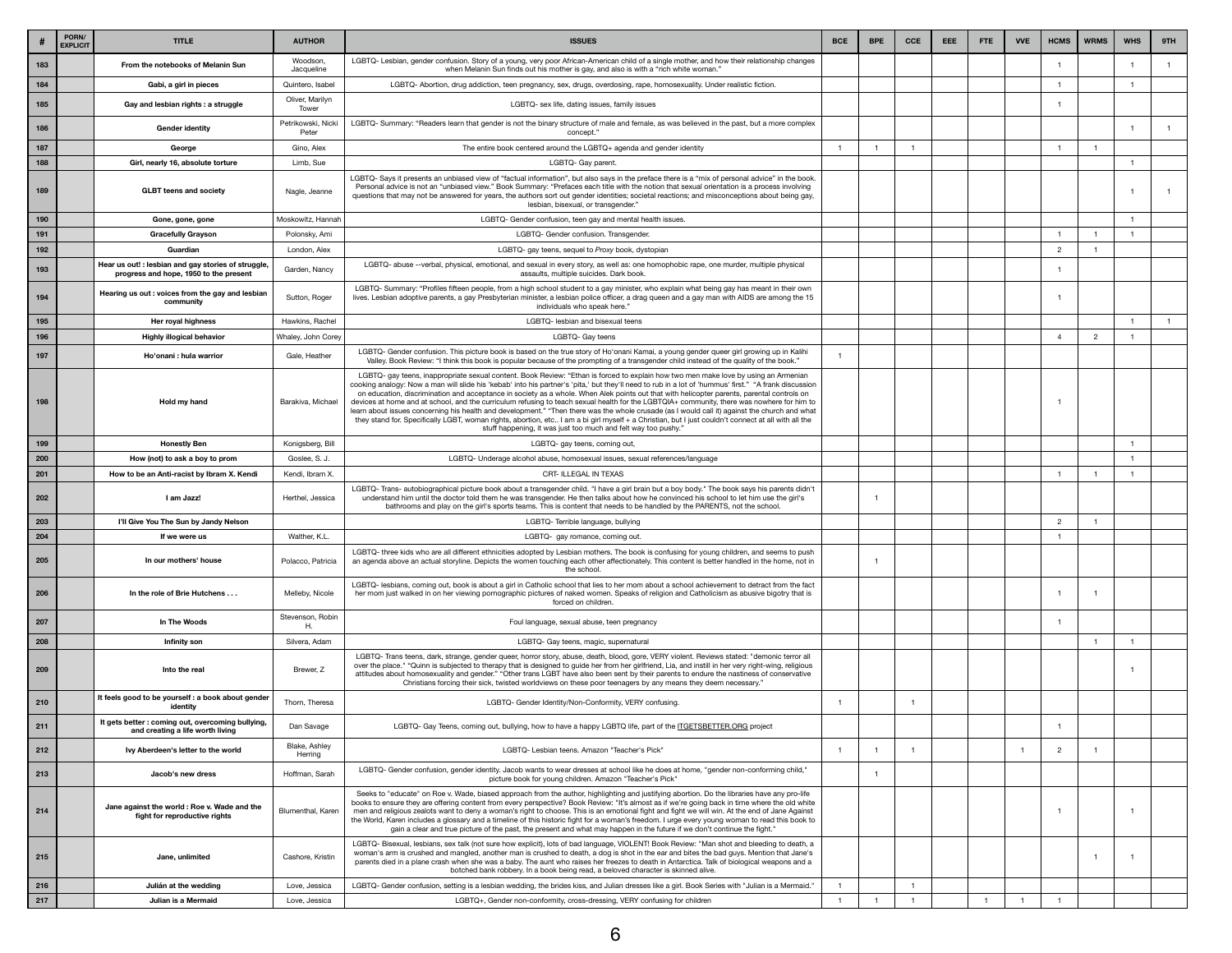|     | PORN/<br><b>EXPLICIT</b> | <b>TITLE</b>                                                                                  | <b>AUTHOR</b>               | <b>ISSUES</b>                                                                                                                                                                                                                                                                                                                                                                                                                                                                                                                                                                                                                                                                                                                                                                                                                                                                                                                                                      | <b>BCE</b> | <b>BPE</b> | <b>CCE</b> | <b>EEE</b> | <b>FTE</b> | <b>VVE</b> | <b>HCMS</b>    | <b>WRMS</b> | <b>WHS</b> | 9TH |
|-----|--------------------------|-----------------------------------------------------------------------------------------------|-----------------------------|--------------------------------------------------------------------------------------------------------------------------------------------------------------------------------------------------------------------------------------------------------------------------------------------------------------------------------------------------------------------------------------------------------------------------------------------------------------------------------------------------------------------------------------------------------------------------------------------------------------------------------------------------------------------------------------------------------------------------------------------------------------------------------------------------------------------------------------------------------------------------------------------------------------------------------------------------------------------|------------|------------|------------|------------|------------|------------|----------------|-------------|------------|-----|
| 183 |                          | From the notebooks of Melanin Sun                                                             | Woodson,<br>Jacqueline      | LGBTQ- Lesbian, gender confusion. Story of a young, very poor African-American child of a single mother, and how their relationship changes<br>when Melanin Sun finds out his mother is gay, and also is with a "rich white woman."                                                                                                                                                                                                                                                                                                                                                                                                                                                                                                                                                                                                                                                                                                                                |            |            |            |            |            |            |                |             |            |     |
| 184 |                          | Gabi, a girl in pieces                                                                        | Quintero, Isabel            | LGBTQ- Abortion, drug addiction, teen pregnancy, sex, drugs, overdosing, rape, homosexuality. Under realistic fiction.                                                                                                                                                                                                                                                                                                                                                                                                                                                                                                                                                                                                                                                                                                                                                                                                                                             |            |            |            |            |            |            |                |             |            |     |
| 185 |                          | Gay and lesbian rights : a struggle                                                           | Oliver, Marilyn<br>Tower    | LGBTQ- sex life, dating issues, family issues                                                                                                                                                                                                                                                                                                                                                                                                                                                                                                                                                                                                                                                                                                                                                                                                                                                                                                                      |            |            |            |            |            |            |                |             |            |     |
| 186 |                          | <b>Gender identity</b>                                                                        | Petrikowski, Nicki<br>Peter | LGBTQ- Summary: "Readers learn that gender is not the binary structure of male and female, as was believed in the past, but a more complex<br>concept."                                                                                                                                                                                                                                                                                                                                                                                                                                                                                                                                                                                                                                                                                                                                                                                                            |            |            |            |            |            |            |                |             |            |     |
| 187 |                          | George                                                                                        | Gino, Alex                  | The entire book centered around the LGBTQ+ agenda and gender identity                                                                                                                                                                                                                                                                                                                                                                                                                                                                                                                                                                                                                                                                                                                                                                                                                                                                                              |            |            |            |            |            |            |                |             |            |     |
| 188 |                          | Girl, nearly 16, absolute torture                                                             | Limb, Sue                   | LGBTQ- Gay parent.                                                                                                                                                                                                                                                                                                                                                                                                                                                                                                                                                                                                                                                                                                                                                                                                                                                                                                                                                 |            |            |            |            |            |            |                |             |            |     |
| 189 |                          | <b>GLBT teens and society</b>                                                                 | Nagle, Jeanne               | LGBTQ- Says it presents an unbiased view of "factual information", but also says in the preface there is a "mix of personal advice" in the book.<br>Personal advice is not an "unbiased view." Book Summary: "Prefaces each title with the notion that sexual orientation is a process involving<br>questions that may not be answered for years, the authors sort out gender identities; societal reactions; and misconceptions about being gay,<br>lesbian, bisexual, or transgender."                                                                                                                                                                                                                                                                                                                                                                                                                                                                           |            |            |            |            |            |            |                |             |            |     |
| 190 |                          | Gone, gone, gone                                                                              | Moskowitz, Hannah           | LGBTQ- Gender confusion, teen gay and mental health issues.                                                                                                                                                                                                                                                                                                                                                                                                                                                                                                                                                                                                                                                                                                                                                                                                                                                                                                        |            |            |            |            |            |            |                |             |            |     |
| 191 |                          | <b>Gracefully Grayson</b>                                                                     | Polonsky, Ami               | LGBTQ- Gender confusion. Transgender.                                                                                                                                                                                                                                                                                                                                                                                                                                                                                                                                                                                                                                                                                                                                                                                                                                                                                                                              |            |            |            |            |            |            |                |             |            |     |
| 192 |                          | Guardian                                                                                      | London, Alex                | LGBTQ- gay teens, sequel to Proxy book, dystopian                                                                                                                                                                                                                                                                                                                                                                                                                                                                                                                                                                                                                                                                                                                                                                                                                                                                                                                  |            |            |            |            |            |            |                |             |            |     |
| 193 |                          | Hear us out! : lesbian and gay stories of struggle,<br>progress and hope, 1950 to the present | Garden, Nancy               | LGBTQ- abuse --verbal, physical, emotional, and sexual in every story, as well as: one homophobic rape, one murder, multiple physical<br>assaults, multiple suicides. Dark book.                                                                                                                                                                                                                                                                                                                                                                                                                                                                                                                                                                                                                                                                                                                                                                                   |            |            |            |            |            |            |                |             |            |     |
| 194 |                          | Hearing us out: voices from the gay and lesbian<br>community                                  | Sutton, Roger               | LGBTQ- Summary: "Profiles fifteen people, from a high school student to a gay minister, who explain what being gay has meant in their own<br>lives. Lesbian adoptive parents, a gay Presbyterian minister, a lesbian police officer, a drag queen and a gay man with AIDS are among the 15<br>individuals who speak here."                                                                                                                                                                                                                                                                                                                                                                                                                                                                                                                                                                                                                                         |            |            |            |            |            |            |                |             |            |     |
| 195 |                          | Her royal highness                                                                            | Hawkins, Rachel             | LGBTQ- lesbian and bisexual teens                                                                                                                                                                                                                                                                                                                                                                                                                                                                                                                                                                                                                                                                                                                                                                                                                                                                                                                                  |            |            |            |            |            |            |                |             |            |     |
| 196 |                          | <b>Highly illogical behavior</b>                                                              | Whaley, John Corey          | LGBTQ- Gay teens                                                                                                                                                                                                                                                                                                                                                                                                                                                                                                                                                                                                                                                                                                                                                                                                                                                                                                                                                   |            |            |            |            |            |            |                |             |            |     |
| 197 |                          | Ho'onani : hula warrior                                                                       | Gale, Heather               | LGBTQ- Gender confusion. This picture book is based on the true story of Ho'onani Kamai, a young gender queer girl growing up in Kalihi<br>Valley. Book Review: "I think this book is popular because of the prompting of a transgender child instead of the quality of the book."                                                                                                                                                                                                                                                                                                                                                                                                                                                                                                                                                                                                                                                                                 |            |            |            |            |            |            |                |             |            |     |
| 198 |                          | Hold my hand                                                                                  | Barakiva, Michael           | LGBTQ- gay teens, inappropriate sexual content. Book Review: "Ethan is forced to explain how two men make love by using an Armenian<br>cooking analogy: Now a man will slide his 'kebab' into his partner's 'pita,' but they'll need to rub in a lot of 'hummus' first." "A frank discussion<br>on education, discrimination and acceptance in society as a whole. When Alek points out that with helicopter parents, parental controls on<br>devices at home and at school, and the curriculum refusing to teach sexual health for the LGBTQIA+ community, there was nowhere for him to<br>learn about issues concerning his health and development." "Then there was the whole crusade (as I would call it) against the church and what<br>they stand for. Specifically LGBT, woman rights, abortion, etc I am a bi girl myself + a Christian, but I just couldn't connect at all with all the<br>stuff happening, it was just too much and felt way too pushy." |            |            |            |            |            |            |                |             |            |     |
| 199 |                          | <b>Honestly Ben</b>                                                                           | Konigsberg, Bill            | LGBTQ- gay teens, coming out,                                                                                                                                                                                                                                                                                                                                                                                                                                                                                                                                                                                                                                                                                                                                                                                                                                                                                                                                      |            |            |            |            |            |            |                |             |            |     |
| 200 |                          | How (not) to ask a boy to prom                                                                | Goslee, S. J.               | LGBTQ- Underage alcohol abuse, homosexual issues, sexual references/language                                                                                                                                                                                                                                                                                                                                                                                                                                                                                                                                                                                                                                                                                                                                                                                                                                                                                       |            |            |            |            |            |            |                |             |            |     |
| 201 |                          | How to be an Anti-racist by Ibram X. Kendi                                                    | Kendi, Ibram X.             | CRT- ILLEGAL IN TEXAS                                                                                                                                                                                                                                                                                                                                                                                                                                                                                                                                                                                                                                                                                                                                                                                                                                                                                                                                              |            |            |            |            |            |            |                |             |            |     |
| 202 |                          | I am Jazz!                                                                                    | Herthel, Jessica            | LGBTQ- Trans- autobiographical picture book about a transgender child. "I have a girl brain but a boy body." The book says his parents didn't<br>understand him until the doctor told them he was transgender. He then talks about how he convinced his school to let him use the girl's<br>bathrooms and play on the girl's sports teams. This is content that needs to be handled by the PARENTS, not the school.                                                                                                                                                                                                                                                                                                                                                                                                                                                                                                                                                |            |            |            |            |            |            |                |             |            |     |
| 203 |                          | I'll Give You The Sun by Jandy Nelson                                                         |                             | LGBTQ- Terrible language, bullying                                                                                                                                                                                                                                                                                                                                                                                                                                                                                                                                                                                                                                                                                                                                                                                                                                                                                                                                 |            |            |            |            |            |            | 2              |             |            |     |
| 204 |                          | If we were us                                                                                 | Walther, K.L.               | LGBTQ- gay romance, coming out.                                                                                                                                                                                                                                                                                                                                                                                                                                                                                                                                                                                                                                                                                                                                                                                                                                                                                                                                    |            |            |            |            |            |            |                |             |            |     |
| 205 |                          | In our mothers' house                                                                         | Polacco, Patricia           | LGBTQ- three kids who are all different ethnicities adopted by Lesbian mothers. The book is confusing for young children, and seems to push<br>an agenda above an actual storyline. Depicts the women touching each other affectionately. This content is better handled in the home, not in<br>the school.                                                                                                                                                                                                                                                                                                                                                                                                                                                                                                                                                                                                                                                        |            |            |            |            |            |            |                |             |            |     |
| 206 |                          | In the role of Brie Hutchens                                                                  | Melleby, Nicole             | LGBTQ- lesbians, coming out, book is about a girl in Catholic school that lies to her mom about a school achievement to detract from the fact<br>her mom just walked in on her viewing pornographic pictures of naked women. Speaks of religion and Catholicism as abusive bigotry that is<br>forced on children.                                                                                                                                                                                                                                                                                                                                                                                                                                                                                                                                                                                                                                                  |            |            |            |            |            |            |                |             |            |     |
| 207 |                          | In The Woods                                                                                  | Stevenson, Robin            | Foul language, sexual abuse, teen pregnancy                                                                                                                                                                                                                                                                                                                                                                                                                                                                                                                                                                                                                                                                                                                                                                                                                                                                                                                        |            |            |            |            |            |            |                |             |            |     |
| 208 |                          | Infinity son                                                                                  | Silvera, Adam               | LGBTQ- Gay teens, magic, supernatural                                                                                                                                                                                                                                                                                                                                                                                                                                                                                                                                                                                                                                                                                                                                                                                                                                                                                                                              |            |            |            |            |            |            |                |             |            |     |
| 209 |                          | Into the real                                                                                 | Brewer, Z                   | LGBTQ- Trans teens, dark, strange, gender queer, horror story, abuse, death, blood, gore, VERY violent. Reviews stated: "demonic terror all<br>over the place." "Quinn is subjected to therapy that is designed to guide her from her girlfriend, Lia, and instill in her very right-wing, religious<br>attitudes about homosexuality and gender." "Other trans LGBT have also been sent by their parents to endure the nastiness of conservative<br>Christians forcing their sick, twisted worldviews on these poor teenagers by any means they deem necessary."                                                                                                                                                                                                                                                                                                                                                                                                  |            |            |            |            |            |            |                |             |            |     |
| 210 |                          | It feels good to be yourself : a book about gender<br>identity                                | Thorn, Theresa              | LGBTQ- Gender Identity/Non-Conformity, VERY confusing.                                                                                                                                                                                                                                                                                                                                                                                                                                                                                                                                                                                                                                                                                                                                                                                                                                                                                                             |            |            |            |            |            |            |                |             |            |     |
| 211 |                          | It gets better : coming out, overcoming bullying,<br>and creating a life worth living         | Dan Savage                  | LGBTQ- Gay Teens, coming out, bullying, how to have a happy LGBTQ life, part of the ITGETSBETTER.ORG project                                                                                                                                                                                                                                                                                                                                                                                                                                                                                                                                                                                                                                                                                                                                                                                                                                                       |            |            |            |            |            |            |                |             |            |     |
| 212 |                          | Ivy Aberdeen's letter to the world                                                            | Blake, Ashley<br>Herring    | LGBTQ- Lesbian teens. Amazon "Teacher's Pick"                                                                                                                                                                                                                                                                                                                                                                                                                                                                                                                                                                                                                                                                                                                                                                                                                                                                                                                      |            |            |            |            |            |            | $\overline{2}$ |             |            |     |
| 213 |                          | Jacob's new dress                                                                             | Hoffman, Sarah              | LGBTQ- Gender confusion, gender identity. Jacob wants to wear dresses at school like he does at home, "gender non-conforming child,"<br>picture book for young children. Amazon "Teacher's Pick"                                                                                                                                                                                                                                                                                                                                                                                                                                                                                                                                                                                                                                                                                                                                                                   |            |            |            |            |            |            |                |             |            |     |
| 214 |                          | Jane against the world: Roe v. Wade and the<br>fight for reproductive rights                  | Blumenthal, Karen           | Seeks to "educate" on Roe v. Wade, biased approach from the author, highlighting and justifying abortion. Do the libraries have any pro-life<br>books to ensure they are offering content from every perspective? Book Review: "It's almost as if we're going back in time where the old white<br>men and religious zealots want to deny a woman's right to choose. This is an emotional fight and fight we will win. At the end of Jane Against<br>the World, Karen includes a glossary and a timeline of this historic fight for a woman's freedom. I urge every young woman to read this book to<br>gain a clear and true picture of the past, the present and what may happen in the future if we don't continue the fight."                                                                                                                                                                                                                                   |            |            |            |            |            |            |                |             |            |     |
| 215 |                          | Jane, unlimited                                                                               | Cashore, Kristin            | LGBTQ- Bisexual, lesbians, sex talk (not sure how explicit), lots of bad language, VIOLENT! Book Review: "Man shot and bleeding to death, a<br>woman's arm is crushed and mangled, another man is crushed to death, a dog is shot in the ear and bites the bad guys. Mention that Jane's<br>parents died in a plane crash when she was a baby. The aunt who raises her freezes to death in Antarctica. Talk of biological weapons and a<br>botched bank robbery. In a book being read, a beloved character is skinned alive.                                                                                                                                                                                                                                                                                                                                                                                                                                       |            |            |            |            |            |            |                |             |            |     |
| 216 |                          | Julián at the wedding                                                                         | Love, Jessica               | LGBTQ- Gender confusion, setting is a lesbian wedding, the brides kiss, and Julian dresses like a girl. Book Series with "Julian is a Mermaid."                                                                                                                                                                                                                                                                                                                                                                                                                                                                                                                                                                                                                                                                                                                                                                                                                    |            |            |            |            |            |            |                |             |            |     |
| 217 |                          | Julian is a Mermaid                                                                           | Love, Jessica               | LGBTQ+, Gender non-conformity, cross-dressing, VERY confusing for children                                                                                                                                                                                                                                                                                                                                                                                                                                                                                                                                                                                                                                                                                                                                                                                                                                                                                         |            |            |            |            |            |            |                |             |            |     |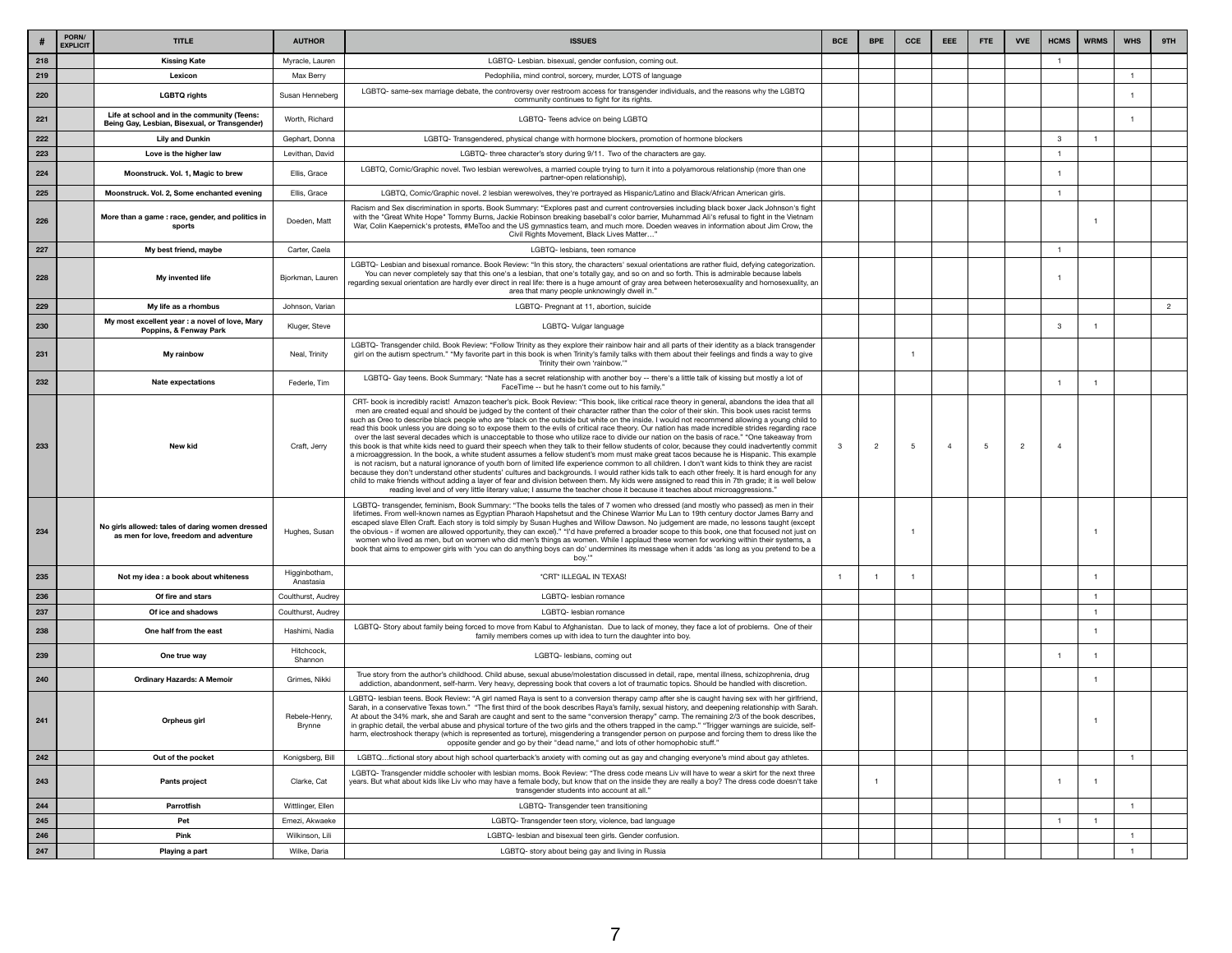|             | PORN/<br><b>EXPLICIT</b> | <b>TITLE</b>                                                                                 | <b>AUTHOR</b>                  | <b>ISSUES</b>                                                                                                                                                                                                                                                                                                                                                                                                                                                                                                                                                                                                                                                                                                                                                                                                                                                                                                                                                                                                                                                                                                                                                                                                                                                                                                                                                                                                                                                                                                                                                                                                                                         | <b>BCE</b> | <b>BPE</b> | <b>CCE</b> | <b>EEE</b> | <b>VVE</b><br>FTE | <b>HCMS</b> | <b>WRMS</b> | <b>WHS</b> | 9TH            |
|-------------|--------------------------|----------------------------------------------------------------------------------------------|--------------------------------|-------------------------------------------------------------------------------------------------------------------------------------------------------------------------------------------------------------------------------------------------------------------------------------------------------------------------------------------------------------------------------------------------------------------------------------------------------------------------------------------------------------------------------------------------------------------------------------------------------------------------------------------------------------------------------------------------------------------------------------------------------------------------------------------------------------------------------------------------------------------------------------------------------------------------------------------------------------------------------------------------------------------------------------------------------------------------------------------------------------------------------------------------------------------------------------------------------------------------------------------------------------------------------------------------------------------------------------------------------------------------------------------------------------------------------------------------------------------------------------------------------------------------------------------------------------------------------------------------------------------------------------------------------|------------|------------|------------|------------|-------------------|-------------|-------------|------------|----------------|
| 218         |                          | <b>Kissing Kate</b>                                                                          | Myracle, Lauren                | LGBTQ- Lesbian. bisexual, gender confusion, coming out.                                                                                                                                                                                                                                                                                                                                                                                                                                                                                                                                                                                                                                                                                                                                                                                                                                                                                                                                                                                                                                                                                                                                                                                                                                                                                                                                                                                                                                                                                                                                                                                               |            |            |            |            |                   |             |             |            |                |
| 219         |                          | <b>Lexicon</b>                                                                               | Max Berry                      | Pedophilia, mind control, sorcery, murder, LOTS of language                                                                                                                                                                                                                                                                                                                                                                                                                                                                                                                                                                                                                                                                                                                                                                                                                                                                                                                                                                                                                                                                                                                                                                                                                                                                                                                                                                                                                                                                                                                                                                                           |            |            |            |            |                   |             |             |            |                |
| 220         |                          | <b>LGBTQ rights</b>                                                                          | Susan Henneberg                | LGBTQ- same-sex marriage debate, the controversy over restroom access for transgender individuals, and the reasons why the LGBTQ<br>community continues to fight for its rights.                                                                                                                                                                                                                                                                                                                                                                                                                                                                                                                                                                                                                                                                                                                                                                                                                                                                                                                                                                                                                                                                                                                                                                                                                                                                                                                                                                                                                                                                      |            |            |            |            |                   |             |             |            |                |
| 221         |                          | Life at school and in the community (Teens:<br>Being Gay, Lesbian, Bisexual, or Transgender) | Worth, Richard                 | LGBTQ- Teens advice on being LGBTQ                                                                                                                                                                                                                                                                                                                                                                                                                                                                                                                                                                                                                                                                                                                                                                                                                                                                                                                                                                                                                                                                                                                                                                                                                                                                                                                                                                                                                                                                                                                                                                                                                    |            |            |            |            |                   |             |             |            |                |
| 222         |                          | <b>Lily and Dunkin</b>                                                                       | Gephart, Donna                 | LGBTQ- Transgendered, physical change with hormone blockers, promotion of hormone blockers                                                                                                                                                                                                                                                                                                                                                                                                                                                                                                                                                                                                                                                                                                                                                                                                                                                                                                                                                                                                                                                                                                                                                                                                                                                                                                                                                                                                                                                                                                                                                            |            |            |            |            |                   | 3           |             |            |                |
| 223         |                          | Love is the higher law                                                                       | Levithan, David                | LGBTQ- three character's story during 9/11. Two of the characters are gay.                                                                                                                                                                                                                                                                                                                                                                                                                                                                                                                                                                                                                                                                                                                                                                                                                                                                                                                                                                                                                                                                                                                                                                                                                                                                                                                                                                                                                                                                                                                                                                            |            |            |            |            |                   |             |             |            |                |
| 224         |                          | Moonstruck. Vol. 1, Magic to brew                                                            | Ellis, Grace                   | LGBTQ, Comic/Graphic novel. Two lesbian werewolves, a married couple trying to turn it into a polyamorous relationship (more than one<br>partner-open relationship),                                                                                                                                                                                                                                                                                                                                                                                                                                                                                                                                                                                                                                                                                                                                                                                                                                                                                                                                                                                                                                                                                                                                                                                                                                                                                                                                                                                                                                                                                  |            |            |            |            |                   |             |             |            |                |
| 225         |                          | Moonstruck. Vol. 2, Some enchanted evening                                                   | Ellis, Grace                   | LGBTQ, Comic/Graphic novel. 2 lesbian werewolves, they're portrayed as Hispanic/Latino and Black/African American girls.                                                                                                                                                                                                                                                                                                                                                                                                                                                                                                                                                                                                                                                                                                                                                                                                                                                                                                                                                                                                                                                                                                                                                                                                                                                                                                                                                                                                                                                                                                                              |            |            |            |            |                   |             |             |            |                |
| 226         |                          | More than a game: race, gender, and politics in<br>sports                                    | Doeden, Matt                   | Racism and Sex discrimination in sports. Book Summary: "Explores past and current controversies including black boxer Jack Johnson's fight<br>with the "Great White Hope" Tommy Burns, Jackie Robinson breaking baseball's color barrier, Muhammad Ali's refusal to fight in the Vietnam<br>War, Colin Kaepernick's protests, #MeToo and the US gymnastics team, and much more. Doeden weaves in information about Jim Crow, the<br>Civil Rights Movement, Black Lives Matter"                                                                                                                                                                                                                                                                                                                                                                                                                                                                                                                                                                                                                                                                                                                                                                                                                                                                                                                                                                                                                                                                                                                                                                        |            |            |            |            |                   |             |             |            |                |
| 227         |                          | My best friend, maybe                                                                        | Carter, Caela                  | LGBTQ- lesbians, teen romance                                                                                                                                                                                                                                                                                                                                                                                                                                                                                                                                                                                                                                                                                                                                                                                                                                                                                                                                                                                                                                                                                                                                                                                                                                                                                                                                                                                                                                                                                                                                                                                                                         |            |            |            |            |                   |             |             |            |                |
| 228         |                          | My invented life                                                                             | Bjorkman, Lauren               | LGBTQ- Lesbian and bisexual romance. Book Review: "In this story, the characters' sexual orientations are rather fluid, defying categorization.<br>You can never completely say that this one's a lesbian, that one's totally gay, and so on and so forth. This is admirable because labels<br>regarding sexual orientation are hardly ever direct in real life: there is a huge amount of gray area between heterosexuality and homosexuality, an<br>area that many people unknowingly dwell in."                                                                                                                                                                                                                                                                                                                                                                                                                                                                                                                                                                                                                                                                                                                                                                                                                                                                                                                                                                                                                                                                                                                                                    |            |            |            |            |                   |             |             |            |                |
| 229         |                          | My life as a rhombus                                                                         | Johnson, Varian                | LGBTQ- Pregnant at 11, abortion, suicide                                                                                                                                                                                                                                                                                                                                                                                                                                                                                                                                                                                                                                                                                                                                                                                                                                                                                                                                                                                                                                                                                                                                                                                                                                                                                                                                                                                                                                                                                                                                                                                                              |            |            |            |            |                   |             |             |            | $\overline{2}$ |
| 230         |                          | My most excellent year : a novel of love, Mary<br>Poppins, & Fenway Park                     | Kluger, Steve                  | LGBTQ- Vulgar language                                                                                                                                                                                                                                                                                                                                                                                                                                                                                                                                                                                                                                                                                                                                                                                                                                                                                                                                                                                                                                                                                                                                                                                                                                                                                                                                                                                                                                                                                                                                                                                                                                |            |            |            |            |                   |             |             |            |                |
| $\vert$ 231 |                          | My rainbow                                                                                   | Neal, Trinity                  | LGBTQ- Transgender child. Book Review: "Follow Trinity as they explore their rainbow hair and all parts of their identity as a black transgender<br>girl on the autism spectrum." "My favorite part in this book is when Trinity's family talks with them about their feelings and finds a way to give<br>Trinity their own 'rainbow.""                                                                                                                                                                                                                                                                                                                                                                                                                                                                                                                                                                                                                                                                                                                                                                                                                                                                                                                                                                                                                                                                                                                                                                                                                                                                                                               |            |            |            |            |                   |             |             |            |                |
| 232         |                          | <b>Nate expectations</b>                                                                     | Federle, Tim                   | LGBTQ- Gay teens. Book Summary: "Nate has a secret relationship with another boy -- there's a little talk of kissing but mostly a lot of<br>FaceTime -- but he hasn't come out to his family."                                                                                                                                                                                                                                                                                                                                                                                                                                                                                                                                                                                                                                                                                                                                                                                                                                                                                                                                                                                                                                                                                                                                                                                                                                                                                                                                                                                                                                                        |            |            |            |            |                   |             |             |            |                |
| 233         |                          | <b>New kid</b>                                                                               | Craft, Jerry                   | CRT- book is incredibly racist! Amazon teacher's pick. Book Review: "This book, like critical race theory in general, abandons the idea that all<br>men are created equal and should be judged by the content of their character rather than the color of their skin. This book uses racist terms<br>such as Oreo to describe black people who are "black on the outside but white on the inside. I would not recommend allowing a young child to<br>read this book unless you are doing so to expose them to the evils of critical race theory. Our nation has made incredible strides regarding race<br>over the last several decades which is unacceptable to those who utilize race to divide our nation on the basis of race." "One takeaway from<br>this book is that white kids need to guard their speech when they talk to their fellow students of color, because they could inadvertently commit<br>a microaggression. In the book, a white student assumes a fellow student's mom must make great tacos because he is Hispanic. This example<br>is not racism, but a natural ignorance of youth born of limited life experience common to all children. I don't want kids to think they are racist<br>because they don't understand other students' cultures and backgrounds. I would rather kids talk to each other freely. It is hard enough for any<br>child to make friends without adding a layer of fear and division between them. My kids were assigned to read this in 7th grade; it is well below<br>reading level and of very little literary value; I assume the teacher chose it because it teaches about microaggressions." |            |            | -5         |            |                   |             |             |            |                |
| 234         |                          | No girls allowed: tales of daring women dressed<br>as men for love, freedom and adventure    | Hughes, Susan                  | LGBTQ- transgender, feminism, Book Summary: "The books tells the tales of 7 women who dressed (and mostly who passed) as men in their<br>lifetimes. From well-known names as Egyptian Pharaoh Hapshetsut and the Chinese Warrior Mu Lan to 19th century doctor James Barry and<br>escaped slave Ellen Craft. Each story is told simply by Susan Hughes and Willow Dawson. No judgement are made, no lessons taught (except<br>the obvious - if women are allowed opportunity, they can excel)." "I'd have preferred a broader scope to this book, one that focused not just on<br>women who lived as men, but on women who did men's things as women. While I applaud these women for working within their systems, a<br>book that aims to empower girls with 'you can do anything boys can do' undermines its message when it adds 'as long as you pretend to be a<br>boy.'"                                                                                                                                                                                                                                                                                                                                                                                                                                                                                                                                                                                                                                                                                                                                                                         |            |            |            |            |                   |             |             |            |                |
| 235         |                          | Not my idea : a book about whiteness                                                         | Higginbotham,<br>Anastasia     | *CRT* ILLEGAL IN TEXAS!                                                                                                                                                                                                                                                                                                                                                                                                                                                                                                                                                                                                                                                                                                                                                                                                                                                                                                                                                                                                                                                                                                                                                                                                                                                                                                                                                                                                                                                                                                                                                                                                                               |            |            |            |            |                   |             |             |            |                |
| 236         |                          | Of fire and stars                                                                            | Coulthurst, Audrey             | LGBTQ- lesbian romance                                                                                                                                                                                                                                                                                                                                                                                                                                                                                                                                                                                                                                                                                                                                                                                                                                                                                                                                                                                                                                                                                                                                                                                                                                                                                                                                                                                                                                                                                                                                                                                                                                |            |            |            |            |                   |             |             |            |                |
| 237         |                          | Of ice and shadows                                                                           | Coulthurst, Audrey             | LGBTQ- lesbian romance                                                                                                                                                                                                                                                                                                                                                                                                                                                                                                                                                                                                                                                                                                                                                                                                                                                                                                                                                                                                                                                                                                                                                                                                                                                                                                                                                                                                                                                                                                                                                                                                                                |            |            |            |            |                   |             |             |            |                |
| 238         |                          | One half from the east                                                                       | Hashimi, Nadia                 | LGBTQ- Story about family being forced to move from Kabul to Afghanistan. Due to lack of money, they face a lot of problems. One of their<br>family members comes up with idea to turn the daughter into boy.                                                                                                                                                                                                                                                                                                                                                                                                                                                                                                                                                                                                                                                                                                                                                                                                                                                                                                                                                                                                                                                                                                                                                                                                                                                                                                                                                                                                                                         |            |            |            |            |                   |             |             |            |                |
| 239         |                          | One true way                                                                                 | Hitchcock,<br>Shannon          | LGBTQ- lesbians, coming out                                                                                                                                                                                                                                                                                                                                                                                                                                                                                                                                                                                                                                                                                                                                                                                                                                                                                                                                                                                                                                                                                                                                                                                                                                                                                                                                                                                                                                                                                                                                                                                                                           |            |            |            |            |                   |             |             |            |                |
|             |                          | <b>Ordinary Hazards: A Memoir</b>                                                            | Grimes, Nikki                  | True story from the author's childhood. Child abuse, sexual abuse/molestation discussed in detail, rape, mental illness, schizophrenia, drug<br>addiction, abandonment, self-harm. Very heavy, depressing book that covers a lot of traumatic topics. Should be handled with discretion.                                                                                                                                                                                                                                                                                                                                                                                                                                                                                                                                                                                                                                                                                                                                                                                                                                                                                                                                                                                                                                                                                                                                                                                                                                                                                                                                                              |            |            |            |            |                   |             |             |            |                |
| 241         |                          | <b>Orpheus girl</b>                                                                          | Rebele-Henry,<br><b>Brynne</b> | LGBTQ- lesbian teens. Book Review: "A girl named Raya is sent to a conversion therapy camp after she is caught having sex with her girlfriend,<br>Sarah, in a conservative Texas town." "The first third of the book describes Raya's family, sexual history, and deepening relationship with Sarah.<br>At about the 34% mark, she and Sarah are caught and sent to the same "conversion therapy" camp. The remaining 2/3 of the book describes,<br>in graphic detail, the verbal abuse and physical torture of the two girls and the others trapped in the camp." "Trigger warnings are suicide, self-<br>harm, electroshock therapy (which is represented as torture), misgendering a transgender person on purpose and forcing them to dress like the<br>opposite gender and go by their "dead name," and lots of other homophobic stuff."                                                                                                                                                                                                                                                                                                                                                                                                                                                                                                                                                                                                                                                                                                                                                                                                         |            |            |            |            |                   |             |             |            |                |
| 242         |                          | Out of the pocket                                                                            | Konigsberg, Bill               | LGBTQfictional story about high school quarterback's anxiety with coming out as gay and changing everyone's mind about gay athletes.                                                                                                                                                                                                                                                                                                                                                                                                                                                                                                                                                                                                                                                                                                                                                                                                                                                                                                                                                                                                                                                                                                                                                                                                                                                                                                                                                                                                                                                                                                                  |            |            |            |            |                   |             |             |            |                |
| 243         |                          | Pants project                                                                                | Clarke, Cat                    | LGBTQ- Transgender middle schooler with lesbian moms. Book Review: "The dress code means Liv will have to wear a skirt for the next three<br>years. But what about kids like Liv who may have a female body, but know that on the inside they are really a boy? The dress code doesn't take<br>transgender students into account at all."                                                                                                                                                                                                                                                                                                                                                                                                                                                                                                                                                                                                                                                                                                                                                                                                                                                                                                                                                                                                                                                                                                                                                                                                                                                                                                             |            |            |            |            |                   |             |             |            |                |
| 244         |                          | <b>Parrotfish</b>                                                                            | Wittlinger, Ellen              | LGBTQ- Transgender teen transitioning                                                                                                                                                                                                                                                                                                                                                                                                                                                                                                                                                                                                                                                                                                                                                                                                                                                                                                                                                                                                                                                                                                                                                                                                                                                                                                                                                                                                                                                                                                                                                                                                                 |            |            |            |            |                   |             |             |            |                |
| 245         |                          | Pet                                                                                          | Emezi, Akwaeke                 | LGBTQ- Transgender teen story, violence, bad language                                                                                                                                                                                                                                                                                                                                                                                                                                                                                                                                                                                                                                                                                                                                                                                                                                                                                                                                                                                                                                                                                                                                                                                                                                                                                                                                                                                                                                                                                                                                                                                                 |            |            |            |            |                   |             |             |            |                |
| 246         |                          | <b>Pink</b>                                                                                  | Wilkinson, Lili                | LGBTQ- lesbian and bisexual teen girls. Gender confusion.                                                                                                                                                                                                                                                                                                                                                                                                                                                                                                                                                                                                                                                                                                                                                                                                                                                                                                                                                                                                                                                                                                                                                                                                                                                                                                                                                                                                                                                                                                                                                                                             |            |            |            |            |                   |             |             |            |                |
| 247         |                          | Playing a part                                                                               | Wilke, Daria                   | LGBTQ- story about being gay and living in Russia                                                                                                                                                                                                                                                                                                                                                                                                                                                                                                                                                                                                                                                                                                                                                                                                                                                                                                                                                                                                                                                                                                                                                                                                                                                                                                                                                                                                                                                                                                                                                                                                     |            |            |            |            |                   |             |             |            |                |
|             |                          |                                                                                              |                                |                                                                                                                                                                                                                                                                                                                                                                                                                                                                                                                                                                                                                                                                                                                                                                                                                                                                                                                                                                                                                                                                                                                                                                                                                                                                                                                                                                                                                                                                                                                                                                                                                                                       |            |            |            |            |                   |             |             |            |                |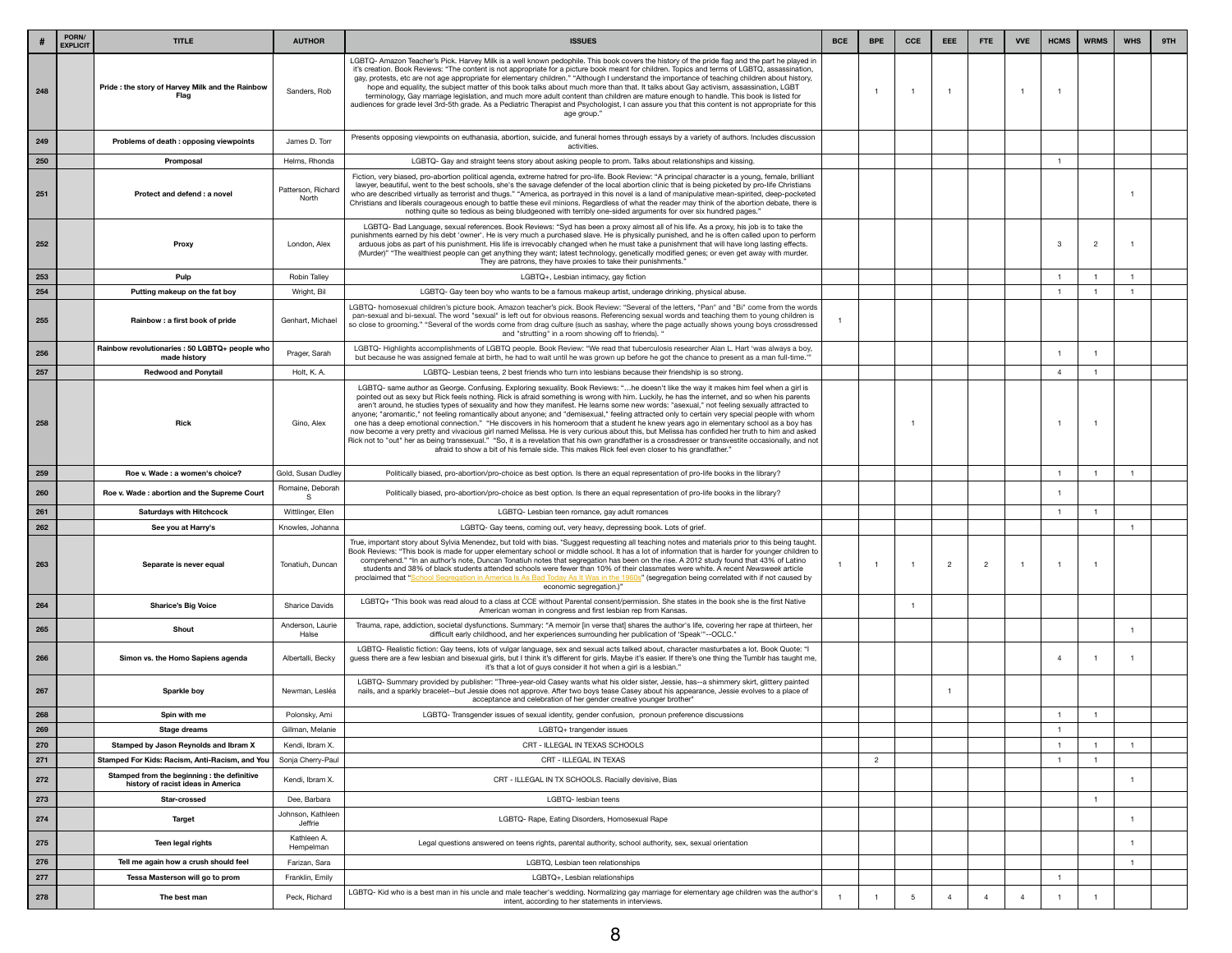| LGBTQ- Amazon Teacher's Pick. Harvey Milk is a well known pedophile. This book covers the history of the pride flag and the part he played in<br>it's creation. Book Reviews: "The content is not appropriate for a picture book meant for children. Topics and terms of LGBTQ, assassination,<br>gay, protests, etc are not age appropriate for elementary children." "Although I understand the importance of teaching children about history,<br>Pride: the story of Harvey Milk and the Rainbow<br>hope and equality, the subject matter of this book talks about much more than that. It talks about Gay activism, assassination, LGBT<br>248<br>Sanders, Rob<br>terminology, Gay marriage legislation, and much more adult content than children are mature enough to handle. This book is listed for<br>Flag<br>audiences for grade level 3rd-5th grade. As a Pediatric Therapist and Psychologist, I can assure you that this content is not appropriate for this<br>age group."<br>Presents opposing viewpoints on euthanasia, abortion, suicide, and funeral homes through essays by a variety of authors. Includes discussion<br>James D. Torr<br>249<br>Problems of death: opposing viewpoints<br>activities.<br>250<br>Helms, Rhonda<br>LGBTQ- Gay and straight teens story about asking people to prom. Talks about relationships and kissing.<br>Promposal<br>Fiction, very biased, pro-abortion political agenda, extreme hatred for pro-life. Book Review: "A principal character is a young, female, brilliant<br>lawyer, beautiful, went to the best schools, she's the savage defender of the local abortion clinic that is being picketed by pro-life Christians<br>Patterson, Richard<br>251<br>Protect and defend : a novel<br>who are described virtually as terrorist and thugs." "America, as portrayed in this novel is a land of manipulative mean-spirited, deep-pocketed<br>North<br>Christians and liberals courageous enough to battle these evil minions. Regardless of what the reader may think of the abortion debate, there is<br>nothing quite so tedious as being bludgeoned with terribly one-sided arguments for over six hundred pages."<br>LGBTQ- Bad Language, sexual references. Book Reviews: "Syd has been a proxy almost all of his life. As a proxy, his job is to take the<br>punishments earned by his debt 'owner'. He is very much a purchased slave. He is physically punished, and he is often called upon to perform<br>252<br>arduous jobs as part of his punishment. His life is irrevocably changed when he must take a punishment that will have long lasting effects.<br>London, Alex<br>3<br><b>Proxy</b><br>(Murder)" "The wealthiest people can get anything they want; latest technology, genetically modified genes; or even get away with murder.<br>They are patrons, they have proxies to take their punishments."<br>253<br>Pulp<br><b>Robin Talley</b><br>LGBTQ+, Lesbian intimacy, gay fiction<br>254<br>Putting makeup on the fat boy<br>Wright, Bil<br>LGBTQ- Gay teen boy who wants to be a famous makeup artist, underage drinking, physical abuse.<br>LGBTQ- homosexual children's picture book. Amazon teacher's pick. Book Review: "Several of the letters, "Pan" and "Bi" come from the words<br>pan-sexual and bi-sexual. The word "sexual" is left out for obvious reasons. Referencing sexual words and teaching them to young children is<br>255<br>Rainbow: a first book of pride<br>Genhart, Michael<br>so close to grooming." "Several of the words come from drag culture (such as sashay, where the page actually shows young boys crossdressed<br>and "strutting" in a room showing off to friends). "<br>Rainbow revolutionaries : 50 LGBTQ+ people who<br>LGBTQ-Highlights accomplishments of LGBTQ people. Book Review: "We read that tuberculosis researcher Alan L. Hart 'was always a boy,<br>256<br>Prager, Sarah<br>made history<br>but because he was assigned female at birth, he had to wait until he was grown up before he got the chance to present as a man full-time."<br>257<br>Holt, K. A.<br><b>Redwood and Ponytail</b><br>LGBTQ- Lesbian teens, 2 best friends who turn into lesbians because their friendship is so strong.<br>LGBTQ- same author as George. Confusing. Exploring sexuality. Book Reviews: "he doesn't like the way it makes him feel when a girl is<br>pointed out as sexy but Rick feels nothing. Rick is afraid something is wrong with him. Luckily, he has the internet, and so when his parents<br>aren't around, he studies types of sexuality and how they manifest. He learns some new words: "asexual," not feeling sexually attracted to<br>anyone; "aromantic," not feeling romantically about anyone; and "demisexual," feeling attracted only to certain very special people with whom<br>258<br>one has a deep emotional connection." "He discovers in his homeroom that a student he knew years ago in elementary school as a boy has<br><b>Rick</b><br>Gino, Alex<br>now become a very pretty and vivacious girl named Melissa. He is very curious about this, but Melissa has confided her truth to him and asked<br>Rick not to "out" her as being transsexual." "So, it is a revelation that his own grandfather is a crossdresser or transvestite occasionally, and not<br>afraid to show a bit of his female side. This makes Rick feel even closer to his grandfather."<br>259<br>Roe v. Wade : a women's choice?<br>Gold, Susan Dudley<br>Politically biased, pro-abortion/pro-choice as best option. Is there an equal representation of pro-life books in the library?<br>Romaine, Deborah<br>260<br>Roe v. Wade: abortion and the Supreme Court<br>Politically biased, pro-abortion/pro-choice as best option. Is there an equal representation of pro-life books in the library?<br>261<br><b>Saturdays with Hitchcock</b><br>Wittlinger, Ellen<br>LGBTQ- Lesbian teen romance, gay adult romances<br>262<br>Knowles, Johanna<br>See you at Harry's<br>LGBTQ- Gay teens, coming out, very heavy, depressing book. Lots of grief.<br>True, important story about Sylvia Menendez, but told with bias. *Suggest requesting all teaching notes and materials prior to this being taught.<br>Book Reviews: "This book is made for upper elementary school or middle school. It has a lot of information that is harder for younger children to<br>comprehend." "In an author's note, Duncan Tonatiuh notes that segregation has been on the rise. A 2012 study found that 43% of Latino<br>263<br>$\overline{2}$<br>Tonatiuh, Duncan<br>Separate is never equal<br>students and 38% of black students attended schools were fewer than 10% of their classmates were white. A recent Newsweek article<br>proclaimed that "School Segregation in America Is As Bad Today As It Was in the 1960s" (segregation being correlated with if not caused by<br>economic segregation.)"<br>LGBTQ+ *This book was read aloud to a class at CCE without Parental consent/permission. She states in the book she is the first Native<br>264<br><b>Sharice's Big Voice</b><br><b>Sharice Davids</b><br>American woman in congress and first lesbian rep from Kansas.<br>Trauma, rape, addiction, societal dysfunctions. Summary: "A memoir [in verse that] shares the author's life, covering her rape at thirteen, her<br>Anderson, Laurie<br>265<br><b>Shout</b><br>difficult early childhood, and her experiences surrounding her publication of 'Speak'"--OCLC."<br>Halse<br>LGBTQ- Realistic fiction: Gay teens, lots of vulgar language, sex and sexual acts talked about, character masturbates a lot. Book Quote: "I<br>266<br>guess there are a few lesbian and bisexual girls, but I think it's different for girls. Maybe it's easier. If there's one thing the Tumblr has taught me,<br>Simon vs. the Homo Sapiens agenda<br>Albertalli, Becky<br>it's that a lot of guys consider it hot when a girl is a lesbian."<br>LGBTQ- Summary provided by publisher: "Three-year-old Casey wants what his older sister, Jessie, has--a shimmery skirt, glittery painted<br>nails, and a sparkly bracelet--but Jessie does not approve. After two boys tease Casey about his appearance, Jessie evolves to a place of<br>267<br>Newman, Lesléa<br>Sparkle boy<br>acceptance and celebration of her gender creative younger brother"<br>268<br>LGBTQ- Transgender issues of sexual identity, gender confusion, pronoun preference discussions<br>Spin with me<br>Polonsky, Ami<br>269<br>Gillman, Melanie<br>LGBTQ+ trangender issues<br><b>Stage dreams</b><br>270<br>Stamped by Jason Reynolds and Ibram X<br>CRT - ILLEGAL IN TEXAS SCHOOLS<br>Kendi, Ibram X.<br>271<br><b>Stamped For Kids: Racism, Anti-Racism, and You</b><br>CRT - ILLEGAL IN TEXAS<br>Sonja Cherry-Paul<br>Stamped from the beginning : the definitive<br>272<br>Kendi, Ibram X.<br>CRT - ILLEGAL IN TX SCHOOLS. Racially devisive, Bias<br>history of racist ideas in America<br>273<br>Dee, Barbara<br>LGBTQ- lesbian teens<br><b>Star-crossed</b><br>Johnson, Kathleen<br>274<br>LGBTQ- Rape, Eating Disorders, Homosexual Rape<br><b>Target</b><br>Jeffrie<br>Kathleen A<br>275<br>Legal questions answered on teens rights, parental authority, school authority, sex, sexual orientation<br>Teen legal rights<br>Hempelman<br>276<br>Tell me again how a crush should feel<br>LGBTQ, Lesbian teen relationships<br>Farizan, Sara<br>277<br>Franklin, Emily<br>Tessa Masterson will go to prom<br>LGBTQ+, Lesbian relationships<br>LGBTQ-Kid who is a best man in his uncle and male teacher's wedding. Normalizing gay marriage for elementary age children was the author's<br>278<br>Peck, Richard<br>The best man | PORN/<br><b>EXPLICIT</b> | <b>TITLE</b> | <b>AUTHOR</b> | <b>ISSUES</b>                                      | <b>BCE</b> | <b>BPE</b> | <b>CCE</b> | <b>EEE</b> | <b>FTE</b> | <b>VVE</b> | <b>HCMS</b> | <b>WRMS</b> | <b>WHS</b> | 9TH |
|--------------------------------------------------------------------------------------------------------------------------------------------------------------------------------------------------------------------------------------------------------------------------------------------------------------------------------------------------------------------------------------------------------------------------------------------------------------------------------------------------------------------------------------------------------------------------------------------------------------------------------------------------------------------------------------------------------------------------------------------------------------------------------------------------------------------------------------------------------------------------------------------------------------------------------------------------------------------------------------------------------------------------------------------------------------------------------------------------------------------------------------------------------------------------------------------------------------------------------------------------------------------------------------------------------------------------------------------------------------------------------------------------------------------------------------------------------------------------------------------------------------------------------------------------------------------------------------------------------------------------------------------------------------------------------------------------------------------------------------------------------------------------------------------------------------------------------------------------------------------------------------------------------------------------------------------------------------------------------------------------------------------------------------------------------------------------------------------------------------------------------------------------------------------------------------------------------------------------------------------------------------------------------------------------------------------------------------------------------------------------------------------------------------------------------------------------------------------------------------------------------------------------------------------------------------------------------------------------------------------------------------------------------------------------------------------------------------------------------------------------------------------------------------------------------------------------------------------------------------------------------------------------------------------------------------------------------------------------------------------------------------------------------------------------------------------------------------------------------------------------------------------------------------------------------------------------------------------------------------------------------------------------------------------------------------------------------------------------------------------------------------------------------------------------------------------------------------------------------------------------------------------------------------------------------------------------------------------------------------------------------------------------------------------------------------------------------------------------------------------------------------------------------------------------------------------------------------------------------------------------------------------------------------------------------------------------------------------------------------------------------------------------------------------------------------------------------------------------------------------------------------------------------------------------------------------------------------------------------------------------------------------------------------------------------------------------------------------------------------------------------------------------------------------------------------------------------------------------------------------------------------------------------------------------------------------------------------------------------------------------------------------------------------------------------------------------------------------------------------------------------------------------------------------------------------------------------------------------------------------------------------------------------------------------------------------------------------------------------------------------------------------------------------------------------------------------------------------------------------------------------------------------------------------------------------------------------------------------------------------------------------------------------------------------------------------------------------------------------------------------------------------------------------------------------------------------------------------------------------------------------------------------------------------------------------------------------------------------------------------------------------------------------------------------------------------------------------------------------------------------------------------------------------------------------------------------------------------------------------------------------------------------------------------------------------------------------------------------------------------------------------------------------------------------------------------------------------------------------------------------------------------------------------------------------------------------------------------------------------------------------------------------------------------------------------------------------------------------------------------------------------------------------------------------------------------------------------------------------------------------------------------------------------------------------------------------------------------------------------------------------------------------------------------------------------------------------------------------------------------------------------------------------------------------------------------------------------------------------------------------------------------------------------------------------------------------------------------------------------------------------------------------------------------------------------------------------------------------------------------------------------------------------------------------------------------------------------------------------------------------------------------------------------------------------------------------------------------------------------------------------------------------------------------------------------------------------------------------------------------------------------------------------------------------------------------------------------------------------------------------------------------------------------------------------------------------------------------------------------------------------------------------------------------------------------------------------------------------------------------------------------------------------------------------------------------------------------------------------------------------------------------------------------------------------------------------------------------------------------------------------------------------------------------------------------------------------------------------------------------------------------------------------------------------------------------------------------------------------------------------------------------------------------------------------------------------------------------------------------------------------------------------------------------------------------------------------------------------------------------------------------------------------------------------------------------------------------------------------------------------------------------------------------------------------------------------------------------------------------------------------------------------------------------------------------------------------------------------------------------------------------------------------------------------------------------------------------------------------------------------------------------------------------------------------------------------------------------------------------------------------------------------------------------------------------------------------------------------------------------------------------------------------------------------------------------------------------------------------------------------------------------------------------------------------------------------------------------------------------------------------------------------------------------------------------------------------------------------------------------------|--------------------------|--------------|---------------|----------------------------------------------------|------------|------------|------------|------------|------------|------------|-------------|-------------|------------|-----|
|                                                                                                                                                                                                                                                                                                                                                                                                                                                                                                                                                                                                                                                                                                                                                                                                                                                                                                                                                                                                                                                                                                                                                                                                                                                                                                                                                                                                                                                                                                                                                                                                                                                                                                                                                                                                                                                                                                                                                                                                                                                                                                                                                                                                                                                                                                                                                                                                                                                                                                                                                                                                                                                                                                                                                                                                                                                                                                                                                                                                                                                                                                                                                                                                                                                                                                                                                                                                                                                                                                                                                                                                                                                                                                                                                                                                                                                                                                                                                                                                                                                                                                                                                                                                                                                                                                                                                                                                                                                                                                                                                                                                                                                                                                                                                                                                                                                                                                                                                                                                                                                                                                                                                                                                                                                                                                                                                                                                                                                                                                                                                                                                                                                                                                                                                                                                                                                                                                                                                                                                                                                                                                                                                                                                                                                                                                                                                                                                                                                                                                                                                                                                                                                                                                                                                                                                                                                                                                                                                                                                                                                                                                                                                                                                                                                                                                                                                                                                                                                                                                                                                                                                                                                                                                                                                                                                                                                                                                                                                                                                                                                                                                                                                                                                                                                                                                                                                                                                                                                                                                                                                                                                                                                                                                                                                                                                                                                                                                                                                                                                                                                                                                                                                                                                                                                                                                                                                                                                                                                                                                                                                                                                                                                                                                                                                  |                          |              |               |                                                    |            |            |            |            |            |            |             |             |            |     |
|                                                                                                                                                                                                                                                                                                                                                                                                                                                                                                                                                                                                                                                                                                                                                                                                                                                                                                                                                                                                                                                                                                                                                                                                                                                                                                                                                                                                                                                                                                                                                                                                                                                                                                                                                                                                                                                                                                                                                                                                                                                                                                                                                                                                                                                                                                                                                                                                                                                                                                                                                                                                                                                                                                                                                                                                                                                                                                                                                                                                                                                                                                                                                                                                                                                                                                                                                                                                                                                                                                                                                                                                                                                                                                                                                                                                                                                                                                                                                                                                                                                                                                                                                                                                                                                                                                                                                                                                                                                                                                                                                                                                                                                                                                                                                                                                                                                                                                                                                                                                                                                                                                                                                                                                                                                                                                                                                                                                                                                                                                                                                                                                                                                                                                                                                                                                                                                                                                                                                                                                                                                                                                                                                                                                                                                                                                                                                                                                                                                                                                                                                                                                                                                                                                                                                                                                                                                                                                                                                                                                                                                                                                                                                                                                                                                                                                                                                                                                                                                                                                                                                                                                                                                                                                                                                                                                                                                                                                                                                                                                                                                                                                                                                                                                                                                                                                                                                                                                                                                                                                                                                                                                                                                                                                                                                                                                                                                                                                                                                                                                                                                                                                                                                                                                                                                                                                                                                                                                                                                                                                                                                                                                                                                                                                                                                  |                          |              |               |                                                    |            |            |            |            |            |            |             |             |            |     |
|                                                                                                                                                                                                                                                                                                                                                                                                                                                                                                                                                                                                                                                                                                                                                                                                                                                                                                                                                                                                                                                                                                                                                                                                                                                                                                                                                                                                                                                                                                                                                                                                                                                                                                                                                                                                                                                                                                                                                                                                                                                                                                                                                                                                                                                                                                                                                                                                                                                                                                                                                                                                                                                                                                                                                                                                                                                                                                                                                                                                                                                                                                                                                                                                                                                                                                                                                                                                                                                                                                                                                                                                                                                                                                                                                                                                                                                                                                                                                                                                                                                                                                                                                                                                                                                                                                                                                                                                                                                                                                                                                                                                                                                                                                                                                                                                                                                                                                                                                                                                                                                                                                                                                                                                                                                                                                                                                                                                                                                                                                                                                                                                                                                                                                                                                                                                                                                                                                                                                                                                                                                                                                                                                                                                                                                                                                                                                                                                                                                                                                                                                                                                                                                                                                                                                                                                                                                                                                                                                                                                                                                                                                                                                                                                                                                                                                                                                                                                                                                                                                                                                                                                                                                                                                                                                                                                                                                                                                                                                                                                                                                                                                                                                                                                                                                                                                                                                                                                                                                                                                                                                                                                                                                                                                                                                                                                                                                                                                                                                                                                                                                                                                                                                                                                                                                                                                                                                                                                                                                                                                                                                                                                                                                                                                                                                  |                          |              |               |                                                    |            |            |            |            |            |            |             |             |            |     |
|                                                                                                                                                                                                                                                                                                                                                                                                                                                                                                                                                                                                                                                                                                                                                                                                                                                                                                                                                                                                                                                                                                                                                                                                                                                                                                                                                                                                                                                                                                                                                                                                                                                                                                                                                                                                                                                                                                                                                                                                                                                                                                                                                                                                                                                                                                                                                                                                                                                                                                                                                                                                                                                                                                                                                                                                                                                                                                                                                                                                                                                                                                                                                                                                                                                                                                                                                                                                                                                                                                                                                                                                                                                                                                                                                                                                                                                                                                                                                                                                                                                                                                                                                                                                                                                                                                                                                                                                                                                                                                                                                                                                                                                                                                                                                                                                                                                                                                                                                                                                                                                                                                                                                                                                                                                                                                                                                                                                                                                                                                                                                                                                                                                                                                                                                                                                                                                                                                                                                                                                                                                                                                                                                                                                                                                                                                                                                                                                                                                                                                                                                                                                                                                                                                                                                                                                                                                                                                                                                                                                                                                                                                                                                                                                                                                                                                                                                                                                                                                                                                                                                                                                                                                                                                                                                                                                                                                                                                                                                                                                                                                                                                                                                                                                                                                                                                                                                                                                                                                                                                                                                                                                                                                                                                                                                                                                                                                                                                                                                                                                                                                                                                                                                                                                                                                                                                                                                                                                                                                                                                                                                                                                                                                                                                                                                  |                          |              |               |                                                    |            |            |            |            |            |            |             |             |            |     |
|                                                                                                                                                                                                                                                                                                                                                                                                                                                                                                                                                                                                                                                                                                                                                                                                                                                                                                                                                                                                                                                                                                                                                                                                                                                                                                                                                                                                                                                                                                                                                                                                                                                                                                                                                                                                                                                                                                                                                                                                                                                                                                                                                                                                                                                                                                                                                                                                                                                                                                                                                                                                                                                                                                                                                                                                                                                                                                                                                                                                                                                                                                                                                                                                                                                                                                                                                                                                                                                                                                                                                                                                                                                                                                                                                                                                                                                                                                                                                                                                                                                                                                                                                                                                                                                                                                                                                                                                                                                                                                                                                                                                                                                                                                                                                                                                                                                                                                                                                                                                                                                                                                                                                                                                                                                                                                                                                                                                                                                                                                                                                                                                                                                                                                                                                                                                                                                                                                                                                                                                                                                                                                                                                                                                                                                                                                                                                                                                                                                                                                                                                                                                                                                                                                                                                                                                                                                                                                                                                                                                                                                                                                                                                                                                                                                                                                                                                                                                                                                                                                                                                                                                                                                                                                                                                                                                                                                                                                                                                                                                                                                                                                                                                                                                                                                                                                                                                                                                                                                                                                                                                                                                                                                                                                                                                                                                                                                                                                                                                                                                                                                                                                                                                                                                                                                                                                                                                                                                                                                                                                                                                                                                                                                                                                                                                  |                          |              |               |                                                    |            |            |            |            |            |            |             |             |            |     |
|                                                                                                                                                                                                                                                                                                                                                                                                                                                                                                                                                                                                                                                                                                                                                                                                                                                                                                                                                                                                                                                                                                                                                                                                                                                                                                                                                                                                                                                                                                                                                                                                                                                                                                                                                                                                                                                                                                                                                                                                                                                                                                                                                                                                                                                                                                                                                                                                                                                                                                                                                                                                                                                                                                                                                                                                                                                                                                                                                                                                                                                                                                                                                                                                                                                                                                                                                                                                                                                                                                                                                                                                                                                                                                                                                                                                                                                                                                                                                                                                                                                                                                                                                                                                                                                                                                                                                                                                                                                                                                                                                                                                                                                                                                                                                                                                                                                                                                                                                                                                                                                                                                                                                                                                                                                                                                                                                                                                                                                                                                                                                                                                                                                                                                                                                                                                                                                                                                                                                                                                                                                                                                                                                                                                                                                                                                                                                                                                                                                                                                                                                                                                                                                                                                                                                                                                                                                                                                                                                                                                                                                                                                                                                                                                                                                                                                                                                                                                                                                                                                                                                                                                                                                                                                                                                                                                                                                                                                                                                                                                                                                                                                                                                                                                                                                                                                                                                                                                                                                                                                                                                                                                                                                                                                                                                                                                                                                                                                                                                                                                                                                                                                                                                                                                                                                                                                                                                                                                                                                                                                                                                                                                                                                                                                                                                  |                          |              |               |                                                    |            |            |            |            |            |            |             |             |            |     |
|                                                                                                                                                                                                                                                                                                                                                                                                                                                                                                                                                                                                                                                                                                                                                                                                                                                                                                                                                                                                                                                                                                                                                                                                                                                                                                                                                                                                                                                                                                                                                                                                                                                                                                                                                                                                                                                                                                                                                                                                                                                                                                                                                                                                                                                                                                                                                                                                                                                                                                                                                                                                                                                                                                                                                                                                                                                                                                                                                                                                                                                                                                                                                                                                                                                                                                                                                                                                                                                                                                                                                                                                                                                                                                                                                                                                                                                                                                                                                                                                                                                                                                                                                                                                                                                                                                                                                                                                                                                                                                                                                                                                                                                                                                                                                                                                                                                                                                                                                                                                                                                                                                                                                                                                                                                                                                                                                                                                                                                                                                                                                                                                                                                                                                                                                                                                                                                                                                                                                                                                                                                                                                                                                                                                                                                                                                                                                                                                                                                                                                                                                                                                                                                                                                                                                                                                                                                                                                                                                                                                                                                                                                                                                                                                                                                                                                                                                                                                                                                                                                                                                                                                                                                                                                                                                                                                                                                                                                                                                                                                                                                                                                                                                                                                                                                                                                                                                                                                                                                                                                                                                                                                                                                                                                                                                                                                                                                                                                                                                                                                                                                                                                                                                                                                                                                                                                                                                                                                                                                                                                                                                                                                                                                                                                                                                  |                          |              |               |                                                    |            |            |            |            |            |            |             |             |            |     |
|                                                                                                                                                                                                                                                                                                                                                                                                                                                                                                                                                                                                                                                                                                                                                                                                                                                                                                                                                                                                                                                                                                                                                                                                                                                                                                                                                                                                                                                                                                                                                                                                                                                                                                                                                                                                                                                                                                                                                                                                                                                                                                                                                                                                                                                                                                                                                                                                                                                                                                                                                                                                                                                                                                                                                                                                                                                                                                                                                                                                                                                                                                                                                                                                                                                                                                                                                                                                                                                                                                                                                                                                                                                                                                                                                                                                                                                                                                                                                                                                                                                                                                                                                                                                                                                                                                                                                                                                                                                                                                                                                                                                                                                                                                                                                                                                                                                                                                                                                                                                                                                                                                                                                                                                                                                                                                                                                                                                                                                                                                                                                                                                                                                                                                                                                                                                                                                                                                                                                                                                                                                                                                                                                                                                                                                                                                                                                                                                                                                                                                                                                                                                                                                                                                                                                                                                                                                                                                                                                                                                                                                                                                                                                                                                                                                                                                                                                                                                                                                                                                                                                                                                                                                                                                                                                                                                                                                                                                                                                                                                                                                                                                                                                                                                                                                                                                                                                                                                                                                                                                                                                                                                                                                                                                                                                                                                                                                                                                                                                                                                                                                                                                                                                                                                                                                                                                                                                                                                                                                                                                                                                                                                                                                                                                                                                  |                          |              |               |                                                    |            |            |            |            |            |            |             |             |            |     |
|                                                                                                                                                                                                                                                                                                                                                                                                                                                                                                                                                                                                                                                                                                                                                                                                                                                                                                                                                                                                                                                                                                                                                                                                                                                                                                                                                                                                                                                                                                                                                                                                                                                                                                                                                                                                                                                                                                                                                                                                                                                                                                                                                                                                                                                                                                                                                                                                                                                                                                                                                                                                                                                                                                                                                                                                                                                                                                                                                                                                                                                                                                                                                                                                                                                                                                                                                                                                                                                                                                                                                                                                                                                                                                                                                                                                                                                                                                                                                                                                                                                                                                                                                                                                                                                                                                                                                                                                                                                                                                                                                                                                                                                                                                                                                                                                                                                                                                                                                                                                                                                                                                                                                                                                                                                                                                                                                                                                                                                                                                                                                                                                                                                                                                                                                                                                                                                                                                                                                                                                                                                                                                                                                                                                                                                                                                                                                                                                                                                                                                                                                                                                                                                                                                                                                                                                                                                                                                                                                                                                                                                                                                                                                                                                                                                                                                                                                                                                                                                                                                                                                                                                                                                                                                                                                                                                                                                                                                                                                                                                                                                                                                                                                                                                                                                                                                                                                                                                                                                                                                                                                                                                                                                                                                                                                                                                                                                                                                                                                                                                                                                                                                                                                                                                                                                                                                                                                                                                                                                                                                                                                                                                                                                                                                                                                  |                          |              |               |                                                    |            |            |            |            |            |            |             |             |            |     |
|                                                                                                                                                                                                                                                                                                                                                                                                                                                                                                                                                                                                                                                                                                                                                                                                                                                                                                                                                                                                                                                                                                                                                                                                                                                                                                                                                                                                                                                                                                                                                                                                                                                                                                                                                                                                                                                                                                                                                                                                                                                                                                                                                                                                                                                                                                                                                                                                                                                                                                                                                                                                                                                                                                                                                                                                                                                                                                                                                                                                                                                                                                                                                                                                                                                                                                                                                                                                                                                                                                                                                                                                                                                                                                                                                                                                                                                                                                                                                                                                                                                                                                                                                                                                                                                                                                                                                                                                                                                                                                                                                                                                                                                                                                                                                                                                                                                                                                                                                                                                                                                                                                                                                                                                                                                                                                                                                                                                                                                                                                                                                                                                                                                                                                                                                                                                                                                                                                                                                                                                                                                                                                                                                                                                                                                                                                                                                                                                                                                                                                                                                                                                                                                                                                                                                                                                                                                                                                                                                                                                                                                                                                                                                                                                                                                                                                                                                                                                                                                                                                                                                                                                                                                                                                                                                                                                                                                                                                                                                                                                                                                                                                                                                                                                                                                                                                                                                                                                                                                                                                                                                                                                                                                                                                                                                                                                                                                                                                                                                                                                                                                                                                                                                                                                                                                                                                                                                                                                                                                                                                                                                                                                                                                                                                                                                  |                          |              |               |                                                    |            |            |            |            |            |            |             |             |            |     |
|                                                                                                                                                                                                                                                                                                                                                                                                                                                                                                                                                                                                                                                                                                                                                                                                                                                                                                                                                                                                                                                                                                                                                                                                                                                                                                                                                                                                                                                                                                                                                                                                                                                                                                                                                                                                                                                                                                                                                                                                                                                                                                                                                                                                                                                                                                                                                                                                                                                                                                                                                                                                                                                                                                                                                                                                                                                                                                                                                                                                                                                                                                                                                                                                                                                                                                                                                                                                                                                                                                                                                                                                                                                                                                                                                                                                                                                                                                                                                                                                                                                                                                                                                                                                                                                                                                                                                                                                                                                                                                                                                                                                                                                                                                                                                                                                                                                                                                                                                                                                                                                                                                                                                                                                                                                                                                                                                                                                                                                                                                                                                                                                                                                                                                                                                                                                                                                                                                                                                                                                                                                                                                                                                                                                                                                                                                                                                                                                                                                                                                                                                                                                                                                                                                                                                                                                                                                                                                                                                                                                                                                                                                                                                                                                                                                                                                                                                                                                                                                                                                                                                                                                                                                                                                                                                                                                                                                                                                                                                                                                                                                                                                                                                                                                                                                                                                                                                                                                                                                                                                                                                                                                                                                                                                                                                                                                                                                                                                                                                                                                                                                                                                                                                                                                                                                                                                                                                                                                                                                                                                                                                                                                                                                                                                                                                  |                          |              |               |                                                    |            |            |            |            |            |            |             |             |            |     |
|                                                                                                                                                                                                                                                                                                                                                                                                                                                                                                                                                                                                                                                                                                                                                                                                                                                                                                                                                                                                                                                                                                                                                                                                                                                                                                                                                                                                                                                                                                                                                                                                                                                                                                                                                                                                                                                                                                                                                                                                                                                                                                                                                                                                                                                                                                                                                                                                                                                                                                                                                                                                                                                                                                                                                                                                                                                                                                                                                                                                                                                                                                                                                                                                                                                                                                                                                                                                                                                                                                                                                                                                                                                                                                                                                                                                                                                                                                                                                                                                                                                                                                                                                                                                                                                                                                                                                                                                                                                                                                                                                                                                                                                                                                                                                                                                                                                                                                                                                                                                                                                                                                                                                                                                                                                                                                                                                                                                                                                                                                                                                                                                                                                                                                                                                                                                                                                                                                                                                                                                                                                                                                                                                                                                                                                                                                                                                                                                                                                                                                                                                                                                                                                                                                                                                                                                                                                                                                                                                                                                                                                                                                                                                                                                                                                                                                                                                                                                                                                                                                                                                                                                                                                                                                                                                                                                                                                                                                                                                                                                                                                                                                                                                                                                                                                                                                                                                                                                                                                                                                                                                                                                                                                                                                                                                                                                                                                                                                                                                                                                                                                                                                                                                                                                                                                                                                                                                                                                                                                                                                                                                                                                                                                                                                                                                  |                          |              |               |                                                    |            |            |            |            |            |            |             |             |            |     |
|                                                                                                                                                                                                                                                                                                                                                                                                                                                                                                                                                                                                                                                                                                                                                                                                                                                                                                                                                                                                                                                                                                                                                                                                                                                                                                                                                                                                                                                                                                                                                                                                                                                                                                                                                                                                                                                                                                                                                                                                                                                                                                                                                                                                                                                                                                                                                                                                                                                                                                                                                                                                                                                                                                                                                                                                                                                                                                                                                                                                                                                                                                                                                                                                                                                                                                                                                                                                                                                                                                                                                                                                                                                                                                                                                                                                                                                                                                                                                                                                                                                                                                                                                                                                                                                                                                                                                                                                                                                                                                                                                                                                                                                                                                                                                                                                                                                                                                                                                                                                                                                                                                                                                                                                                                                                                                                                                                                                                                                                                                                                                                                                                                                                                                                                                                                                                                                                                                                                                                                                                                                                                                                                                                                                                                                                                                                                                                                                                                                                                                                                                                                                                                                                                                                                                                                                                                                                                                                                                                                                                                                                                                                                                                                                                                                                                                                                                                                                                                                                                                                                                                                                                                                                                                                                                                                                                                                                                                                                                                                                                                                                                                                                                                                                                                                                                                                                                                                                                                                                                                                                                                                                                                                                                                                                                                                                                                                                                                                                                                                                                                                                                                                                                                                                                                                                                                                                                                                                                                                                                                                                                                                                                                                                                                                                                  |                          |              |               |                                                    |            |            |            |            |            |            |             |             |            |     |
|                                                                                                                                                                                                                                                                                                                                                                                                                                                                                                                                                                                                                                                                                                                                                                                                                                                                                                                                                                                                                                                                                                                                                                                                                                                                                                                                                                                                                                                                                                                                                                                                                                                                                                                                                                                                                                                                                                                                                                                                                                                                                                                                                                                                                                                                                                                                                                                                                                                                                                                                                                                                                                                                                                                                                                                                                                                                                                                                                                                                                                                                                                                                                                                                                                                                                                                                                                                                                                                                                                                                                                                                                                                                                                                                                                                                                                                                                                                                                                                                                                                                                                                                                                                                                                                                                                                                                                                                                                                                                                                                                                                                                                                                                                                                                                                                                                                                                                                                                                                                                                                                                                                                                                                                                                                                                                                                                                                                                                                                                                                                                                                                                                                                                                                                                                                                                                                                                                                                                                                                                                                                                                                                                                                                                                                                                                                                                                                                                                                                                                                                                                                                                                                                                                                                                                                                                                                                                                                                                                                                                                                                                                                                                                                                                                                                                                                                                                                                                                                                                                                                                                                                                                                                                                                                                                                                                                                                                                                                                                                                                                                                                                                                                                                                                                                                                                                                                                                                                                                                                                                                                                                                                                                                                                                                                                                                                                                                                                                                                                                                                                                                                                                                                                                                                                                                                                                                                                                                                                                                                                                                                                                                                                                                                                                                                  |                          |              |               |                                                    |            |            |            |            |            |            |             |             |            |     |
|                                                                                                                                                                                                                                                                                                                                                                                                                                                                                                                                                                                                                                                                                                                                                                                                                                                                                                                                                                                                                                                                                                                                                                                                                                                                                                                                                                                                                                                                                                                                                                                                                                                                                                                                                                                                                                                                                                                                                                                                                                                                                                                                                                                                                                                                                                                                                                                                                                                                                                                                                                                                                                                                                                                                                                                                                                                                                                                                                                                                                                                                                                                                                                                                                                                                                                                                                                                                                                                                                                                                                                                                                                                                                                                                                                                                                                                                                                                                                                                                                                                                                                                                                                                                                                                                                                                                                                                                                                                                                                                                                                                                                                                                                                                                                                                                                                                                                                                                                                                                                                                                                                                                                                                                                                                                                                                                                                                                                                                                                                                                                                                                                                                                                                                                                                                                                                                                                                                                                                                                                                                                                                                                                                                                                                                                                                                                                                                                                                                                                                                                                                                                                                                                                                                                                                                                                                                                                                                                                                                                                                                                                                                                                                                                                                                                                                                                                                                                                                                                                                                                                                                                                                                                                                                                                                                                                                                                                                                                                                                                                                                                                                                                                                                                                                                                                                                                                                                                                                                                                                                                                                                                                                                                                                                                                                                                                                                                                                                                                                                                                                                                                                                                                                                                                                                                                                                                                                                                                                                                                                                                                                                                                                                                                                                                                  |                          |              |               |                                                    |            |            |            |            |            |            |             |             |            |     |
|                                                                                                                                                                                                                                                                                                                                                                                                                                                                                                                                                                                                                                                                                                                                                                                                                                                                                                                                                                                                                                                                                                                                                                                                                                                                                                                                                                                                                                                                                                                                                                                                                                                                                                                                                                                                                                                                                                                                                                                                                                                                                                                                                                                                                                                                                                                                                                                                                                                                                                                                                                                                                                                                                                                                                                                                                                                                                                                                                                                                                                                                                                                                                                                                                                                                                                                                                                                                                                                                                                                                                                                                                                                                                                                                                                                                                                                                                                                                                                                                                                                                                                                                                                                                                                                                                                                                                                                                                                                                                                                                                                                                                                                                                                                                                                                                                                                                                                                                                                                                                                                                                                                                                                                                                                                                                                                                                                                                                                                                                                                                                                                                                                                                                                                                                                                                                                                                                                                                                                                                                                                                                                                                                                                                                                                                                                                                                                                                                                                                                                                                                                                                                                                                                                                                                                                                                                                                                                                                                                                                                                                                                                                                                                                                                                                                                                                                                                                                                                                                                                                                                                                                                                                                                                                                                                                                                                                                                                                                                                                                                                                                                                                                                                                                                                                                                                                                                                                                                                                                                                                                                                                                                                                                                                                                                                                                                                                                                                                                                                                                                                                                                                                                                                                                                                                                                                                                                                                                                                                                                                                                                                                                                                                                                                                                                  |                          |              |               |                                                    |            |            |            |            |            |            |             |             |            |     |
|                                                                                                                                                                                                                                                                                                                                                                                                                                                                                                                                                                                                                                                                                                                                                                                                                                                                                                                                                                                                                                                                                                                                                                                                                                                                                                                                                                                                                                                                                                                                                                                                                                                                                                                                                                                                                                                                                                                                                                                                                                                                                                                                                                                                                                                                                                                                                                                                                                                                                                                                                                                                                                                                                                                                                                                                                                                                                                                                                                                                                                                                                                                                                                                                                                                                                                                                                                                                                                                                                                                                                                                                                                                                                                                                                                                                                                                                                                                                                                                                                                                                                                                                                                                                                                                                                                                                                                                                                                                                                                                                                                                                                                                                                                                                                                                                                                                                                                                                                                                                                                                                                                                                                                                                                                                                                                                                                                                                                                                                                                                                                                                                                                                                                                                                                                                                                                                                                                                                                                                                                                                                                                                                                                                                                                                                                                                                                                                                                                                                                                                                                                                                                                                                                                                                                                                                                                                                                                                                                                                                                                                                                                                                                                                                                                                                                                                                                                                                                                                                                                                                                                                                                                                                                                                                                                                                                                                                                                                                                                                                                                                                                                                                                                                                                                                                                                                                                                                                                                                                                                                                                                                                                                                                                                                                                                                                                                                                                                                                                                                                                                                                                                                                                                                                                                                                                                                                                                                                                                                                                                                                                                                                                                                                                                                                                  |                          |              |               |                                                    |            |            |            |            |            |            |             |             |            |     |
|                                                                                                                                                                                                                                                                                                                                                                                                                                                                                                                                                                                                                                                                                                                                                                                                                                                                                                                                                                                                                                                                                                                                                                                                                                                                                                                                                                                                                                                                                                                                                                                                                                                                                                                                                                                                                                                                                                                                                                                                                                                                                                                                                                                                                                                                                                                                                                                                                                                                                                                                                                                                                                                                                                                                                                                                                                                                                                                                                                                                                                                                                                                                                                                                                                                                                                                                                                                                                                                                                                                                                                                                                                                                                                                                                                                                                                                                                                                                                                                                                                                                                                                                                                                                                                                                                                                                                                                                                                                                                                                                                                                                                                                                                                                                                                                                                                                                                                                                                                                                                                                                                                                                                                                                                                                                                                                                                                                                                                                                                                                                                                                                                                                                                                                                                                                                                                                                                                                                                                                                                                                                                                                                                                                                                                                                                                                                                                                                                                                                                                                                                                                                                                                                                                                                                                                                                                                                                                                                                                                                                                                                                                                                                                                                                                                                                                                                                                                                                                                                                                                                                                                                                                                                                                                                                                                                                                                                                                                                                                                                                                                                                                                                                                                                                                                                                                                                                                                                                                                                                                                                                                                                                                                                                                                                                                                                                                                                                                                                                                                                                                                                                                                                                                                                                                                                                                                                                                                                                                                                                                                                                                                                                                                                                                                                                  |                          |              |               |                                                    |            |            |            |            |            |            |             |             |            |     |
|                                                                                                                                                                                                                                                                                                                                                                                                                                                                                                                                                                                                                                                                                                                                                                                                                                                                                                                                                                                                                                                                                                                                                                                                                                                                                                                                                                                                                                                                                                                                                                                                                                                                                                                                                                                                                                                                                                                                                                                                                                                                                                                                                                                                                                                                                                                                                                                                                                                                                                                                                                                                                                                                                                                                                                                                                                                                                                                                                                                                                                                                                                                                                                                                                                                                                                                                                                                                                                                                                                                                                                                                                                                                                                                                                                                                                                                                                                                                                                                                                                                                                                                                                                                                                                                                                                                                                                                                                                                                                                                                                                                                                                                                                                                                                                                                                                                                                                                                                                                                                                                                                                                                                                                                                                                                                                                                                                                                                                                                                                                                                                                                                                                                                                                                                                                                                                                                                                                                                                                                                                                                                                                                                                                                                                                                                                                                                                                                                                                                                                                                                                                                                                                                                                                                                                                                                                                                                                                                                                                                                                                                                                                                                                                                                                                                                                                                                                                                                                                                                                                                                                                                                                                                                                                                                                                                                                                                                                                                                                                                                                                                                                                                                                                                                                                                                                                                                                                                                                                                                                                                                                                                                                                                                                                                                                                                                                                                                                                                                                                                                                                                                                                                                                                                                                                                                                                                                                                                                                                                                                                                                                                                                                                                                                                                                  |                          |              |               |                                                    |            |            |            |            |            |            |             |             |            |     |
|                                                                                                                                                                                                                                                                                                                                                                                                                                                                                                                                                                                                                                                                                                                                                                                                                                                                                                                                                                                                                                                                                                                                                                                                                                                                                                                                                                                                                                                                                                                                                                                                                                                                                                                                                                                                                                                                                                                                                                                                                                                                                                                                                                                                                                                                                                                                                                                                                                                                                                                                                                                                                                                                                                                                                                                                                                                                                                                                                                                                                                                                                                                                                                                                                                                                                                                                                                                                                                                                                                                                                                                                                                                                                                                                                                                                                                                                                                                                                                                                                                                                                                                                                                                                                                                                                                                                                                                                                                                                                                                                                                                                                                                                                                                                                                                                                                                                                                                                                                                                                                                                                                                                                                                                                                                                                                                                                                                                                                                                                                                                                                                                                                                                                                                                                                                                                                                                                                                                                                                                                                                                                                                                                                                                                                                                                                                                                                                                                                                                                                                                                                                                                                                                                                                                                                                                                                                                                                                                                                                                                                                                                                                                                                                                                                                                                                                                                                                                                                                                                                                                                                                                                                                                                                                                                                                                                                                                                                                                                                                                                                                                                                                                                                                                                                                                                                                                                                                                                                                                                                                                                                                                                                                                                                                                                                                                                                                                                                                                                                                                                                                                                                                                                                                                                                                                                                                                                                                                                                                                                                                                                                                                                                                                                                                                                  |                          |              |               |                                                    |            |            |            |            |            |            |             |             |            |     |
|                                                                                                                                                                                                                                                                                                                                                                                                                                                                                                                                                                                                                                                                                                                                                                                                                                                                                                                                                                                                                                                                                                                                                                                                                                                                                                                                                                                                                                                                                                                                                                                                                                                                                                                                                                                                                                                                                                                                                                                                                                                                                                                                                                                                                                                                                                                                                                                                                                                                                                                                                                                                                                                                                                                                                                                                                                                                                                                                                                                                                                                                                                                                                                                                                                                                                                                                                                                                                                                                                                                                                                                                                                                                                                                                                                                                                                                                                                                                                                                                                                                                                                                                                                                                                                                                                                                                                                                                                                                                                                                                                                                                                                                                                                                                                                                                                                                                                                                                                                                                                                                                                                                                                                                                                                                                                                                                                                                                                                                                                                                                                                                                                                                                                                                                                                                                                                                                                                                                                                                                                                                                                                                                                                                                                                                                                                                                                                                                                                                                                                                                                                                                                                                                                                                                                                                                                                                                                                                                                                                                                                                                                                                                                                                                                                                                                                                                                                                                                                                                                                                                                                                                                                                                                                                                                                                                                                                                                                                                                                                                                                                                                                                                                                                                                                                                                                                                                                                                                                                                                                                                                                                                                                                                                                                                                                                                                                                                                                                                                                                                                                                                                                                                                                                                                                                                                                                                                                                                                                                                                                                                                                                                                                                                                                                                                  |                          |              |               |                                                    |            |            |            |            |            |            |             |             |            |     |
|                                                                                                                                                                                                                                                                                                                                                                                                                                                                                                                                                                                                                                                                                                                                                                                                                                                                                                                                                                                                                                                                                                                                                                                                                                                                                                                                                                                                                                                                                                                                                                                                                                                                                                                                                                                                                                                                                                                                                                                                                                                                                                                                                                                                                                                                                                                                                                                                                                                                                                                                                                                                                                                                                                                                                                                                                                                                                                                                                                                                                                                                                                                                                                                                                                                                                                                                                                                                                                                                                                                                                                                                                                                                                                                                                                                                                                                                                                                                                                                                                                                                                                                                                                                                                                                                                                                                                                                                                                                                                                                                                                                                                                                                                                                                                                                                                                                                                                                                                                                                                                                                                                                                                                                                                                                                                                                                                                                                                                                                                                                                                                                                                                                                                                                                                                                                                                                                                                                                                                                                                                                                                                                                                                                                                                                                                                                                                                                                                                                                                                                                                                                                                                                                                                                                                                                                                                                                                                                                                                                                                                                                                                                                                                                                                                                                                                                                                                                                                                                                                                                                                                                                                                                                                                                                                                                                                                                                                                                                                                                                                                                                                                                                                                                                                                                                                                                                                                                                                                                                                                                                                                                                                                                                                                                                                                                                                                                                                                                                                                                                                                                                                                                                                                                                                                                                                                                                                                                                                                                                                                                                                                                                                                                                                                                                                  |                          |              |               |                                                    |            |            |            |            |            |            |             |             |            |     |
|                                                                                                                                                                                                                                                                                                                                                                                                                                                                                                                                                                                                                                                                                                                                                                                                                                                                                                                                                                                                                                                                                                                                                                                                                                                                                                                                                                                                                                                                                                                                                                                                                                                                                                                                                                                                                                                                                                                                                                                                                                                                                                                                                                                                                                                                                                                                                                                                                                                                                                                                                                                                                                                                                                                                                                                                                                                                                                                                                                                                                                                                                                                                                                                                                                                                                                                                                                                                                                                                                                                                                                                                                                                                                                                                                                                                                                                                                                                                                                                                                                                                                                                                                                                                                                                                                                                                                                                                                                                                                                                                                                                                                                                                                                                                                                                                                                                                                                                                                                                                                                                                                                                                                                                                                                                                                                                                                                                                                                                                                                                                                                                                                                                                                                                                                                                                                                                                                                                                                                                                                                                                                                                                                                                                                                                                                                                                                                                                                                                                                                                                                                                                                                                                                                                                                                                                                                                                                                                                                                                                                                                                                                                                                                                                                                                                                                                                                                                                                                                                                                                                                                                                                                                                                                                                                                                                                                                                                                                                                                                                                                                                                                                                                                                                                                                                                                                                                                                                                                                                                                                                                                                                                                                                                                                                                                                                                                                                                                                                                                                                                                                                                                                                                                                                                                                                                                                                                                                                                                                                                                                                                                                                                                                                                                                                                  |                          |              |               |                                                    |            |            |            |            |            |            |             |             |            |     |
|                                                                                                                                                                                                                                                                                                                                                                                                                                                                                                                                                                                                                                                                                                                                                                                                                                                                                                                                                                                                                                                                                                                                                                                                                                                                                                                                                                                                                                                                                                                                                                                                                                                                                                                                                                                                                                                                                                                                                                                                                                                                                                                                                                                                                                                                                                                                                                                                                                                                                                                                                                                                                                                                                                                                                                                                                                                                                                                                                                                                                                                                                                                                                                                                                                                                                                                                                                                                                                                                                                                                                                                                                                                                                                                                                                                                                                                                                                                                                                                                                                                                                                                                                                                                                                                                                                                                                                                                                                                                                                                                                                                                                                                                                                                                                                                                                                                                                                                                                                                                                                                                                                                                                                                                                                                                                                                                                                                                                                                                                                                                                                                                                                                                                                                                                                                                                                                                                                                                                                                                                                                                                                                                                                                                                                                                                                                                                                                                                                                                                                                                                                                                                                                                                                                                                                                                                                                                                                                                                                                                                                                                                                                                                                                                                                                                                                                                                                                                                                                                                                                                                                                                                                                                                                                                                                                                                                                                                                                                                                                                                                                                                                                                                                                                                                                                                                                                                                                                                                                                                                                                                                                                                                                                                                                                                                                                                                                                                                                                                                                                                                                                                                                                                                                                                                                                                                                                                                                                                                                                                                                                                                                                                                                                                                                                                  |                          |              |               |                                                    |            |            |            |            |            |            |             |             |            |     |
|                                                                                                                                                                                                                                                                                                                                                                                                                                                                                                                                                                                                                                                                                                                                                                                                                                                                                                                                                                                                                                                                                                                                                                                                                                                                                                                                                                                                                                                                                                                                                                                                                                                                                                                                                                                                                                                                                                                                                                                                                                                                                                                                                                                                                                                                                                                                                                                                                                                                                                                                                                                                                                                                                                                                                                                                                                                                                                                                                                                                                                                                                                                                                                                                                                                                                                                                                                                                                                                                                                                                                                                                                                                                                                                                                                                                                                                                                                                                                                                                                                                                                                                                                                                                                                                                                                                                                                                                                                                                                                                                                                                                                                                                                                                                                                                                                                                                                                                                                                                                                                                                                                                                                                                                                                                                                                                                                                                                                                                                                                                                                                                                                                                                                                                                                                                                                                                                                                                                                                                                                                                                                                                                                                                                                                                                                                                                                                                                                                                                                                                                                                                                                                                                                                                                                                                                                                                                                                                                                                                                                                                                                                                                                                                                                                                                                                                                                                                                                                                                                                                                                                                                                                                                                                                                                                                                                                                                                                                                                                                                                                                                                                                                                                                                                                                                                                                                                                                                                                                                                                                                                                                                                                                                                                                                                                                                                                                                                                                                                                                                                                                                                                                                                                                                                                                                                                                                                                                                                                                                                                                                                                                                                                                                                                                                                  |                          |              |               |                                                    |            |            |            |            |            |            |             |             |            |     |
|                                                                                                                                                                                                                                                                                                                                                                                                                                                                                                                                                                                                                                                                                                                                                                                                                                                                                                                                                                                                                                                                                                                                                                                                                                                                                                                                                                                                                                                                                                                                                                                                                                                                                                                                                                                                                                                                                                                                                                                                                                                                                                                                                                                                                                                                                                                                                                                                                                                                                                                                                                                                                                                                                                                                                                                                                                                                                                                                                                                                                                                                                                                                                                                                                                                                                                                                                                                                                                                                                                                                                                                                                                                                                                                                                                                                                                                                                                                                                                                                                                                                                                                                                                                                                                                                                                                                                                                                                                                                                                                                                                                                                                                                                                                                                                                                                                                                                                                                                                                                                                                                                                                                                                                                                                                                                                                                                                                                                                                                                                                                                                                                                                                                                                                                                                                                                                                                                                                                                                                                                                                                                                                                                                                                                                                                                                                                                                                                                                                                                                                                                                                                                                                                                                                                                                                                                                                                                                                                                                                                                                                                                                                                                                                                                                                                                                                                                                                                                                                                                                                                                                                                                                                                                                                                                                                                                                                                                                                                                                                                                                                                                                                                                                                                                                                                                                                                                                                                                                                                                                                                                                                                                                                                                                                                                                                                                                                                                                                                                                                                                                                                                                                                                                                                                                                                                                                                                                                                                                                                                                                                                                                                                                                                                                                                                  |                          |              |               |                                                    |            |            |            |            |            |            |             |             |            |     |
|                                                                                                                                                                                                                                                                                                                                                                                                                                                                                                                                                                                                                                                                                                                                                                                                                                                                                                                                                                                                                                                                                                                                                                                                                                                                                                                                                                                                                                                                                                                                                                                                                                                                                                                                                                                                                                                                                                                                                                                                                                                                                                                                                                                                                                                                                                                                                                                                                                                                                                                                                                                                                                                                                                                                                                                                                                                                                                                                                                                                                                                                                                                                                                                                                                                                                                                                                                                                                                                                                                                                                                                                                                                                                                                                                                                                                                                                                                                                                                                                                                                                                                                                                                                                                                                                                                                                                                                                                                                                                                                                                                                                                                                                                                                                                                                                                                                                                                                                                                                                                                                                                                                                                                                                                                                                                                                                                                                                                                                                                                                                                                                                                                                                                                                                                                                                                                                                                                                                                                                                                                                                                                                                                                                                                                                                                                                                                                                                                                                                                                                                                                                                                                                                                                                                                                                                                                                                                                                                                                                                                                                                                                                                                                                                                                                                                                                                                                                                                                                                                                                                                                                                                                                                                                                                                                                                                                                                                                                                                                                                                                                                                                                                                                                                                                                                                                                                                                                                                                                                                                                                                                                                                                                                                                                                                                                                                                                                                                                                                                                                                                                                                                                                                                                                                                                                                                                                                                                                                                                                                                                                                                                                                                                                                                                                                  |                          |              |               |                                                    |            |            |            |            |            |            |             |             |            |     |
|                                                                                                                                                                                                                                                                                                                                                                                                                                                                                                                                                                                                                                                                                                                                                                                                                                                                                                                                                                                                                                                                                                                                                                                                                                                                                                                                                                                                                                                                                                                                                                                                                                                                                                                                                                                                                                                                                                                                                                                                                                                                                                                                                                                                                                                                                                                                                                                                                                                                                                                                                                                                                                                                                                                                                                                                                                                                                                                                                                                                                                                                                                                                                                                                                                                                                                                                                                                                                                                                                                                                                                                                                                                                                                                                                                                                                                                                                                                                                                                                                                                                                                                                                                                                                                                                                                                                                                                                                                                                                                                                                                                                                                                                                                                                                                                                                                                                                                                                                                                                                                                                                                                                                                                                                                                                                                                                                                                                                                                                                                                                                                                                                                                                                                                                                                                                                                                                                                                                                                                                                                                                                                                                                                                                                                                                                                                                                                                                                                                                                                                                                                                                                                                                                                                                                                                                                                                                                                                                                                                                                                                                                                                                                                                                                                                                                                                                                                                                                                                                                                                                                                                                                                                                                                                                                                                                                                                                                                                                                                                                                                                                                                                                                                                                                                                                                                                                                                                                                                                                                                                                                                                                                                                                                                                                                                                                                                                                                                                                                                                                                                                                                                                                                                                                                                                                                                                                                                                                                                                                                                                                                                                                                                                                                                                                                  |                          |              |               |                                                    |            |            |            |            |            |            |             |             |            |     |
|                                                                                                                                                                                                                                                                                                                                                                                                                                                                                                                                                                                                                                                                                                                                                                                                                                                                                                                                                                                                                                                                                                                                                                                                                                                                                                                                                                                                                                                                                                                                                                                                                                                                                                                                                                                                                                                                                                                                                                                                                                                                                                                                                                                                                                                                                                                                                                                                                                                                                                                                                                                                                                                                                                                                                                                                                                                                                                                                                                                                                                                                                                                                                                                                                                                                                                                                                                                                                                                                                                                                                                                                                                                                                                                                                                                                                                                                                                                                                                                                                                                                                                                                                                                                                                                                                                                                                                                                                                                                                                                                                                                                                                                                                                                                                                                                                                                                                                                                                                                                                                                                                                                                                                                                                                                                                                                                                                                                                                                                                                                                                                                                                                                                                                                                                                                                                                                                                                                                                                                                                                                                                                                                                                                                                                                                                                                                                                                                                                                                                                                                                                                                                                                                                                                                                                                                                                                                                                                                                                                                                                                                                                                                                                                                                                                                                                                                                                                                                                                                                                                                                                                                                                                                                                                                                                                                                                                                                                                                                                                                                                                                                                                                                                                                                                                                                                                                                                                                                                                                                                                                                                                                                                                                                                                                                                                                                                                                                                                                                                                                                                                                                                                                                                                                                                                                                                                                                                                                                                                                                                                                                                                                                                                                                                                                                  |                          |              |               |                                                    |            |            |            |            |            |            |             |             |            |     |
|                                                                                                                                                                                                                                                                                                                                                                                                                                                                                                                                                                                                                                                                                                                                                                                                                                                                                                                                                                                                                                                                                                                                                                                                                                                                                                                                                                                                                                                                                                                                                                                                                                                                                                                                                                                                                                                                                                                                                                                                                                                                                                                                                                                                                                                                                                                                                                                                                                                                                                                                                                                                                                                                                                                                                                                                                                                                                                                                                                                                                                                                                                                                                                                                                                                                                                                                                                                                                                                                                                                                                                                                                                                                                                                                                                                                                                                                                                                                                                                                                                                                                                                                                                                                                                                                                                                                                                                                                                                                                                                                                                                                                                                                                                                                                                                                                                                                                                                                                                                                                                                                                                                                                                                                                                                                                                                                                                                                                                                                                                                                                                                                                                                                                                                                                                                                                                                                                                                                                                                                                                                                                                                                                                                                                                                                                                                                                                                                                                                                                                                                                                                                                                                                                                                                                                                                                                                                                                                                                                                                                                                                                                                                                                                                                                                                                                                                                                                                                                                                                                                                                                                                                                                                                                                                                                                                                                                                                                                                                                                                                                                                                                                                                                                                                                                                                                                                                                                                                                                                                                                                                                                                                                                                                                                                                                                                                                                                                                                                                                                                                                                                                                                                                                                                                                                                                                                                                                                                                                                                                                                                                                                                                                                                                                                                                  |                          |              |               |                                                    |            |            |            |            |            |            |             |             |            |     |
|                                                                                                                                                                                                                                                                                                                                                                                                                                                                                                                                                                                                                                                                                                                                                                                                                                                                                                                                                                                                                                                                                                                                                                                                                                                                                                                                                                                                                                                                                                                                                                                                                                                                                                                                                                                                                                                                                                                                                                                                                                                                                                                                                                                                                                                                                                                                                                                                                                                                                                                                                                                                                                                                                                                                                                                                                                                                                                                                                                                                                                                                                                                                                                                                                                                                                                                                                                                                                                                                                                                                                                                                                                                                                                                                                                                                                                                                                                                                                                                                                                                                                                                                                                                                                                                                                                                                                                                                                                                                                                                                                                                                                                                                                                                                                                                                                                                                                                                                                                                                                                                                                                                                                                                                                                                                                                                                                                                                                                                                                                                                                                                                                                                                                                                                                                                                                                                                                                                                                                                                                                                                                                                                                                                                                                                                                                                                                                                                                                                                                                                                                                                                                                                                                                                                                                                                                                                                                                                                                                                                                                                                                                                                                                                                                                                                                                                                                                                                                                                                                                                                                                                                                                                                                                                                                                                                                                                                                                                                                                                                                                                                                                                                                                                                                                                                                                                                                                                                                                                                                                                                                                                                                                                                                                                                                                                                                                                                                                                                                                                                                                                                                                                                                                                                                                                                                                                                                                                                                                                                                                                                                                                                                                                                                                                                                  |                          |              |               | intent, according to her statements in interviews. |            |            |            |            |            |            |             |             |            |     |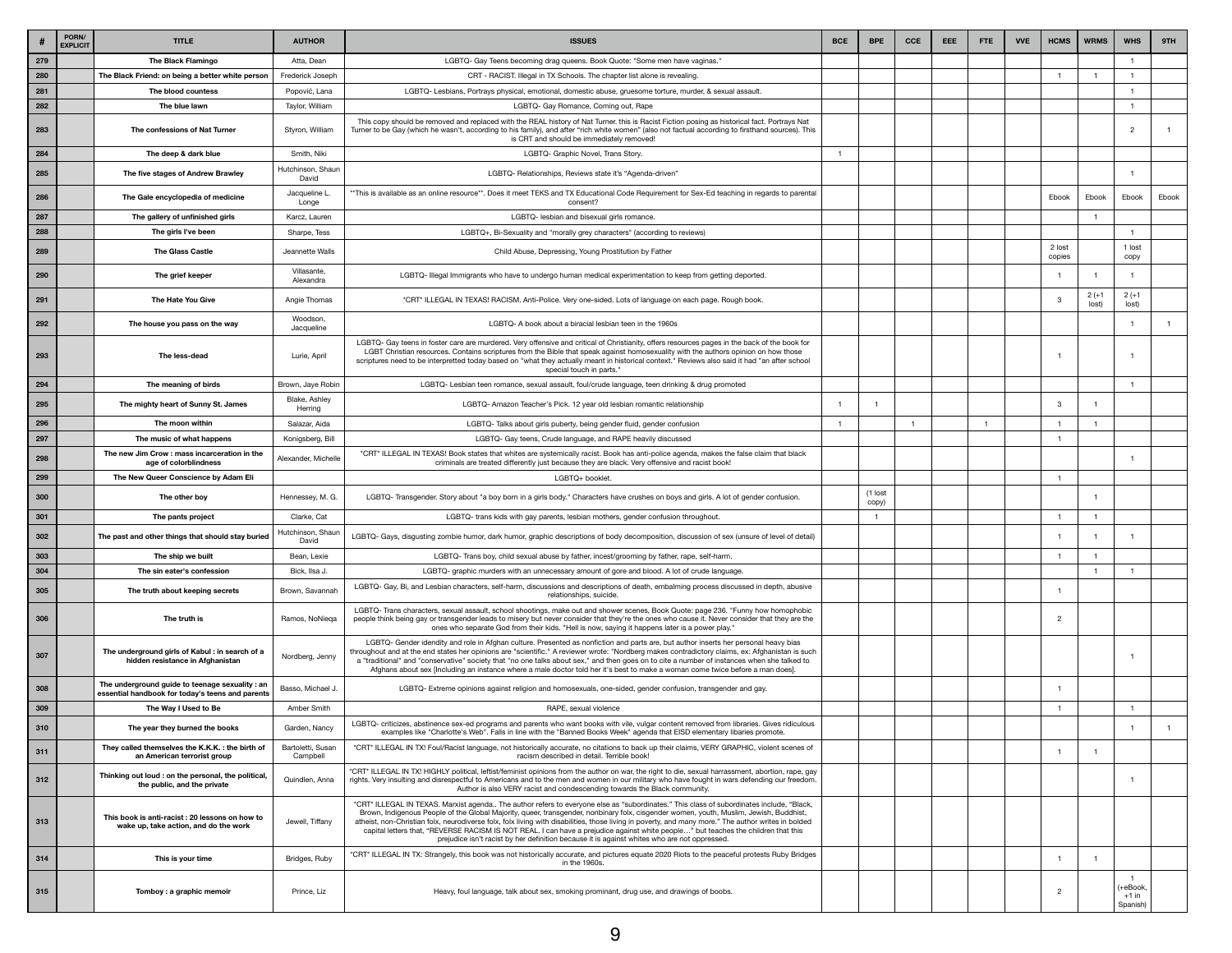|     | PORN/<br><b>EXPLICIT</b> | <b>TITLE</b>                                                                                        | <b>AUTHOR</b>                 | <b>ISSUES</b>                                                                                                                                                                                                                                                                                                                                                                                                                                                                                                                                                                                                                                                                   | <b>BCE</b> | <b>BPE</b>       | <b>CCE</b> | <b>EEE</b> | <b>FTE</b> | <b>VVE</b> | <b>HCMS</b>      | <b>WRMS</b>       | <b>WHS</b>                      | 9TH   |
|-----|--------------------------|-----------------------------------------------------------------------------------------------------|-------------------------------|---------------------------------------------------------------------------------------------------------------------------------------------------------------------------------------------------------------------------------------------------------------------------------------------------------------------------------------------------------------------------------------------------------------------------------------------------------------------------------------------------------------------------------------------------------------------------------------------------------------------------------------------------------------------------------|------------|------------------|------------|------------|------------|------------|------------------|-------------------|---------------------------------|-------|
| 279 |                          | <b>The Black Flamingo</b>                                                                           | Atta, Dean                    | LGBTQ- Gay Teens becoming drag queens. Book Quote: "Some men have vaginas."                                                                                                                                                                                                                                                                                                                                                                                                                                                                                                                                                                                                     |            |                  |            |            |            |            |                  |                   |                                 |       |
| 280 |                          | The Black Friend: on being a better white person                                                    | Frederick Joseph              | CRT - RACIST. Illegal in TX Schools. The chapter list alone is revealing.                                                                                                                                                                                                                                                                                                                                                                                                                                                                                                                                                                                                       |            |                  |            |            |            |            |                  |                   |                                 |       |
| 281 |                          | The blood countess                                                                                  | Popović, Lana                 | LGBTQ- Lesbians, Portrays physical, emotional, domestic abuse, gruesome torture, murder, & sexual assault.                                                                                                                                                                                                                                                                                                                                                                                                                                                                                                                                                                      |            |                  |            |            |            |            |                  |                   |                                 |       |
| 282 |                          | The blue lawn                                                                                       | Taylor, William               | LGBTQ- Gay Romance, Coming out, Rape                                                                                                                                                                                                                                                                                                                                                                                                                                                                                                                                                                                                                                            |            |                  |            |            |            |            |                  |                   |                                 |       |
| 283 |                          | The confessions of Nat Turner                                                                       | Styron, William               | This copy should be removed and replaced with the REAL history of Nat Turner. this is Racist Fiction posing as historical fact. Portrays Nat<br>Turner to be Gay (which he wasn't, according to his family), and after "rich white women" (also not factual according to firsthand sources). This<br>is CRT and should be immediately removed!                                                                                                                                                                                                                                                                                                                                  |            |                  |            |            |            |            |                  |                   | റ                               |       |
| 284 |                          | The deep & dark blue                                                                                | Smith, Niki                   | LGBTQ- Graphic Novel, Trans Story.                                                                                                                                                                                                                                                                                                                                                                                                                                                                                                                                                                                                                                              |            |                  |            |            |            |            |                  |                   |                                 |       |
| 285 |                          | The five stages of Andrew Brawley                                                                   | Hutchinson, Shaun<br>David    | LGBTQ- Relationships, Reviews state it's "Agenda-driven"                                                                                                                                                                                                                                                                                                                                                                                                                                                                                                                                                                                                                        |            |                  |            |            |            |            |                  |                   |                                 |       |
| 286 |                          | The Gale encyclopedia of medicine                                                                   | Jacqueline L<br>Longe         | **This is available as an online resource**. Does it meet TEKS and TX Educational Code Requirement for Sex-Ed teaching in regards to parental<br>consent?                                                                                                                                                                                                                                                                                                                                                                                                                                                                                                                       |            |                  |            |            |            |            | Ebook            | Ebook             | Ebook                           | Ebook |
| 287 |                          | The gallery of unfinished girls                                                                     | Karcz, Lauren                 | LGBTQ- lesbian and bisexual girls romance.                                                                                                                                                                                                                                                                                                                                                                                                                                                                                                                                                                                                                                      |            |                  |            |            |            |            |                  |                   |                                 |       |
| 288 |                          | The girls I've been                                                                                 | Sharpe, Tess                  | LGBTQ+, Bi-Sexuality and "morally grey characters" (according to reviews)                                                                                                                                                                                                                                                                                                                                                                                                                                                                                                                                                                                                       |            |                  |            |            |            |            |                  |                   |                                 |       |
| 289 |                          | <b>The Glass Castle</b>                                                                             | Jeannette Walls               | Child Abuse, Depressing, Young Prostitution by Father                                                                                                                                                                                                                                                                                                                                                                                                                                                                                                                                                                                                                           |            |                  |            |            |            |            | 2 lost<br>copies |                   | 1 lost<br>copy                  |       |
| 290 |                          | The grief keeper                                                                                    | Villasante,<br>Alexandra      | LGBTQ- Illegal Immigrants who have to undergo human medical experimentation to keep from getting deported.                                                                                                                                                                                                                                                                                                                                                                                                                                                                                                                                                                      |            |                  |            |            |            |            |                  |                   |                                 |       |
| 291 |                          | <b>The Hate You Give</b>                                                                            | Angie Thomas                  | *CRT* ILLEGAL IN TEXAS! RACISM. Anti-Police. Very one-sided. Lots of language on each page. Rough book.                                                                                                                                                                                                                                                                                                                                                                                                                                                                                                                                                                         |            |                  |            |            |            |            | 3                | $2 (+1)$<br>lost) | $2 (+1)$<br>lost)               |       |
| 292 |                          | The house you pass on the way                                                                       | Woodson,<br>Jacqueline        | LGBTQ- A book about a biracial lesbian teen in the 1960s                                                                                                                                                                                                                                                                                                                                                                                                                                                                                                                                                                                                                        |            |                  |            |            |            |            |                  |                   |                                 |       |
| 293 |                          | The less-dead                                                                                       | Lurie, April                  | LGBTQ- Gay teens in foster care are murdered. Very offensive and critical of Christianity, offers resources pages in the back of the book for<br>LGBT Christian resources. Contains scriptures from the Bible that speak against homosexuality with the authors opinion on how those<br>scriptures need to be interpretted today based on "what they actually meant in historical context." Reviews also said it had "an after school<br>special touch in parts."                                                                                                                                                                                                               |            |                  |            |            |            |            |                  |                   |                                 |       |
| 294 |                          | The meaning of birds                                                                                | Brown, Jaye Robin             | LGBTQ- Lesbian teen romance, sexual assault, foul/crude language, teen drinking & drug promoted                                                                                                                                                                                                                                                                                                                                                                                                                                                                                                                                                                                 |            |                  |            |            |            |            |                  |                   |                                 |       |
| 295 |                          | The mighty heart of Sunny St. James                                                                 | Blake, Ashley<br>Herring      | LGBTQ- Amazon Teacher's Pick. 12 year old lesbian romantic relationship                                                                                                                                                                                                                                                                                                                                                                                                                                                                                                                                                                                                         |            |                  |            |            |            |            | -3               |                   |                                 |       |
| 296 |                          | The moon within                                                                                     | Salazar, Aida                 | LGBTQ-Talks about girls puberty, being gender fluid, gender confusion                                                                                                                                                                                                                                                                                                                                                                                                                                                                                                                                                                                                           |            |                  |            |            |            |            |                  |                   |                                 |       |
| 297 |                          | The music of what happens                                                                           | Konigsberg, Bill              | LGBTQ- Gay teens, Crude language, and RAPE heavily discussed                                                                                                                                                                                                                                                                                                                                                                                                                                                                                                                                                                                                                    |            |                  |            |            |            |            |                  |                   |                                 |       |
| 298 |                          | The new Jim Crow : mass incarceration in the<br>age of colorblindness                               | Alexander, Michelle           | *CRT* ILLEGAL IN TEXAS! Book states that whites are systemically racist. Book has anti-police agenda, makes the false claim that black<br>criminals are treated differently just because they are black. Very offensive and racist book!                                                                                                                                                                                                                                                                                                                                                                                                                                        |            |                  |            |            |            |            |                  |                   |                                 |       |
| 299 |                          | The New Queer Conscience by Adam Eli                                                                |                               | LGBTQ+ booklet.                                                                                                                                                                                                                                                                                                                                                                                                                                                                                                                                                                                                                                                                 |            |                  |            |            |            |            |                  |                   |                                 |       |
| 300 |                          | The other boy                                                                                       | Hennessey, M. G.              | LGBTQ- Transgender. Story about "a boy born in a girls body." Characters have crushes on boys and girls. A lot of gender confusion.                                                                                                                                                                                                                                                                                                                                                                                                                                                                                                                                             |            | (1 lost<br>copy) |            |            |            |            |                  |                   |                                 |       |
| 301 |                          | The pants project                                                                                   | Clarke, Cat                   | LGBTQ- trans kids with gay parents, lesbian mothers, gender confusion throughout.                                                                                                                                                                                                                                                                                                                                                                                                                                                                                                                                                                                               |            |                  |            |            |            |            |                  |                   |                                 |       |
| 302 |                          | The past and other things that should stay buried                                                   | Hutchinson, Shaun<br>David    | LGBTQ- Gays, disgusting zombie humor, dark humor, graphic descriptions of body decomposition, discussion of sex (unsure of level of detail)                                                                                                                                                                                                                                                                                                                                                                                                                                                                                                                                     |            |                  |            |            |            |            |                  |                   |                                 |       |
| 303 |                          | The ship we built                                                                                   | Bean, Lexie                   | LGBTQ- Trans boy, child sexual abuse by father, incest/grooming by father, rape, self-harm.                                                                                                                                                                                                                                                                                                                                                                                                                                                                                                                                                                                     |            |                  |            |            |            |            |                  |                   |                                 |       |
| 304 |                          | The sin eater's confession                                                                          | Bick, Ilsa J.                 | LGBTQ- graphic murders with an unnecessary amount of gore and blood. A lot of crude language.                                                                                                                                                                                                                                                                                                                                                                                                                                                                                                                                                                                   |            |                  |            |            |            |            |                  |                   |                                 |       |
| 305 |                          | The truth about keeping secrets                                                                     | Brown, Savannah               | LGBTQ- Gay, Bi, and Lesbian characters, self-harm, discussions and descriptions of death, embalming process discussed in depth, abusive<br>relationships, suicide.                                                                                                                                                                                                                                                                                                                                                                                                                                                                                                              |            |                  |            |            |            |            |                  |                   |                                 |       |
| 306 |                          | The truth is                                                                                        | Ramos, NoNiega                | LGBTQ- Trans characters, sexual assault, school shootings, make out and shower scenes, Book Quote: page 236. "Funny how homophobic<br>people think being gay or transgender leads to misery but never consider that they're the ones who cause it. Never consider that they are the<br>ones who separate God from their kids. "Hell is now, saying it happens later is a power play."                                                                                                                                                                                                                                                                                           |            |                  |            |            |            |            | -2               |                   |                                 |       |
| 307 |                          | The underground girls of Kabul: in search of a<br>hidden resistance in Afghanistan                  | Nordberg, Jenny               | LGBTQ- Gender idendity and role in Afghan culture. Presented as nonfiction and parts are, but author inserts her personal heavy bias<br>throughout and at the end states her opinions are "scientific." A reviewer wrote: "Nordberg makes contradictory claims, ex: Afghanistan is such<br>a "traditional" and "conservative" society that "no one talks about sex," and then goes on to cite a number of instances when she talked to<br>Afghans about sex [Including an instance where a male doctor told her it's best to make a woman come twice before a man does].                                                                                                        |            |                  |            |            |            |            |                  |                   |                                 |       |
| 308 |                          | The underground guide to teenage sexuality : an<br>essential handbook for today's teens and parents | Basso, Michael J.             | LGBTQ- Extreme opinions against religion and homosexuals, one-sided, gender confusion, transgender and gay.                                                                                                                                                                                                                                                                                                                                                                                                                                                                                                                                                                     |            |                  |            |            |            |            |                  |                   |                                 |       |
| 309 |                          | The Way I Used to Be                                                                                | Amber Smith                   | RAPE, sexual violence                                                                                                                                                                                                                                                                                                                                                                                                                                                                                                                                                                                                                                                           |            |                  |            |            |            |            |                  |                   |                                 |       |
| 310 |                          | The year they burned the books                                                                      | Garden, Nancy                 | LGBTQ- criticizes, abstinence sex-ed programs and parents who want books with vile, vulgar content removed from libraries. Gives ridiculous<br>examples like "Charlotte's Web". Falls in line with the "Banned Books Week" agenda that EISD elementary libaries promote.                                                                                                                                                                                                                                                                                                                                                                                                        |            |                  |            |            |            |            |                  |                   |                                 |       |
| 311 |                          | They called themselves the K.K.K.: the birth of<br>an American terrorist group                      | Bartoletti, Susan<br>Campbell | *CRT* ILLEGAL IN TX! Foul/Racist language, not historically accurate, no citations to back up their claims, VERY GRAPHIC, violent scenes of<br>racism described in detail. Terrible book!                                                                                                                                                                                                                                                                                                                                                                                                                                                                                       |            |                  |            |            |            |            |                  |                   |                                 |       |
| 312 |                          | Thinking out loud : on the personal, the political,<br>the public, and the private                  | Quindlen, Anna                | *CRT* ILLEGAL IN TX! HIGHLY political, leftist/feminist opinions from the author on war, the right to die, sexual harrassment, abortion, rape, gay<br>rights. Very insulting and disrespectful to Americans and to the men and women in our military who have fought in wars defending our freedom.<br>Author is also VERY racist and condescending towards the Black community.                                                                                                                                                                                                                                                                                                |            |                  |            |            |            |            |                  |                   |                                 |       |
| 313 |                          | This book is anti-racist: 20 lessons on how to<br>wake up, take action, and do the work             | Jewell, Tiffany               | *CRT* ILLEGAL IN TEXAS. Marxist agenda The author refers to everyone else as "subordinates." This class of subordinates include, "Black,<br>Brown, Indigenous People of the Global Majority, queer, transgender, nonbinary folx, cisgender women, youth, Muslim, Jewish, Buddhist,<br>atheist, non-Christian folx, neurodiverse folx, folx living with disabilities, those living in poverty, and many more." The author writes in bolded<br>capital letters that, "REVERSE RACISM IS NOT REAL. I can have a prejudice against white people" but teaches the children that this<br>prejudice isn't racist by her definition because it is against whites who are not oppressed. |            |                  |            |            |            |            |                  |                   |                                 |       |
| 314 |                          | This is your time                                                                                   | Bridges, Ruby                 | *CRT* ILLEGAL IN TX: Strangely, this book was not historically accurate, and pictures equate 2020 Riots to the peaceful protests Ruby Bridges<br>in the 1960s.                                                                                                                                                                                                                                                                                                                                                                                                                                                                                                                  |            |                  |            |            |            |            |                  |                   |                                 |       |
| 315 |                          | Tomboy: a graphic memoir                                                                            | Prince, Liz                   | Heavy, foul language, talk about sex, smoking prominant, drug use, and drawings of boobs.                                                                                                                                                                                                                                                                                                                                                                                                                                                                                                                                                                                       |            |                  |            |            |            |            | $\overline{c}$   |                   | (+eBook,<br>$+1$ in<br>Spanish) |       |